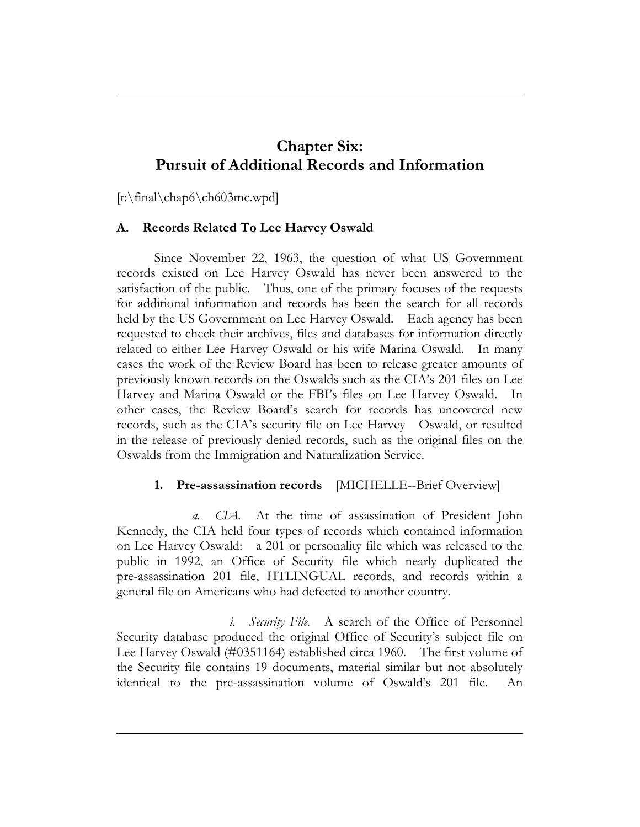# **Chapter Six: Pursuit of Additional Records and Information**

[t:\final\chap6\ch603mc.wpd]

### **A. Records Related To Lee Harvey Oswald**

Since November 22, 1963, the question of what US Government records existed on Lee Harvey Oswald has never been answered to the satisfaction of the public. Thus, one of the primary focuses of the requests for additional information and records has been the search for all records held by the US Government on Lee Harvey Oswald. Each agency has been requested to check their archives, files and databases for information directly related to either Lee Harvey Oswald or his wife Marina Oswald. In many cases the work of the Review Board has been to release greater amounts of previously known records on the Oswalds such as the CIA's 201 files on Lee Harvey and Marina Oswald or the FBI's files on Lee Harvey Oswald. In other cases, the Review Board's search for records has uncovered new records, such as the CIA's security file on Lee Harvey Oswald, or resulted in the release of previously denied records, such as the original files on the Oswalds from the Immigration and Naturalization Service.

# **1. Pre-assassination records** [MICHELLE--Brief Overview]

*a. CIA.* At the time of assassination of President John Kennedy, the CIA held four types of records which contained information on Lee Harvey Oswald: a 201 or personality file which was released to the public in 1992, an Office of Security file which nearly duplicated the pre-assassination 201 file, HTLINGUAL records, and records within a general file on Americans who had defected to another country.

*i. Security File.* A search of the Office of Personnel Security database produced the original Office of Security's subject file on Lee Harvey Oswald (#0351164) established circa 1960. The first volume of the Security file contains 19 documents, material similar but not absolutely identical to the pre-assassination volume of Oswald's 201 file. An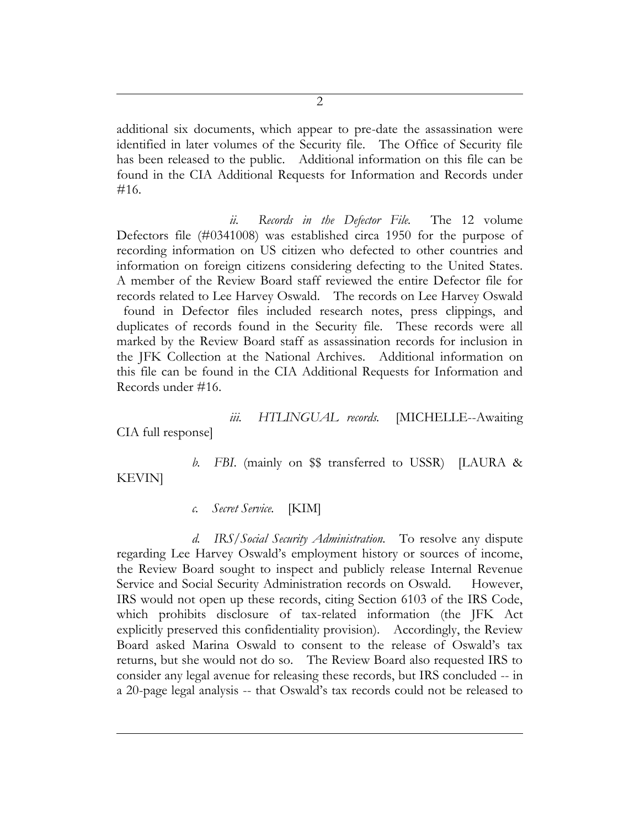additional six documents, which appear to pre-date the assassination were identified in later volumes of the Security file. The Office of Security file has been released to the public. Additional information on this file can be found in the CIA Additional Requests for Information and Records under #16.

*ii. Records in the Defector File.* The 12 volume Defectors file (#0341008) was established circa 1950 for the purpose of recording information on US citizen who defected to other countries and information on foreign citizens considering defecting to the United States. A member of the Review Board staff reviewed the entire Defector file for records related to Lee Harvey Oswald. The records on Lee Harvey Oswald found in Defector files included research notes, press clippings, and duplicates of records found in the Security file. These records were all marked by the Review Board staff as assassination records for inclusion in the JFK Collection at the National Archives. Additional information on this file can be found in the CIA Additional Requests for Information and Records under #16.

*iii. HTLINGUAL records.* [MICHELLE--Awaiting

CIA full response]

*b. FBI*. (mainly on \$\$ transferred to USSR) [LAURA &

KEVIN]

*c. Secret Service.* [KIM]

*d. IRS/Social Security Administration.* To resolve any dispute regarding Lee Harvey Oswald's employment history or sources of income, the Review Board sought to inspect and publicly release Internal Revenue Service and Social Security Administration records on Oswald. However, IRS would not open up these records, citing Section 6103 of the IRS Code, which prohibits disclosure of tax-related information (the JFK Act explicitly preserved this confidentiality provision). Accordingly, the Review Board asked Marina Oswald to consent to the release of Oswald's tax returns, but she would not do so. The Review Board also requested IRS to consider any legal avenue for releasing these records, but IRS concluded -- in a 20-page legal analysis -- that Oswald's tax records could not be released to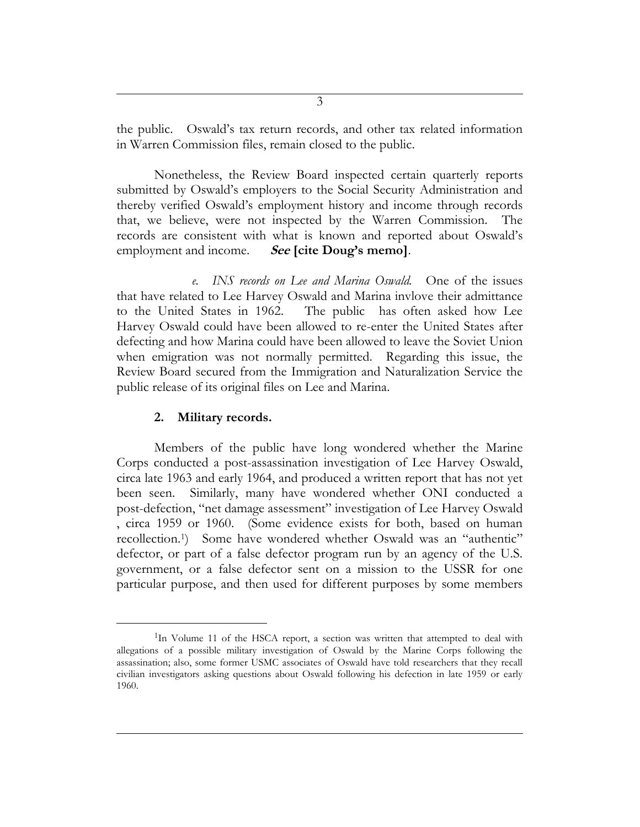the public. Oswald's tax return records, and other tax related information in Warren Commission files, remain closed to the public.

Nonetheless, the Review Board inspected certain quarterly reports submitted by Oswald's employers to the Social Security Administration and thereby verified Oswald's employment history and income through records that, we believe, were not inspected by the Warren Commission. The records are consistent with what is known and reported about Oswald's employment and income. **See [cite Doug's memo]**.

*e. INS records on Lee and Marina Oswald.* One of the issues that have related to Lee Harvey Oswald and Marina invlove their admittance to the United States in 1962. The public has often asked how Lee Harvey Oswald could have been allowed to re-enter the United States after defecting and how Marina could have been allowed to leave the Soviet Union when emigration was not normally permitted. Regarding this issue, the Review Board secured from the Immigration and Naturalization Service the public release of its original files on Lee and Marina.

### **2. Military records.**

 $\overline{a}$ 

Members of the public have long wondered whether the Marine Corps conducted a post-assassination investigation of Lee Harvey Oswald, circa late 1963 and early 1964, and produced a written report that has not yet been seen. Similarly, many have wondered whether ONI conducted a post-defection, "net damage assessment" investigation of Lee Harvey Oswald , circa 1959 or 1960. (Some evidence exists for both, based on human recollection.<sup>1</sup>) Some have wondered whether Oswald was an "authentic" defector, or part of a false defector program run by an agency of the U.S. government, or a false defector sent on a mission to the USSR for one particular purpose, and then used for different purposes by some members

<sup>&</sup>lt;sup>1</sup>In Volume 11 of the HSCA report, a section was written that attempted to deal with allegations of a possible military investigation of Oswald by the Marine Corps following the assassination; also, some former USMC associates of Oswald have told researchers that they recall civilian investigators asking questions about Oswald following his defection in late 1959 or early 1960.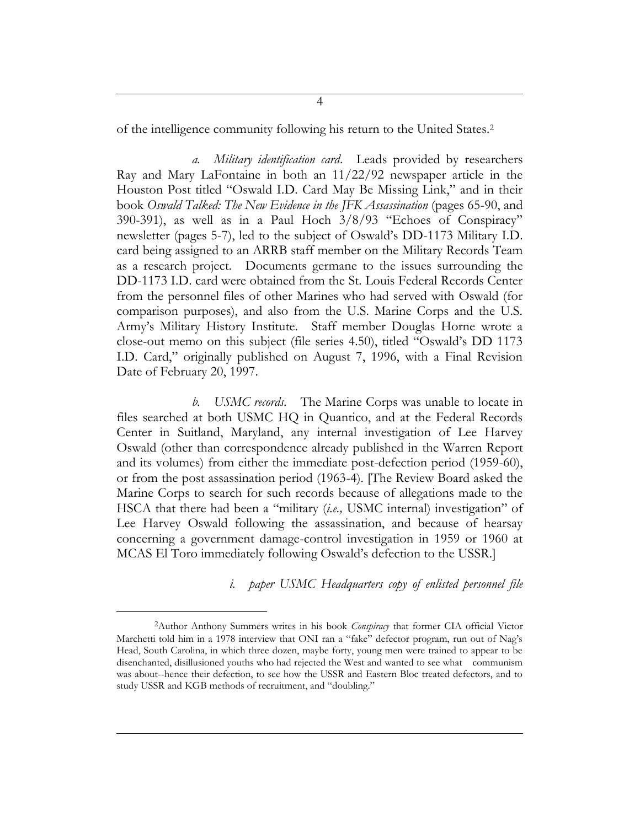of the intelligence community following his return to the United States.<sup>2</sup>

*a. Military identification card*. Leads provided by researchers Ray and Mary LaFontaine in both an 11/22/92 newspaper article in the Houston Post titled "Oswald I.D. Card May Be Missing Link," and in their book *Oswald Talked: The New Evidence in the JFK Assassination* (pages 65-90, and 390-391), as well as in a Paul Hoch 3/8/93 "Echoes of Conspiracy" newsletter (pages 5-7), led to the subject of Oswald's DD-1173 Military I.D. card being assigned to an ARRB staff member on the Military Records Team as a research project. Documents germane to the issues surrounding the DD-1173 I.D. card were obtained from the St. Louis Federal Records Center from the personnel files of other Marines who had served with Oswald (for comparison purposes), and also from the U.S. Marine Corps and the U.S. Army's Military History Institute. Staff member Douglas Horne wrote a close-out memo on this subject (file series 4.50), titled "Oswald's DD 1173 I.D. Card," originally published on August 7, 1996, with a Final Revision Date of February 20, 1997.

*b. USMC records.* The Marine Corps was unable to locate in files searched at both USMC HQ in Quantico, and at the Federal Records Center in Suitland, Maryland, any internal investigation of Lee Harvey Oswald (other than correspondence already published in the Warren Report and its volumes) from either the immediate post-defection period (1959-60), or from the post assassination period (1963-4). [The Review Board asked the Marine Corps to search for such records because of allegations made to the HSCA that there had been a "military (*i.e.,* USMC internal) investigation" of Lee Harvey Oswald following the assassination, and because of hearsay concerning a government damage-control investigation in 1959 or 1960 at MCAS El Toro immediately following Oswald's defection to the USSR.]

*i. paper USMC Headquarters copy of enlisted personnel file* 

 $\overline{a}$ 

<sup>2</sup>Author Anthony Summers writes in his book *Conspiracy* that former CIA official Victor Marchetti told him in a 1978 interview that ONI ran a "fake" defector program, run out of Nag's Head, South Carolina, in which three dozen, maybe forty, young men were trained to appear to be disenchanted, disillusioned youths who had rejected the West and wanted to see what communism was about--hence their defection, to see how the USSR and Eastern Bloc treated defectors, and to study USSR and KGB methods of recruitment, and "doubling."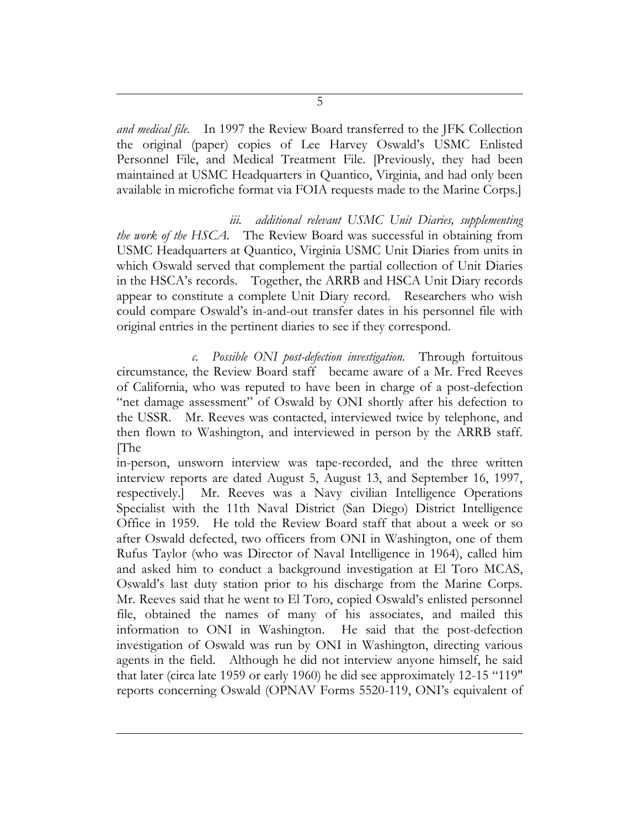*and medical file.* In 1997 the Review Board transferred to the JFK Collection the original (paper) copies of Lee Harvey Oswald's USMC Enlisted Personnel File, and Medical Treatment File. [Previously, they had been maintained at USMC Headquarters in Quantico, Virginia, and had only been available in microfiche format via FOIA requests made to the Marine Corps.]

*iii. additional relevant USMC Unit Diaries, supplementing the work of the HSCA.* The Review Board was successful in obtaining from USMC Headquarters at Quantico, Virginia USMC Unit Diaries from units in which Oswald served that complement the partial collection of Unit Diaries in the HSCA's records. Together, the ARRB and HSCA Unit Diary records appear to constitute a complete Unit Diary record. Researchers who wish could compare Oswald's in-and-out transfer dates in his personnel file with original entries in the pertinent diaries to see if they correspond.

*c. Possible ONI post-defection investigation.* Through fortuitous circumstance*,* the Review Board staff became aware of a Mr. Fred Reeves of California, who was reputed to have been in charge of a post-defection "net damage assessment" of Oswald by ONI shortly after his defection to the USSR. Mr. Reeves was contacted, interviewed twice by telephone, and then flown to Washington, and interviewed in person by the ARRB staff. [The

in-person, unsworn interview was tape-recorded, and the three written interview reports are dated August 5, August 13, and September 16, 1997, respectively.] Mr. Reeves was a Navy civilian Intelligence Operations Specialist with the 11th Naval District (San Diego) District Intelligence Office in 1959. He told the Review Board staff that about a week or so after Oswald defected, two officers from ONI in Washington, one of them Rufus Taylor (who was Director of Naval Intelligence in 1964), called him and asked him to conduct a background investigation at El Toro MCAS, Oswald's last duty station prior to his discharge from the Marine Corps. Mr. Reeves said that he went to El Toro, copied Oswald's enlisted personnel file, obtained the names of many of his associates, and mailed this information to ONI in Washington. He said that the post-defection investigation of Oswald was run by ONI in Washington, directing various agents in the field. Although he did not interview anyone himself, he said that later (circa late 1959 or early 1960) he did see approximately 12-15 "119" reports concerning Oswald (OPNAV Forms 5520-119, ONI's equivalent of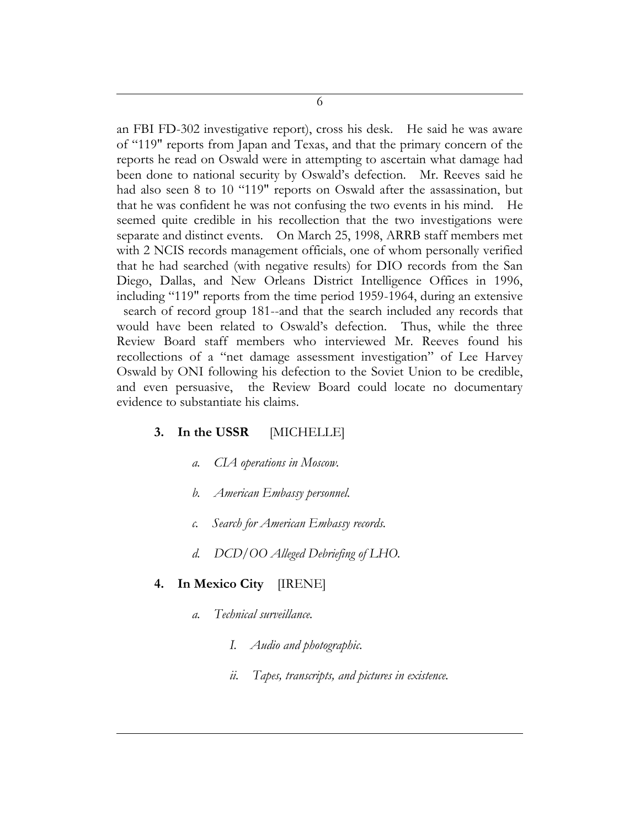an FBI FD-302 investigative report), cross his desk. He said he was aware of "119" reports from Japan and Texas, and that the primary concern of the reports he read on Oswald were in attempting to ascertain what damage had been done to national security by Oswald's defection. Mr. Reeves said he had also seen 8 to 10 "119" reports on Oswald after the assassination, but that he was confident he was not confusing the two events in his mind. He seemed quite credible in his recollection that the two investigations were separate and distinct events. On March 25, 1998, ARRB staff members met with 2 NCIS records management officials, one of whom personally verified that he had searched (with negative results) for DIO records from the San Diego, Dallas, and New Orleans District Intelligence Offices in 1996, including "119" reports from the time period 1959-1964, during an extensive search of record group 181--and that the search included any records that would have been related to Oswald's defection. Thus, while the three Review Board staff members who interviewed Mr. Reeves found his recollections of a "net damage assessment investigation" of Lee Harvey Oswald by ONI following his defection to the Soviet Union to be credible, and even persuasive, the Review Board could locate no documentary evidence to substantiate his claims.

### **3. In the USSR** [MICHELLE]

- *a. CIA operations in Moscow.*
- *b. American Embassy personnel.*
- *c. Search for American Embassy records.*
- *d. DCD/OO Alleged Debriefing of LHO.*

### **4. In Mexico City** [IRENE]

- *a. Technical surveillance.*
	- *I. Audio and photographic.*
	- *ii. Tapes, transcripts, and pictures in existence.*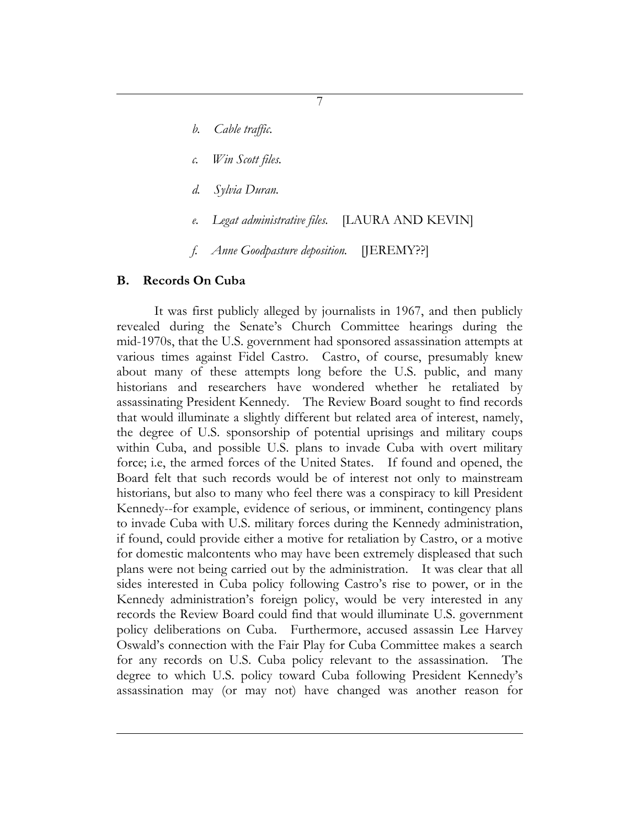*b. Cable traffic.*

- *c. Win Scott files.*
- *d. Sylvia Duran.*
- *e. Legat administrative files.* [LAURA AND KEVIN]
- *f. Anne Goodpasture deposition.* [JEREMY??]

#### **B. Records On Cuba**

It was first publicly alleged by journalists in 1967, and then publicly revealed during the Senate's Church Committee hearings during the mid-1970s, that the U.S. government had sponsored assassination attempts at various times against Fidel Castro. Castro, of course, presumably knew about many of these attempts long before the U.S. public, and many historians and researchers have wondered whether he retaliated by assassinating President Kennedy. The Review Board sought to find records that would illuminate a slightly different but related area of interest, namely, the degree of U.S. sponsorship of potential uprisings and military coups within Cuba, and possible U.S. plans to invade Cuba with overt military force; i.e, the armed forces of the United States. If found and opened, the Board felt that such records would be of interest not only to mainstream historians, but also to many who feel there was a conspiracy to kill President Kennedy--for example, evidence of serious, or imminent, contingency plans to invade Cuba with U.S. military forces during the Kennedy administration, if found, could provide either a motive for retaliation by Castro, or a motive for domestic malcontents who may have been extremely displeased that such plans were not being carried out by the administration. It was clear that all sides interested in Cuba policy following Castro's rise to power, or in the Kennedy administration's foreign policy, would be very interested in any records the Review Board could find that would illuminate U.S. government policy deliberations on Cuba. Furthermore, accused assassin Lee Harvey Oswald's connection with the Fair Play for Cuba Committee makes a search for any records on U.S. Cuba policy relevant to the assassination. The degree to which U.S. policy toward Cuba following President Kennedy's assassination may (or may not) have changed was another reason for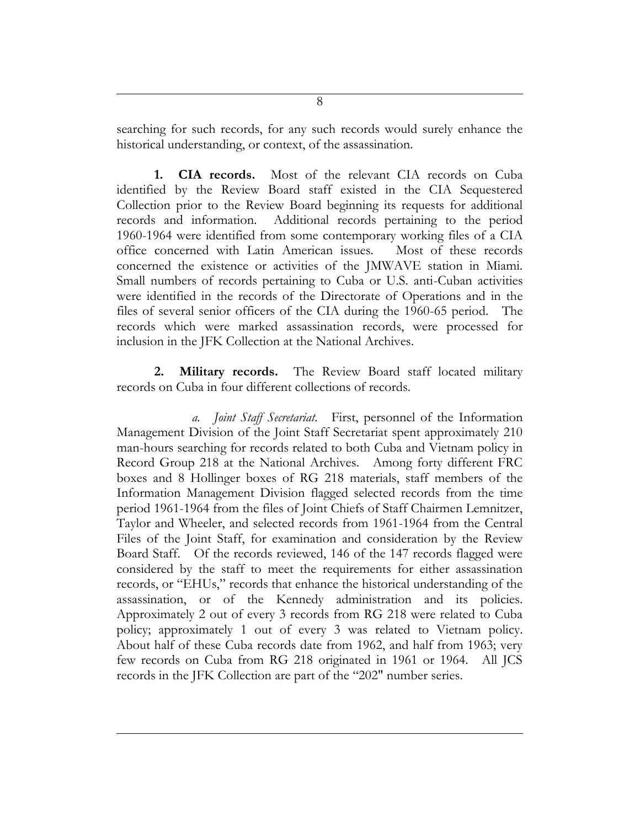searching for such records, for any such records would surely enhance the historical understanding, or context, of the assassination.

**1. CIA records.** Most of the relevant CIA records on Cuba identified by the Review Board staff existed in the CIA Sequestered Collection prior to the Review Board beginning its requests for additional records and information. Additional records pertaining to the period 1960-1964 were identified from some contemporary working files of a CIA office concerned with Latin American issues. Most of these records concerned the existence or activities of the JMWAVE station in Miami. Small numbers of records pertaining to Cuba or U.S. anti-Cuban activities were identified in the records of the Directorate of Operations and in the files of several senior officers of the CIA during the 1960-65 period. The records which were marked assassination records, were processed for inclusion in the JFK Collection at the National Archives.

**2. Military records.** The Review Board staff located military records on Cuba in four different collections of records.

*a. Joint Staff Secretariat.* First, personnel of the Information Management Division of the Joint Staff Secretariat spent approximately 210 man-hours searching for records related to both Cuba and Vietnam policy in Record Group 218 at the National Archives. Among forty different FRC boxes and 8 Hollinger boxes of RG 218 materials, staff members of the Information Management Division flagged selected records from the time period 1961-1964 from the files of Joint Chiefs of Staff Chairmen Lemnitzer, Taylor and Wheeler, and selected records from 1961-1964 from the Central Files of the Joint Staff, for examination and consideration by the Review Board Staff. Of the records reviewed, 146 of the 147 records flagged were considered by the staff to meet the requirements for either assassination records, or "EHUs," records that enhance the historical understanding of the assassination, or of the Kennedy administration and its policies. Approximately 2 out of every 3 records from RG 218 were related to Cuba policy; approximately 1 out of every 3 was related to Vietnam policy. About half of these Cuba records date from 1962, and half from 1963; very few records on Cuba from RG 218 originated in 1961 or 1964. All JCS records in the JFK Collection are part of the "202" number series.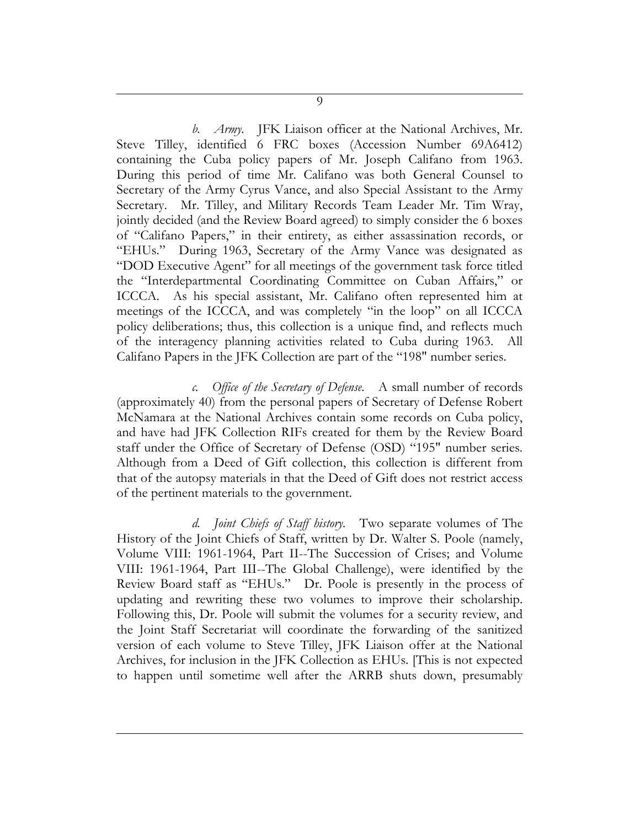*b. Army.* JFK Liaison officer at the National Archives, Mr. Steve Tilley, identified 6 FRC boxes (Accession Number 69A6412) containing the Cuba policy papers of Mr. Joseph Califano from 1963. During this period of time Mr. Califano was both General Counsel to Secretary of the Army Cyrus Vance, and also Special Assistant to the Army Secretary. Mr. Tilley, and Military Records Team Leader Mr. Tim Wray, jointly decided (and the Review Board agreed) to simply consider the 6 boxes of "Califano Papers," in their entirety, as either assassination records, or "EHUs." During 1963, Secretary of the Army Vance was designated as "DOD Executive Agent" for all meetings of the government task force titled the "Interdepartmental Coordinating Committee on Cuban Affairs," or ICCCA. As his special assistant, Mr. Califano often represented him at meetings of the ICCCA, and was completely "in the loop" on all ICCCA policy deliberations; thus, this collection is a unique find, and reflects much of the interagency planning activities related to Cuba during 1963. All Califano Papers in the JFK Collection are part of the "198" number series.

*c. Office of the Secretary of Defense.* A small number of records (approximately 40) from the personal papers of Secretary of Defense Robert McNamara at the National Archives contain some records on Cuba policy, and have had JFK Collection RIFs created for them by the Review Board staff under the Office of Secretary of Defense (OSD) "195" number series. Although from a Deed of Gift collection, this collection is different from that of the autopsy materials in that the Deed of Gift does not restrict access of the pertinent materials to the government.

*d. Joint Chiefs of Staff history.* Two separate volumes of The History of the Joint Chiefs of Staff, written by Dr. Walter S. Poole (namely, Volume VIII: 1961-1964, Part II--The Succession of Crises; and Volume VIII: 1961-1964, Part III--The Global Challenge), were identified by the Review Board staff as "EHUs." Dr. Poole is presently in the process of updating and rewriting these two volumes to improve their scholarship. Following this, Dr. Poole will submit the volumes for a security review, and the Joint Staff Secretariat will coordinate the forwarding of the sanitized version of each volume to Steve Tilley, JFK Liaison offer at the National Archives, for inclusion in the JFK Collection as EHUs. [This is not expected to happen until sometime well after the ARRB shuts down, presumably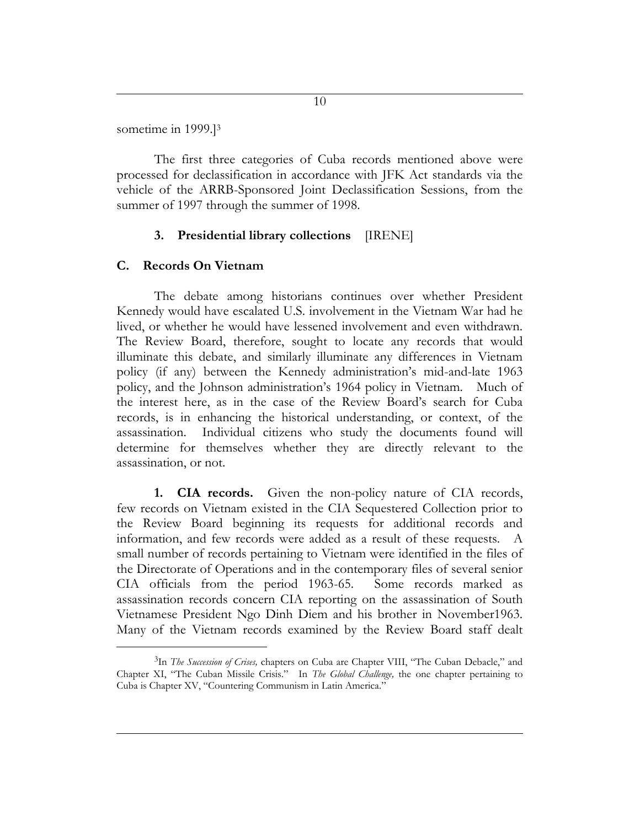sometime in 1999.]<sup>3</sup>

The first three categories of Cuba records mentioned above were processed for declassification in accordance with JFK Act standards via the vehicle of the ARRB-Sponsored Joint Declassification Sessions, from the summer of 1997 through the summer of 1998.

#### **3. Presidential library collections** [IRENE]

#### **C. Records On Vietnam**

 $\overline{a}$ 

The debate among historians continues over whether President Kennedy would have escalated U.S. involvement in the Vietnam War had he lived, or whether he would have lessened involvement and even withdrawn. The Review Board, therefore, sought to locate any records that would illuminate this debate, and similarly illuminate any differences in Vietnam policy (if any) between the Kennedy administration's mid-and-late 1963 policy, and the Johnson administration's 1964 policy in Vietnam. Much of the interest here, as in the case of the Review Board's search for Cuba records, is in enhancing the historical understanding, or context, of the assassination. Individual citizens who study the documents found will determine for themselves whether they are directly relevant to the assassination, or not.

**1. CIA records.** Given the non-policy nature of CIA records, few records on Vietnam existed in the CIA Sequestered Collection prior to the Review Board beginning its requests for additional records and information, and few records were added as a result of these requests. A small number of records pertaining to Vietnam were identified in the files of the Directorate of Operations and in the contemporary files of several senior CIA officials from the period 1963-65. Some records marked as assassination records concern CIA reporting on the assassination of South Vietnamese President Ngo Dinh Diem and his brother in November1963. Many of the Vietnam records examined by the Review Board staff dealt

<sup>3</sup> In *The Succession of Crises,* chapters on Cuba are Chapter VIII, "The Cuban Debacle," and Chapter XI, "The Cuban Missile Crisis." In *The Global Challenge,* the one chapter pertaining to Cuba is Chapter XV, "Countering Communism in Latin America."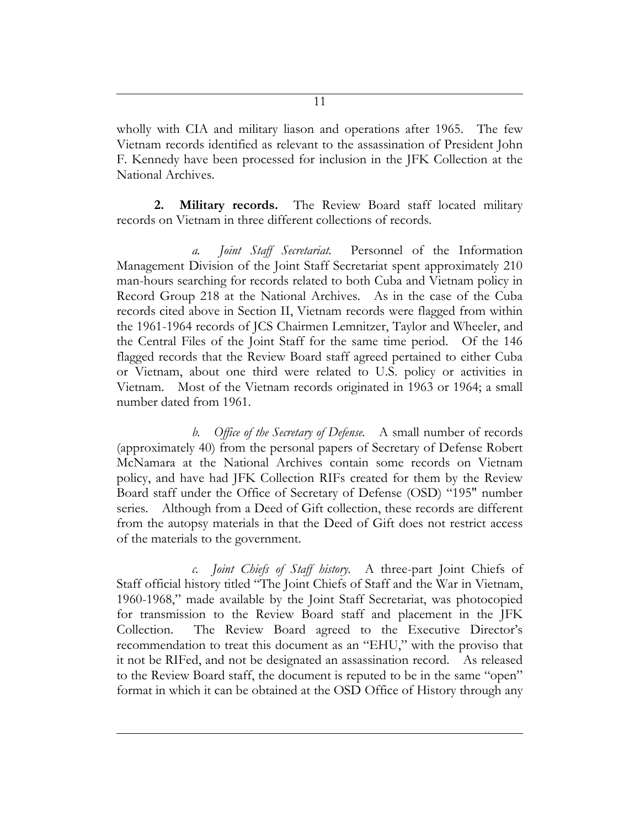wholly with CIA and military liason and operations after 1965. The few Vietnam records identified as relevant to the assassination of President John F. Kennedy have been processed for inclusion in the JFK Collection at the National Archives.

**2. Military records.** The Review Board staff located military records on Vietnam in three different collections of records.

*a. Joint Staff Secretariat.* Personnel of the Information Management Division of the Joint Staff Secretariat spent approximately 210 man-hours searching for records related to both Cuba and Vietnam policy in Record Group 218 at the National Archives. As in the case of the Cuba records cited above in Section II, Vietnam records were flagged from within the 1961-1964 records of JCS Chairmen Lemnitzer, Taylor and Wheeler, and the Central Files of the Joint Staff for the same time period. Of the 146 flagged records that the Review Board staff agreed pertained to either Cuba or Vietnam, about one third were related to U.S. policy or activities in Vietnam. Most of the Vietnam records originated in 1963 or 1964; a small number dated from 1961.

*b. Office of the Secretary of Defense.* A small number of records (approximately 40) from the personal papers of Secretary of Defense Robert McNamara at the National Archives contain some records on Vietnam policy, and have had JFK Collection RIFs created for them by the Review Board staff under the Office of Secretary of Defense (OSD) "195" number series. Although from a Deed of Gift collection, these records are different from the autopsy materials in that the Deed of Gift does not restrict access of the materials to the government.

*c. Joint Chiefs of Staff history.* A three-part Joint Chiefs of Staff official history titled "The Joint Chiefs of Staff and the War in Vietnam, 1960-1968," made available by the Joint Staff Secretariat, was photocopied for transmission to the Review Board staff and placement in the JFK Collection. The Review Board agreed to the Executive Director's recommendation to treat this document as an "EHU," with the proviso that it not be RIFed, and not be designated an assassination record. As released to the Review Board staff, the document is reputed to be in the same "open" format in which it can be obtained at the OSD Office of History through any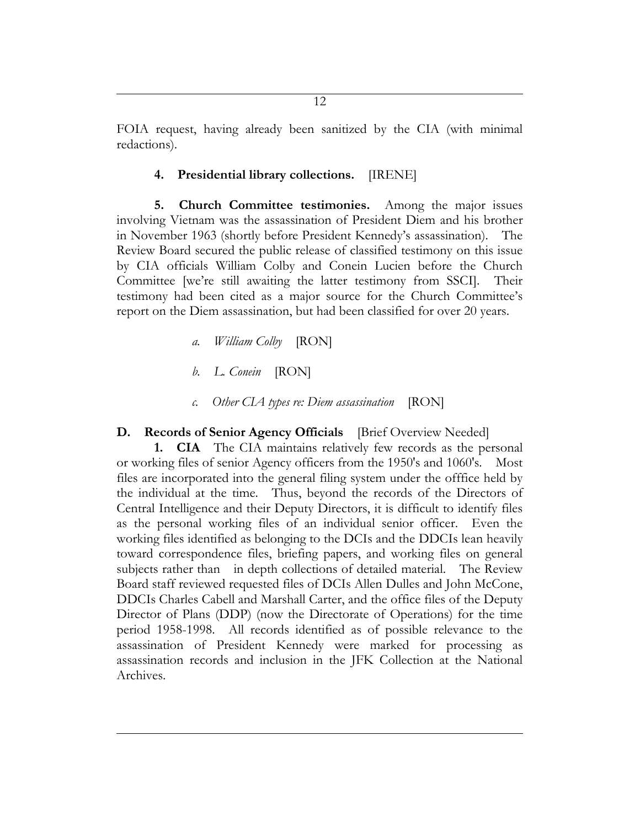FOIA request, having already been sanitized by the CIA (with minimal redactions).

#### **4. Presidential library collections.** [IRENE]

**5. Church Committee testimonies.** Among the major issues involving Vietnam was the assassination of President Diem and his brother in November 1963 (shortly before President Kennedy's assassination). The Review Board secured the public release of classified testimony on this issue by CIA officials William Colby and Conein Lucien before the Church Committee [we're still awaiting the latter testimony from SSCI]. Their testimony had been cited as a major source for the Church Committee's report on the Diem assassination, but had been classified for over 20 years.

- *a. William Colby* [RON]
- *b. L. Conein* [RON]
- *c. Other CIA types re: Diem assassination* [RON]

#### **D. Records of Senior Agency Officials** [Brief Overview Needed]

**1. CIA** The CIA maintains relatively few records as the personal or working files of senior Agency officers from the 1950's and 1060's. Most files are incorporated into the general filing system under the offfice held by the individual at the time. Thus, beyond the records of the Directors of Central Intelligence and their Deputy Directors, it is difficult to identify files as the personal working files of an individual senior officer. Even the working files identified as belonging to the DCIs and the DDCIs lean heavily toward correspondence files, briefing papers, and working files on general subjects rather than in depth collections of detailed material. The Review Board staff reviewed requested files of DCIs Allen Dulles and John McCone, DDCIs Charles Cabell and Marshall Carter, and the office files of the Deputy Director of Plans (DDP) (now the Directorate of Operations) for the time period 1958-1998. All records identified as of possible relevance to the assassination of President Kennedy were marked for processing as assassination records and inclusion in the JFK Collection at the National Archives.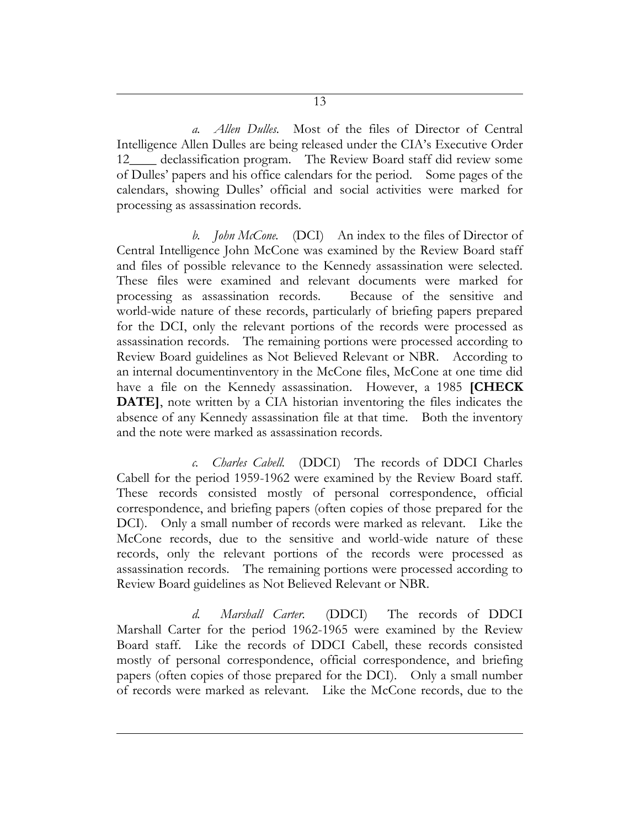*a. Allen Dulles.* Most of the files of Director of Central Intelligence Allen Dulles are being released under the CIA's Executive Order 12\_\_\_\_ declassification program. The Review Board staff did review some of Dulles' papers and his office calendars for the period. Some pages of the calendars, showing Dulles' official and social activities were marked for processing as assassination records.

*b. John McCone.* (DCI) An index to the files of Director of Central Intelligence John McCone was examined by the Review Board staff and files of possible relevance to the Kennedy assassination were selected. These files were examined and relevant documents were marked for processing as assassination records. Because of the sensitive and world-wide nature of these records, particularly of briefing papers prepared for the DCI, only the relevant portions of the records were processed as assassination records. The remaining portions were processed according to Review Board guidelines as Not Believed Relevant or NBR. According to an internal documentinventory in the McCone files, McCone at one time did have a file on the Kennedy assassination. However, a 1985 **[CHECK DATE**], note written by a CIA historian inventoring the files indicates the absence of any Kennedy assassination file at that time. Both the inventory and the note were marked as assassination records.

*c. Charles Cabell.* (DDCI) The records of DDCI Charles Cabell for the period 1959-1962 were examined by the Review Board staff. These records consisted mostly of personal correspondence, official correspondence, and briefing papers (often copies of those prepared for the DCI). Only a small number of records were marked as relevant. Like the McCone records, due to the sensitive and world-wide nature of these records, only the relevant portions of the records were processed as assassination records. The remaining portions were processed according to Review Board guidelines as Not Believed Relevant or NBR.

*d. Marshall Carter.* (DDCI) The records of DDCI Marshall Carter for the period 1962-1965 were examined by the Review Board staff. Like the records of DDCI Cabell, these records consisted mostly of personal correspondence, official correspondence, and briefing papers (often copies of those prepared for the DCI). Only a small number of records were marked as relevant. Like the McCone records, due to the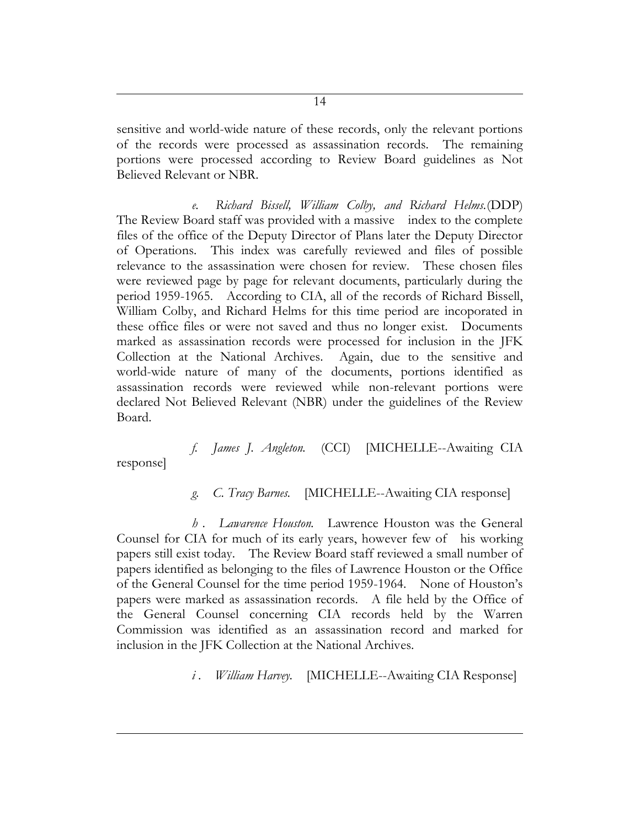sensitive and world-wide nature of these records, only the relevant portions of the records were processed as assassination records. The remaining portions were processed according to Review Board guidelines as Not Believed Relevant or NBR.

*e. Richard Bissell, William Colby, and Richard Helms.*(DDP) The Review Board staff was provided with a massive index to the complete files of the office of the Deputy Director of Plans later the Deputy Director of Operations. This index was carefully reviewed and files of possible relevance to the assassination were chosen for review. These chosen files were reviewed page by page for relevant documents, particularly during the period 1959-1965. According to CIA, all of the records of Richard Bissell, William Colby, and Richard Helms for this time period are incoporated in these office files or were not saved and thus no longer exist. Documents marked as assassination records were processed for inclusion in the JFK Collection at the National Archives. Again, due to the sensitive and world-wide nature of many of the documents, portions identified as assassination records were reviewed while non-relevant portions were declared Not Believed Relevant (NBR) under the guidelines of the Review Board.

*f. James J. Angleton.* (CCI) [MICHELLE--Awaiting CIA

response]

*g. C. Tracy Barnes.* [MICHELLE--Awaiting CIA response]

*h . Lawarence Houston.* Lawrence Houston was the General Counsel for CIA for much of its early years, however few of his working papers still exist today. The Review Board staff reviewed a small number of papers identified as belonging to the files of Lawrence Houston or the Office of the General Counsel for the time period 1959-1964. None of Houston's papers were marked as assassination records. A file held by the Office of the General Counsel concerning CIA records held by the Warren Commission was identified as an assassination record and marked for inclusion in the JFK Collection at the National Archives.

*i*. *William Harvey.* [MICHELLE--Awaiting CIA Response]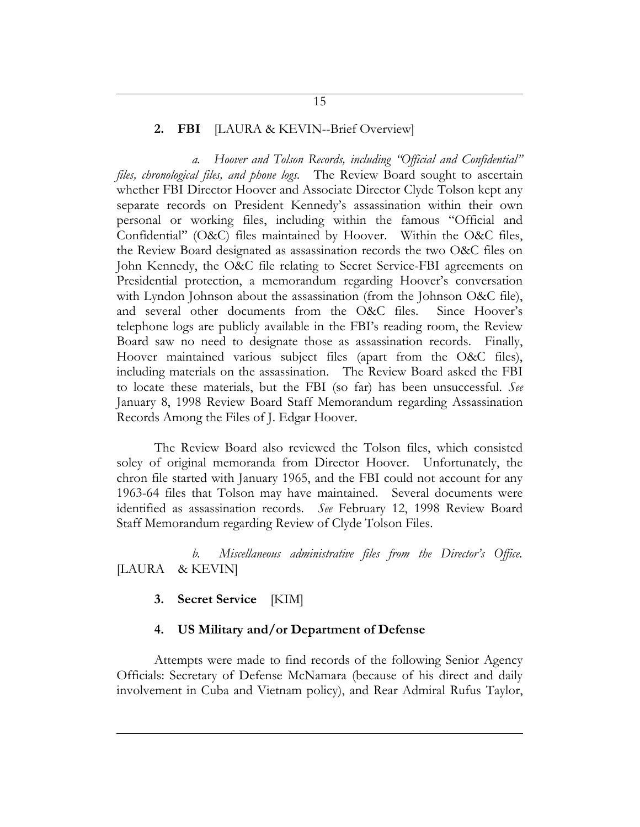#### **2. FBI** [LAURA & KEVIN--Brief Overview]

*a. Hoover and Tolson Records, including "Official and Confidential" files, chronological files, and phone logs.* The Review Board sought to ascertain whether FBI Director Hoover and Associate Director Clyde Tolson kept any separate records on President Kennedy's assassination within their own personal or working files, including within the famous "Official and Confidential" (O&C) files maintained by Hoover. Within the O&C files, the Review Board designated as assassination records the two O&C files on John Kennedy, the O&C file relating to Secret Service-FBI agreements on Presidential protection, a memorandum regarding Hoover's conversation with Lyndon Johnson about the assassination (from the Johnson O&C file), and several other documents from the O&C files. Since Hoover's telephone logs are publicly available in the FBI's reading room, the Review Board saw no need to designate those as assassination records. Finally, Hoover maintained various subject files (apart from the O&C files), including materials on the assassination. The Review Board asked the FBI to locate these materials, but the FBI (so far) has been unsuccessful. *See* January 8, 1998 Review Board Staff Memorandum regarding Assassination Records Among the Files of J. Edgar Hoover.

The Review Board also reviewed the Tolson files, which consisted soley of original memoranda from Director Hoover. Unfortunately, the chron file started with January 1965, and the FBI could not account for any 1963-64 files that Tolson may have maintained. Several documents were identified as assassination records. *See* February 12, 1998 Review Board Staff Memorandum regarding Review of Clyde Tolson Files.

*b. Miscellaneous administrative files from the Director's Office.* [LAURA & KEVIN]

#### **3. Secret Service** [KIM]

#### **4. US Military and/or Department of Defense**

Attempts were made to find records of the following Senior Agency Officials: Secretary of Defense McNamara (because of his direct and daily involvement in Cuba and Vietnam policy), and Rear Admiral Rufus Taylor,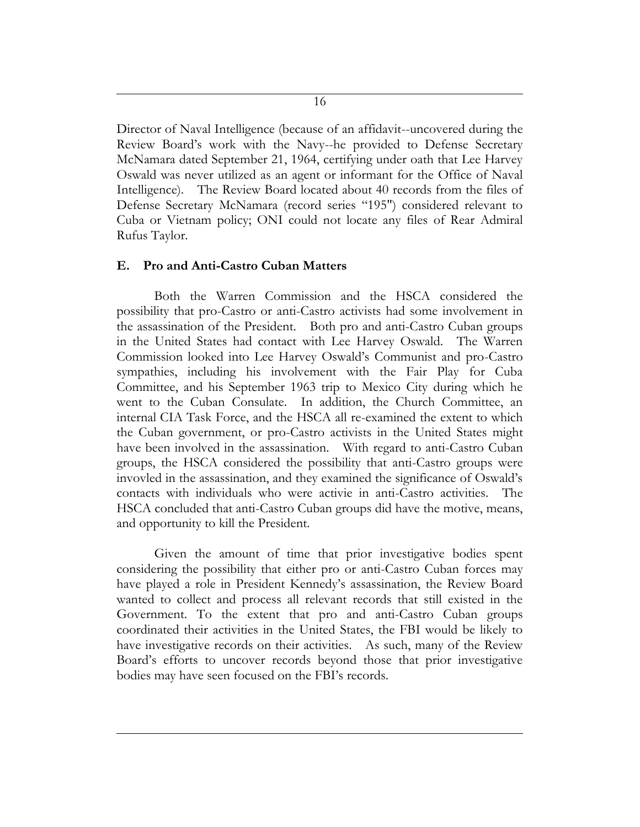Director of Naval Intelligence (because of an affidavit--uncovered during the Review Board's work with the Navy--he provided to Defense Secretary McNamara dated September 21, 1964, certifying under oath that Lee Harvey Oswald was never utilized as an agent or informant for the Office of Naval Intelligence). The Review Board located about 40 records from the files of Defense Secretary McNamara (record series "195") considered relevant to Cuba or Vietnam policy; ONI could not locate any files of Rear Admiral Rufus Taylor.

#### **E. Pro and Anti-Castro Cuban Matters**

Both the Warren Commission and the HSCA considered the possibility that pro-Castro or anti-Castro activists had some involvement in the assassination of the President. Both pro and anti-Castro Cuban groups in the United States had contact with Lee Harvey Oswald. The Warren Commission looked into Lee Harvey Oswald's Communist and pro-Castro sympathies, including his involvement with the Fair Play for Cuba Committee, and his September 1963 trip to Mexico City during which he went to the Cuban Consulate. In addition, the Church Committee, an internal CIA Task Force, and the HSCA all re-examined the extent to which the Cuban government, or pro-Castro activists in the United States might have been involved in the assassination. With regard to anti-Castro Cuban groups, the HSCA considered the possibility that anti-Castro groups were invovled in the assassination, and they examined the significance of Oswald's contacts with individuals who were activie in anti-Castro activities. The HSCA concluded that anti-Castro Cuban groups did have the motive, means, and opportunity to kill the President.

Given the amount of time that prior investigative bodies spent considering the possibility that either pro or anti-Castro Cuban forces may have played a role in President Kennedy's assassination, the Review Board wanted to collect and process all relevant records that still existed in the Government. To the extent that pro and anti-Castro Cuban groups coordinated their activities in the United States, the FBI would be likely to have investigative records on their activities. As such, many of the Review Board's efforts to uncover records beyond those that prior investigative bodies may have seen focused on the FBI's records.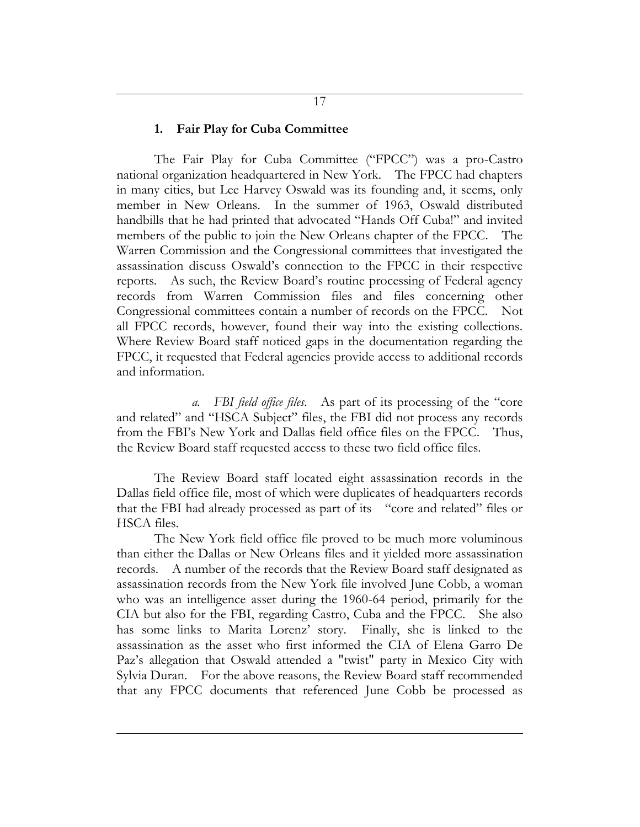#### **1. Fair Play for Cuba Committee**

The Fair Play for Cuba Committee ("FPCC") was a pro-Castro national organization headquartered in New York. The FPCC had chapters in many cities, but Lee Harvey Oswald was its founding and, it seems, only member in New Orleans. In the summer of 1963, Oswald distributed handbills that he had printed that advocated "Hands Off Cuba!" and invited members of the public to join the New Orleans chapter of the FPCC. The Warren Commission and the Congressional committees that investigated the assassination discuss Oswald's connection to the FPCC in their respective reports. As such, the Review Board's routine processing of Federal agency records from Warren Commission files and files concerning other Congressional committees contain a number of records on the FPCC. Not all FPCC records, however, found their way into the existing collections. Where Review Board staff noticed gaps in the documentation regarding the FPCC, it requested that Federal agencies provide access to additional records and information.

*a. FBI field office files*. As part of its processing of the "core and related" and "HSCA Subject" files, the FBI did not process any records from the FBI's New York and Dallas field office files on the FPCC. Thus, the Review Board staff requested access to these two field office files.

The Review Board staff located eight assassination records in the Dallas field office file, most of which were duplicates of headquarters records that the FBI had already processed as part of its "core and related" files or HSCA files.

The New York field office file proved to be much more voluminous than either the Dallas or New Orleans files and it yielded more assassination records. A number of the records that the Review Board staff designated as assassination records from the New York file involved June Cobb, a woman who was an intelligence asset during the 1960-64 period, primarily for the CIA but also for the FBI, regarding Castro, Cuba and the FPCC. She also has some links to Marita Lorenz' story. Finally, she is linked to the assassination as the asset who first informed the CIA of Elena Garro De Paz's allegation that Oswald attended a "twist" party in Mexico City with Sylvia Duran. For the above reasons, the Review Board staff recommended that any FPCC documents that referenced June Cobb be processed as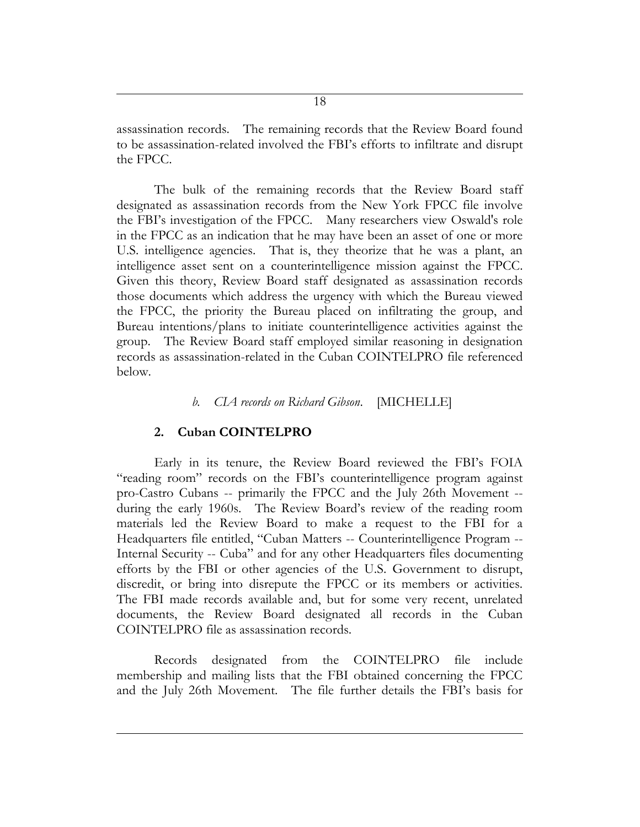assassination records. The remaining records that the Review Board found to be assassination-related involved the FBI's efforts to infiltrate and disrupt the FPCC.

The bulk of the remaining records that the Review Board staff designated as assassination records from the New York FPCC file involve the FBI's investigation of the FPCC. Many researchers view Oswald's role in the FPCC as an indication that he may have been an asset of one or more U.S. intelligence agencies. That is, they theorize that he was a plant, an intelligence asset sent on a counterintelligence mission against the FPCC. Given this theory, Review Board staff designated as assassination records those documents which address the urgency with which the Bureau viewed the FPCC, the priority the Bureau placed on infiltrating the group, and Bureau intentions/plans to initiate counterintelligence activities against the group. The Review Board staff employed similar reasoning in designation records as assassination-related in the Cuban COINTELPRO file referenced below.

#### *b. CIA records on Richard Gibson*. [MICHELLE]

#### **2. Cuban COINTELPRO**

Early in its tenure, the Review Board reviewed the FBI's FOIA "reading room" records on the FBI's counterintelligence program against pro-Castro Cubans -- primarily the FPCC and the July 26th Movement - during the early 1960s. The Review Board's review of the reading room materials led the Review Board to make a request to the FBI for a Headquarters file entitled, "Cuban Matters -- Counterintelligence Program -- Internal Security -- Cuba" and for any other Headquarters files documenting efforts by the FBI or other agencies of the U.S. Government to disrupt, discredit, or bring into disrepute the FPCC or its members or activities. The FBI made records available and, but for some very recent, unrelated documents, the Review Board designated all records in the Cuban COINTELPRO file as assassination records.

Records designated from the COINTELPRO file include membership and mailing lists that the FBI obtained concerning the FPCC and the July 26th Movement. The file further details the FBI's basis for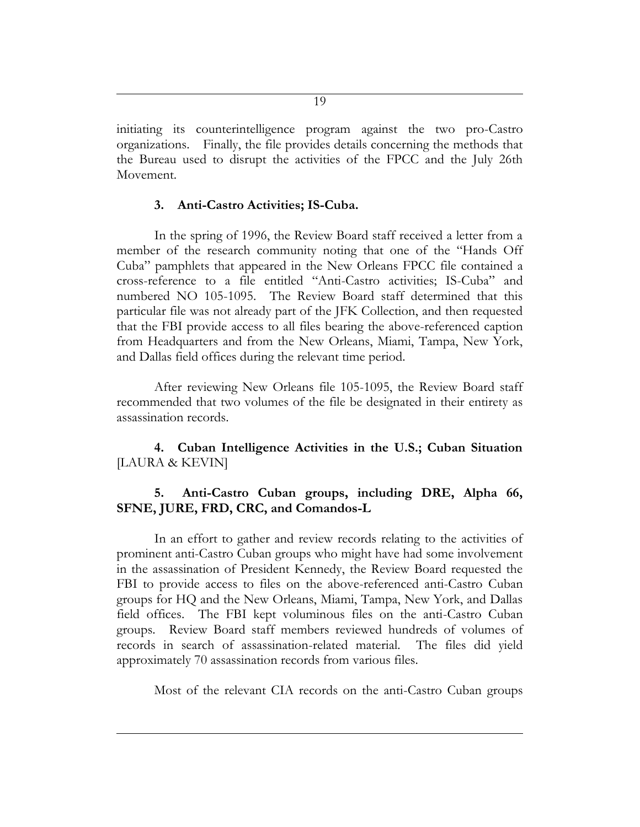initiating its counterintelligence program against the two pro-Castro organizations. Finally, the file provides details concerning the methods that the Bureau used to disrupt the activities of the FPCC and the July 26th Movement.

#### **3. Anti-Castro Activities; IS-Cuba.**

In the spring of 1996, the Review Board staff received a letter from a member of the research community noting that one of the "Hands Off Cuba" pamphlets that appeared in the New Orleans FPCC file contained a cross-reference to a file entitled "Anti-Castro activities; IS-Cuba" and numbered NO 105-1095. The Review Board staff determined that this particular file was not already part of the JFK Collection, and then requested that the FBI provide access to all files bearing the above-referenced caption from Headquarters and from the New Orleans, Miami, Tampa, New York, and Dallas field offices during the relevant time period.

After reviewing New Orleans file 105-1095, the Review Board staff recommended that two volumes of the file be designated in their entirety as assassination records.

**4. Cuban Intelligence Activities in the U.S.; Cuban Situation**  [LAURA & KEVIN]

### **5. Anti-Castro Cuban groups, including DRE, Alpha 66, SFNE, JURE, FRD, CRC, and Comandos-L**

In an effort to gather and review records relating to the activities of prominent anti-Castro Cuban groups who might have had some involvement in the assassination of President Kennedy, the Review Board requested the FBI to provide access to files on the above-referenced anti-Castro Cuban groups for HQ and the New Orleans, Miami, Tampa, New York, and Dallas field offices. The FBI kept voluminous files on the anti-Castro Cuban groups. Review Board staff members reviewed hundreds of volumes of records in search of assassination-related material. The files did yield approximately 70 assassination records from various files.

Most of the relevant CIA records on the anti-Castro Cuban groups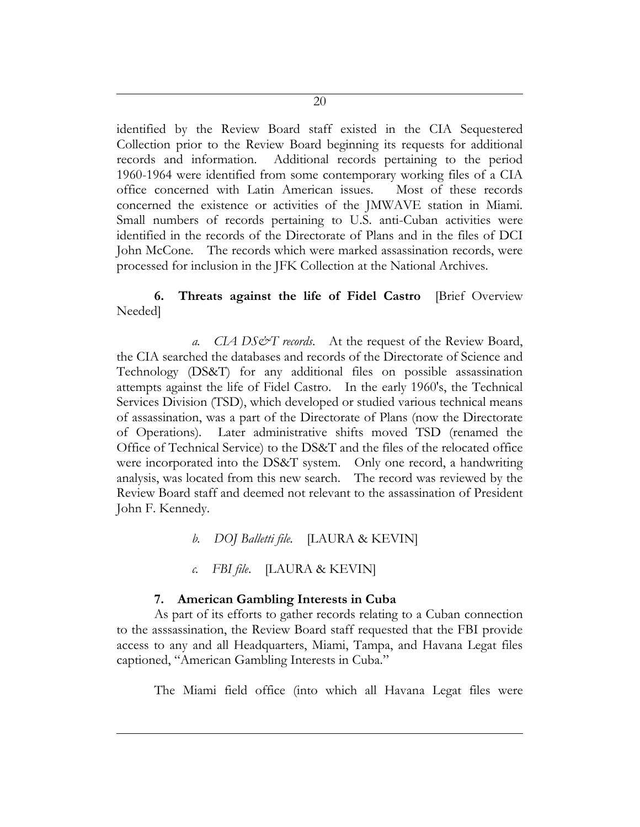identified by the Review Board staff existed in the CIA Sequestered Collection prior to the Review Board beginning its requests for additional records and information. Additional records pertaining to the period 1960-1964 were identified from some contemporary working files of a CIA office concerned with Latin American issues. Most of these records concerned the existence or activities of the JMWAVE station in Miami. Small numbers of records pertaining to U.S. anti-Cuban activities were identified in the records of the Directorate of Plans and in the files of DCI John McCone. The records which were marked assassination records, were processed for inclusion in the JFK Collection at the National Archives.

# **6. Threats against the life of Fidel Castro** [Brief Overview Needed]

*a. CIA DS&T records*. At the request of the Review Board, the CIA searched the databases and records of the Directorate of Science and Technology (DS&T) for any additional files on possible assassination attempts against the life of Fidel Castro. In the early 1960's, the Technical Services Division (TSD), which developed or studied various technical means of assassination, was a part of the Directorate of Plans (now the Directorate of Operations). Later administrative shifts moved TSD (renamed the Office of Technical Service) to the DS&T and the files of the relocated office were incorporated into the DS&T system. Only one record, a handwriting analysis, was located from this new search. The record was reviewed by the Review Board staff and deemed not relevant to the assassination of President John F. Kennedy.

- *b. DOJ Balletti file.* [LAURA & KEVIN]
- *c. FBI file*. [LAURA & KEVIN]

# **7. American Gambling Interests in Cuba**

As part of its efforts to gather records relating to a Cuban connection to the asssassination, the Review Board staff requested that the FBI provide access to any and all Headquarters, Miami, Tampa, and Havana Legat files captioned, "American Gambling Interests in Cuba."

The Miami field office (into which all Havana Legat files were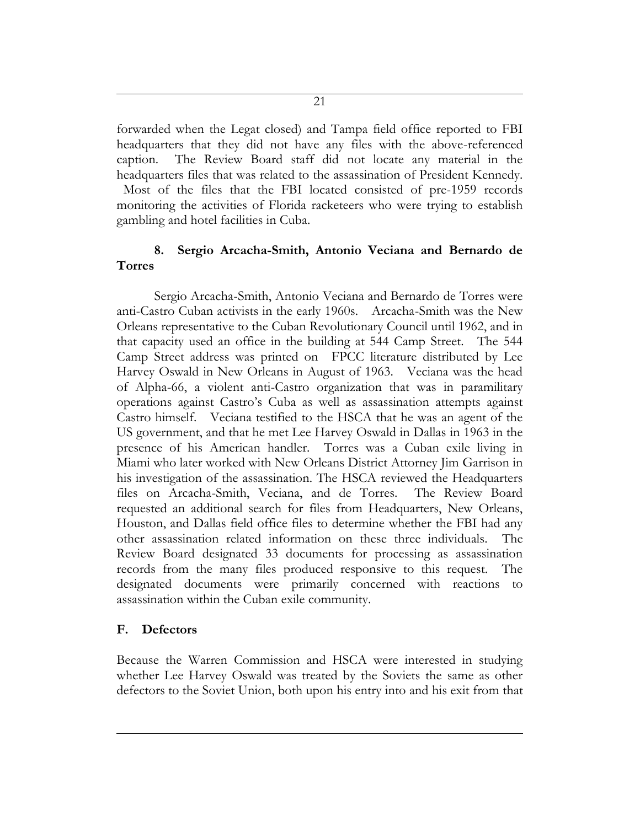forwarded when the Legat closed) and Tampa field office reported to FBI headquarters that they did not have any files with the above-referenced caption. The Review Board staff did not locate any material in the headquarters files that was related to the assassination of President Kennedy.

Most of the files that the FBI located consisted of pre-1959 records monitoring the activities of Florida racketeers who were trying to establish gambling and hotel facilities in Cuba.

# **8. Sergio Arcacha-Smith, Antonio Veciana and Bernardo de Torres**

Sergio Arcacha-Smith, Antonio Veciana and Bernardo de Torres were anti-Castro Cuban activists in the early 1960s. Arcacha-Smith was the New Orleans representative to the Cuban Revolutionary Council until 1962, and in that capacity used an office in the building at 544 Camp Street. The 544 Camp Street address was printed on FPCC literature distributed by Lee Harvey Oswald in New Orleans in August of 1963. Veciana was the head of Alpha-66, a violent anti-Castro organization that was in paramilitary operations against Castro's Cuba as well as assassination attempts against Castro himself. Veciana testified to the HSCA that he was an agent of the US government, and that he met Lee Harvey Oswald in Dallas in 1963 in the presence of his American handler. Torres was a Cuban exile living in Miami who later worked with New Orleans District Attorney Jim Garrison in his investigation of the assassination. The HSCA reviewed the Headquarters files on Arcacha-Smith, Veciana, and de Torres. The Review Board requested an additional search for files from Headquarters, New Orleans, Houston, and Dallas field office files to determine whether the FBI had any other assassination related information on these three individuals. The Review Board designated 33 documents for processing as assassination records from the many files produced responsive to this request. The designated documents were primarily concerned with reactions to assassination within the Cuban exile community.

# **F. Defectors**

Because the Warren Commission and HSCA were interested in studying whether Lee Harvey Oswald was treated by the Soviets the same as other defectors to the Soviet Union, both upon his entry into and his exit from that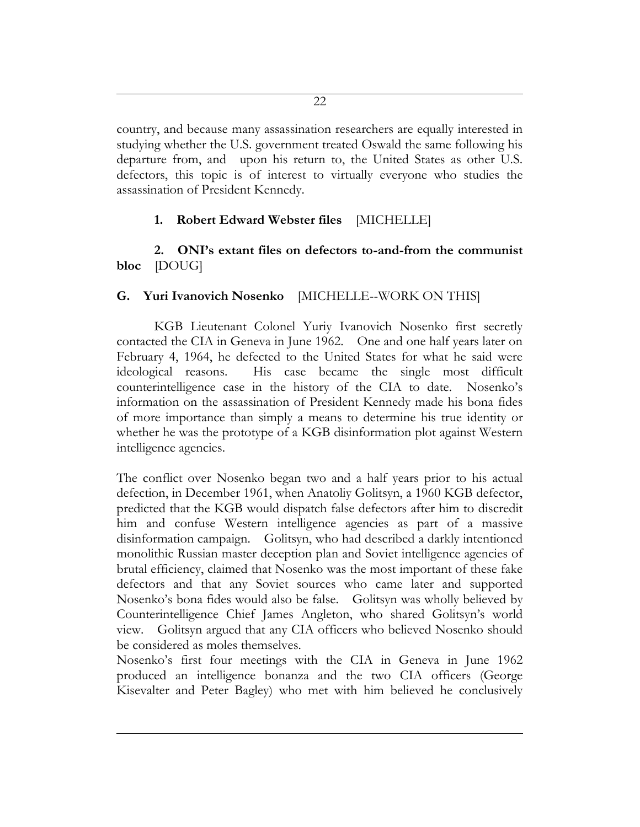country, and because many assassination researchers are equally interested in studying whether the U.S. government treated Oswald the same following his departure from, and upon his return to, the United States as other U.S. defectors, this topic is of interest to virtually everyone who studies the assassination of President Kennedy.

# **1. Robert Edward Webster files** [MICHELLE]

**2. ONI's extant files on defectors to-and-from the communist bloc** [DOUG]

# **G. Yuri Ivanovich Nosenko** [MICHELLE--WORK ON THIS]

KGB Lieutenant Colonel Yuriy Ivanovich Nosenko first secretly contacted the CIA in Geneva in June 1962. One and one half years later on February 4, 1964, he defected to the United States for what he said were ideological reasons. His case became the single most difficult counterintelligence case in the history of the CIA to date. Nosenko's information on the assassination of President Kennedy made his bona fides of more importance than simply a means to determine his true identity or whether he was the prototype of a KGB disinformation plot against Western intelligence agencies.

The conflict over Nosenko began two and a half years prior to his actual defection, in December 1961, when Anatoliy Golitsyn, a 1960 KGB defector, predicted that the KGB would dispatch false defectors after him to discredit him and confuse Western intelligence agencies as part of a massive disinformation campaign. Golitsyn, who had described a darkly intentioned monolithic Russian master deception plan and Soviet intelligence agencies of brutal efficiency, claimed that Nosenko was the most important of these fake defectors and that any Soviet sources who came later and supported Nosenko's bona fides would also be false. Golitsyn was wholly believed by Counterintelligence Chief James Angleton, who shared Golitsyn's world view. Golitsyn argued that any CIA officers who believed Nosenko should be considered as moles themselves.

Nosenko's first four meetings with the CIA in Geneva in June 1962 produced an intelligence bonanza and the two CIA officers (George Kisevalter and Peter Bagley) who met with him believed he conclusively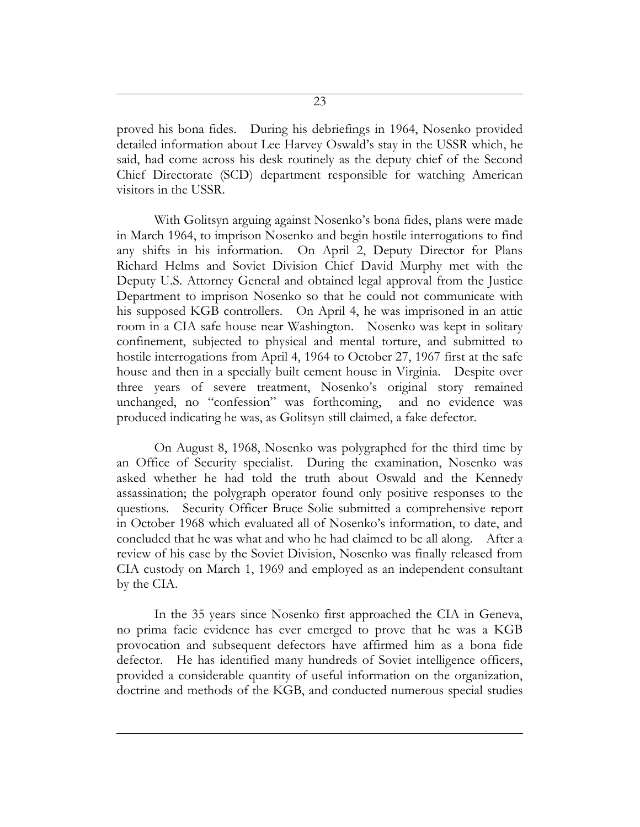proved his bona fides. During his debriefings in 1964, Nosenko provided detailed information about Lee Harvey Oswald's stay in the USSR which, he said, had come across his desk routinely as the deputy chief of the Second Chief Directorate (SCD) department responsible for watching American visitors in the USSR.

With Golitsyn arguing against Nosenko's bona fides, plans were made in March 1964, to imprison Nosenko and begin hostile interrogations to find any shifts in his information. On April 2, Deputy Director for Plans Richard Helms and Soviet Division Chief David Murphy met with the Deputy U.S. Attorney General and obtained legal approval from the Justice Department to imprison Nosenko so that he could not communicate with his supposed KGB controllers. On April 4, he was imprisoned in an attic room in a CIA safe house near Washington. Nosenko was kept in solitary confinement, subjected to physical and mental torture, and submitted to hostile interrogations from April 4, 1964 to October 27, 1967 first at the safe house and then in a specially built cement house in Virginia. Despite over three years of severe treatment, Nosenko's original story remained unchanged, no "confession" was forthcoming, and no evidence was produced indicating he was, as Golitsyn still claimed, a fake defector.

On August 8, 1968, Nosenko was polygraphed for the third time by an Office of Security specialist. During the examination, Nosenko was asked whether he had told the truth about Oswald and the Kennedy assassination; the polygraph operator found only positive responses to the questions. Security Officer Bruce Solie submitted a comprehensive report in October 1968 which evaluated all of Nosenko's information, to date, and concluded that he was what and who he had claimed to be all along. After a review of his case by the Soviet Division, Nosenko was finally released from CIA custody on March 1, 1969 and employed as an independent consultant by the CIA.

In the 35 years since Nosenko first approached the CIA in Geneva, no prima facie evidence has ever emerged to prove that he was a KGB provocation and subsequent defectors have affirmed him as a bona fide defector. He has identified many hundreds of Soviet intelligence officers, provided a considerable quantity of useful information on the organization, doctrine and methods of the KGB, and conducted numerous special studies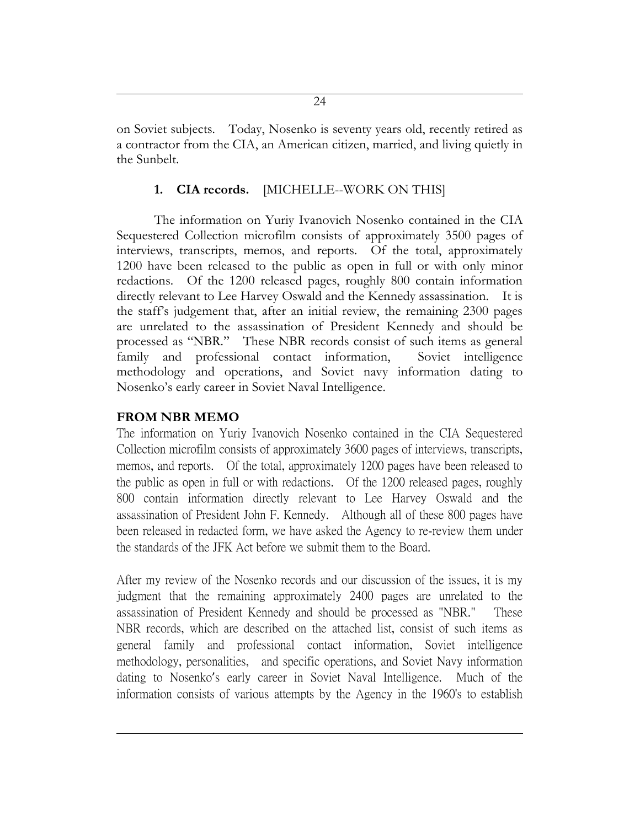on Soviet subjects. Today, Nosenko is seventy years old, recently retired as a contractor from the CIA, an American citizen, married, and living quietly in the Sunbelt.

# **1. CIA records.** [MICHELLE--WORK ON THIS]

The information on Yuriy Ivanovich Nosenko contained in the CIA Sequestered Collection microfilm consists of approximately 3500 pages of interviews, transcripts, memos, and reports. Of the total, approximately 1200 have been released to the public as open in full or with only minor redactions. Of the 1200 released pages, roughly 800 contain information directly relevant to Lee Harvey Oswald and the Kennedy assassination. It is the staff's judgement that, after an initial review, the remaining 2300 pages are unrelated to the assassination of President Kennedy and should be processed as "NBR." These NBR records consist of such items as general family and professional contact information, Soviet intelligence methodology and operations, and Soviet navy information dating to Nosenko's early career in Soviet Naval Intelligence.

# **FROM NBR MEMO**

The information on Yuriy Ivanovich Nosenko contained in the CIA Sequestered Collection microfilm consists of approximately 3600 pages of interviews, transcripts, memos, and reports. Of the total, approximately 1200 pages have been released to the public as open in full or with redactions. Of the 1200 released pages, roughly 800 contain information directly relevant to Lee Harvey Oswald and the assassination of President John F. Kennedy. Although all of these 800 pages have been released in redacted form, we have asked the Agency to re-review them under the standards of the JFK Act before we submit them to the Board.

After my review of the Nosenko records and our discussion of the issues, it is my judgment that the remaining approximately 2400 pages are unrelated to the assassination of President Kennedy and should be processed as "NBR." These NBR records, which are described on the attached list, consist of such items as general family and professional contact information, Soviet intelligence methodology, personalities, and specific operations, and Soviet Navy information dating to Nosenko's early career in Soviet Naval Intelligence. Much of the information consists of various attempts by the Agency in the 1960's to establish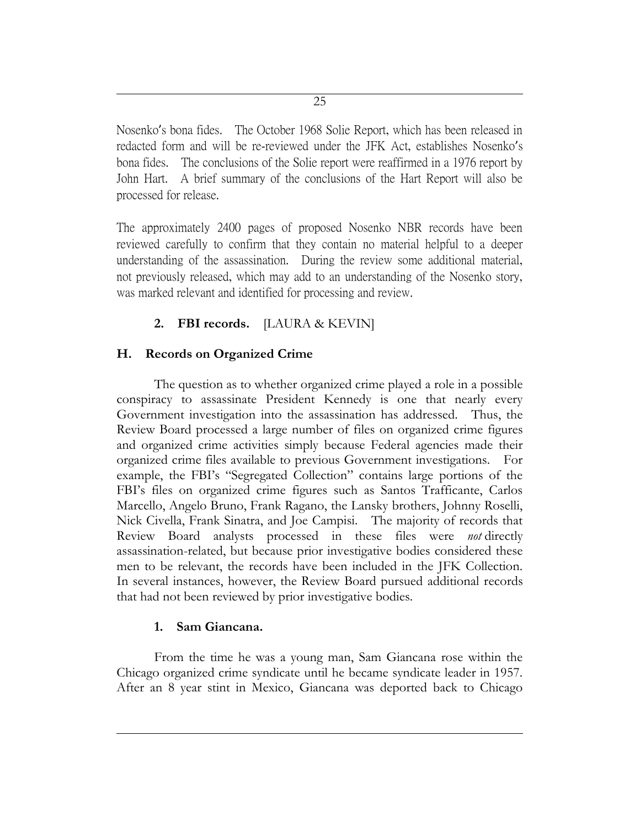Nosenko's bona fides. The October 1968 Solie Report, which has been released in redacted form and will be re-reviewed under the JFK Act, establishes Nosenko's bona fides. The conclusions of the Solie report were reaffirmed in a 1976 report by John Hart. A brief summary of the conclusions of the Hart Report will also be processed for release.

The approximately 2400 pages of proposed Nosenko NBR records have been reviewed carefully to confirm that they contain no material helpful to a deeper understanding of the assassination. During the review some additional material, not previously released, which may add to an understanding of the Nosenko story, was marked relevant and identified for processing and review.

# **2. FBI records.** [LAURA & KEVIN]

# **H. Records on Organized Crime**

The question as to whether organized crime played a role in a possible conspiracy to assassinate President Kennedy is one that nearly every Government investigation into the assassination has addressed. Thus, the Review Board processed a large number of files on organized crime figures and organized crime activities simply because Federal agencies made their organized crime files available to previous Government investigations. For example, the FBI's "Segregated Collection" contains large portions of the FBI's files on organized crime figures such as Santos Trafficante, Carlos Marcello, Angelo Bruno, Frank Ragano, the Lansky brothers, Johnny Roselli, Nick Civella, Frank Sinatra, and Joe Campisi. The majority of records that Review Board analysts processed in these files were *not* directly assassination-related, but because prior investigative bodies considered these men to be relevant, the records have been included in the JFK Collection. In several instances, however, the Review Board pursued additional records that had not been reviewed by prior investigative bodies.

# **1. Sam Giancana.**

From the time he was a young man, Sam Giancana rose within the Chicago organized crime syndicate until he became syndicate leader in 1957. After an 8 year stint in Mexico, Giancana was deported back to Chicago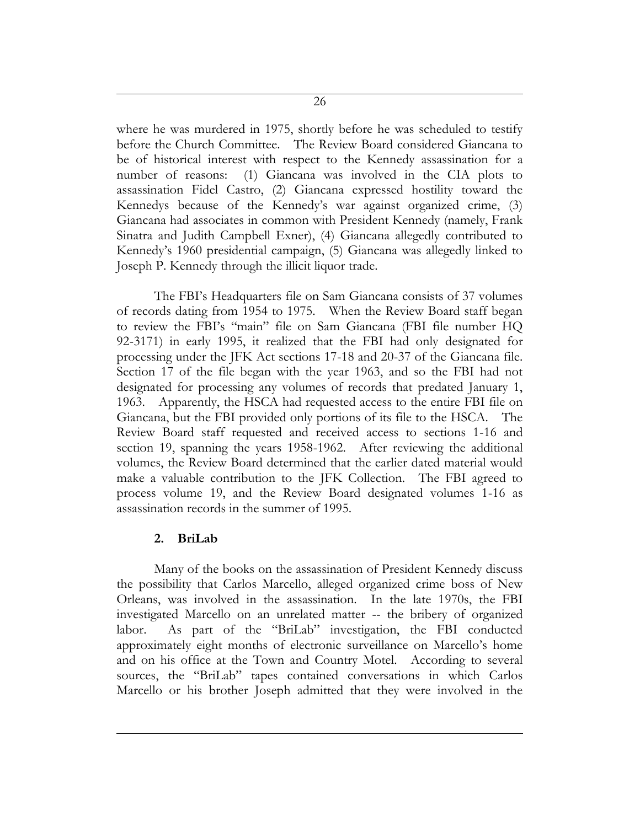where he was murdered in 1975, shortly before he was scheduled to testify before the Church Committee. The Review Board considered Giancana to be of historical interest with respect to the Kennedy assassination for a number of reasons: (1) Giancana was involved in the CIA plots to assassination Fidel Castro, (2) Giancana expressed hostility toward the Kennedys because of the Kennedy's war against organized crime, (3) Giancana had associates in common with President Kennedy (namely, Frank Sinatra and Judith Campbell Exner), (4) Giancana allegedly contributed to Kennedy's 1960 presidential campaign, (5) Giancana was allegedly linked to Joseph P. Kennedy through the illicit liquor trade.

The FBI's Headquarters file on Sam Giancana consists of 37 volumes of records dating from 1954 to 1975. When the Review Board staff began to review the FBI's "main" file on Sam Giancana (FBI file number HQ 92-3171) in early 1995, it realized that the FBI had only designated for processing under the JFK Act sections 17-18 and 20-37 of the Giancana file. Section 17 of the file began with the year 1963, and so the FBI had not designated for processing any volumes of records that predated January 1, 1963. Apparently, the HSCA had requested access to the entire FBI file on Giancana, but the FBI provided only portions of its file to the HSCA. The Review Board staff requested and received access to sections 1-16 and section 19, spanning the years 1958-1962. After reviewing the additional volumes, the Review Board determined that the earlier dated material would make a valuable contribution to the JFK Collection. The FBI agreed to process volume 19, and the Review Board designated volumes 1-16 as assassination records in the summer of 1995.

### **2. BriLab**

Many of the books on the assassination of President Kennedy discuss the possibility that Carlos Marcello, alleged organized crime boss of New Orleans, was involved in the assassination. In the late 1970s, the FBI investigated Marcello on an unrelated matter -- the bribery of organized labor. As part of the "BriLab" investigation, the FBI conducted approximately eight months of electronic surveillance on Marcello's home and on his office at the Town and Country Motel. According to several sources, the "BriLab" tapes contained conversations in which Carlos Marcello or his brother Joseph admitted that they were involved in the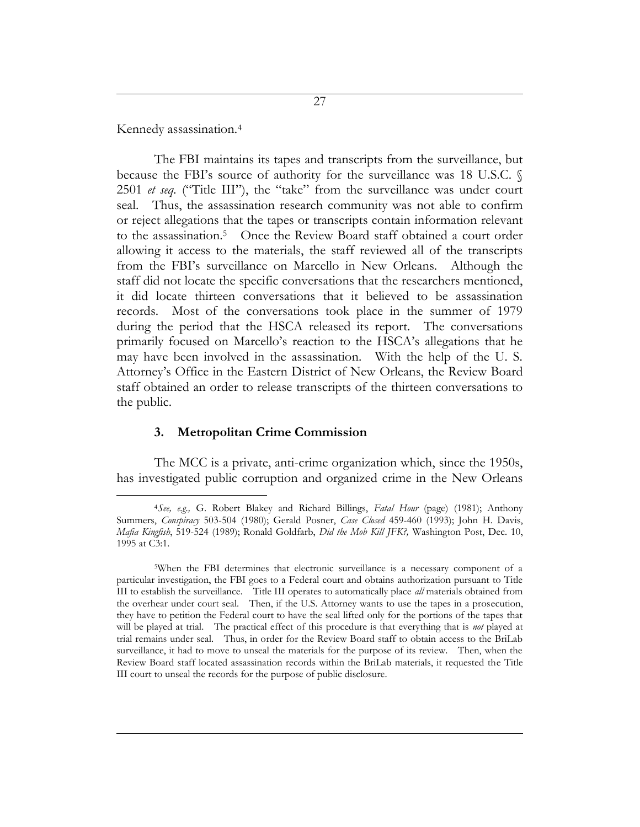Kennedy assassination.<sup>4</sup>

 $\overline{a}$ 

The FBI maintains its tapes and transcripts from the surveillance, but because the FBI's source of authority for the surveillance was 18 U.S.C. § 2501 *et seq.* ("Title III"), the "take" from the surveillance was under court seal. Thus, the assassination research community was not able to confirm or reject allegations that the tapes or transcripts contain information relevant to the assassination.<sup>5</sup> Once the Review Board staff obtained a court order allowing it access to the materials, the staff reviewed all of the transcripts from the FBI's surveillance on Marcello in New Orleans. Although the staff did not locate the specific conversations that the researchers mentioned, it did locate thirteen conversations that it believed to be assassination records. Most of the conversations took place in the summer of 1979 during the period that the HSCA released its report. The conversations primarily focused on Marcello's reaction to the HSCA's allegations that he may have been involved in the assassination. With the help of the U. S. Attorney's Office in the Eastern District of New Orleans, the Review Board staff obtained an order to release transcripts of the thirteen conversations to the public.

#### **3. Metropolitan Crime Commission**

The MCC is a private, anti-crime organization which, since the 1950s, has investigated public corruption and organized crime in the New Orleans

<sup>4</sup>*See, e.g.,* G. Robert Blakey and Richard Billings, *Fatal Hour* (page) (1981); Anthony Summers, *Conspiracy* 503-504 (1980); Gerald Posner, *Case Closed* 459-460 (1993); John H. Davis, *Mafia Kingfish*, 519-524 (1989); Ronald Goldfarb, *Did the Mob Kill JFK?,* Washington Post, Dec. 10, 1995 at C3:1.

<sup>5</sup>When the FBI determines that electronic surveillance is a necessary component of a particular investigation, the FBI goes to a Federal court and obtains authorization pursuant to Title III to establish the surveillance. Title III operates to automatically place *all* materials obtained from the overhear under court seal. Then, if the U.S. Attorney wants to use the tapes in a prosecution, they have to petition the Federal court to have the seal lifted only for the portions of the tapes that will be played at trial. The practical effect of this procedure is that everything that is *not* played at trial remains under seal. Thus, in order for the Review Board staff to obtain access to the BriLab surveillance, it had to move to unseal the materials for the purpose of its review. Then, when the Review Board staff located assassination records within the BriLab materials, it requested the Title III court to unseal the records for the purpose of public disclosure.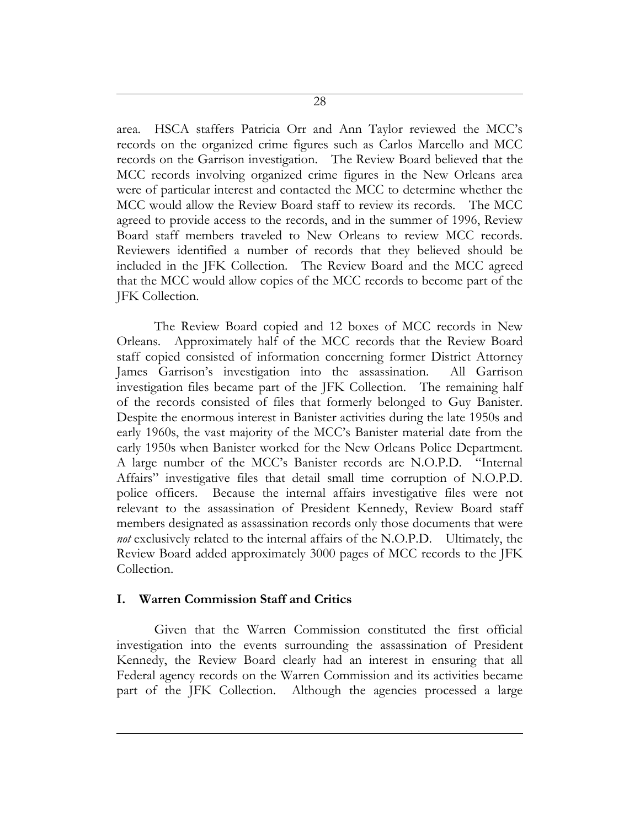area. HSCA staffers Patricia Orr and Ann Taylor reviewed the MCC's records on the organized crime figures such as Carlos Marcello and MCC records on the Garrison investigation. The Review Board believed that the MCC records involving organized crime figures in the New Orleans area were of particular interest and contacted the MCC to determine whether the MCC would allow the Review Board staff to review its records. The MCC agreed to provide access to the records, and in the summer of 1996, Review Board staff members traveled to New Orleans to review MCC records. Reviewers identified a number of records that they believed should be included in the JFK Collection. The Review Board and the MCC agreed that the MCC would allow copies of the MCC records to become part of the JFK Collection.

The Review Board copied and 12 boxes of MCC records in New Orleans. Approximately half of the MCC records that the Review Board staff copied consisted of information concerning former District Attorney James Garrison's investigation into the assassination. All Garrison investigation files became part of the JFK Collection. The remaining half of the records consisted of files that formerly belonged to Guy Banister. Despite the enormous interest in Banister activities during the late 1950s and early 1960s, the vast majority of the MCC's Banister material date from the early 1950s when Banister worked for the New Orleans Police Department. A large number of the MCC's Banister records are N.O.P.D. "Internal Affairs" investigative files that detail small time corruption of N.O.P.D. police officers. Because the internal affairs investigative files were not relevant to the assassination of President Kennedy, Review Board staff members designated as assassination records only those documents that were *not* exclusively related to the internal affairs of the N.O.P.D. Ultimately, the Review Board added approximately 3000 pages of MCC records to the JFK Collection.

### **I. Warren Commission Staff and Critics**

Given that the Warren Commission constituted the first official investigation into the events surrounding the assassination of President Kennedy, the Review Board clearly had an interest in ensuring that all Federal agency records on the Warren Commission and its activities became part of the JFK Collection. Although the agencies processed a large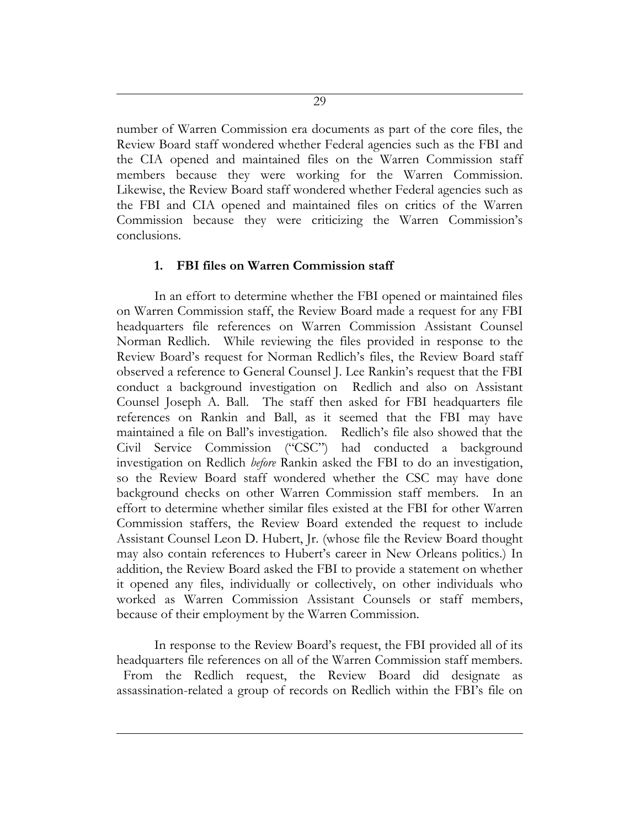number of Warren Commission era documents as part of the core files, the Review Board staff wondered whether Federal agencies such as the FBI and the CIA opened and maintained files on the Warren Commission staff members because they were working for the Warren Commission. Likewise, the Review Board staff wondered whether Federal agencies such as the FBI and CIA opened and maintained files on critics of the Warren Commission because they were criticizing the Warren Commission's conclusions.

#### **1. FBI files on Warren Commission staff**

In an effort to determine whether the FBI opened or maintained files on Warren Commission staff, the Review Board made a request for any FBI headquarters file references on Warren Commission Assistant Counsel Norman Redlich. While reviewing the files provided in response to the Review Board's request for Norman Redlich's files, the Review Board staff observed a reference to General Counsel J. Lee Rankin's request that the FBI conduct a background investigation on Redlich and also on Assistant Counsel Joseph A. Ball. The staff then asked for FBI headquarters file references on Rankin and Ball, as it seemed that the FBI may have maintained a file on Ball's investigation. Redlich's file also showed that the Civil Service Commission ("CSC") had conducted a background investigation on Redlich *before* Rankin asked the FBI to do an investigation, so the Review Board staff wondered whether the CSC may have done background checks on other Warren Commission staff members. In an effort to determine whether similar files existed at the FBI for other Warren Commission staffers, the Review Board extended the request to include Assistant Counsel Leon D. Hubert, Jr. (whose file the Review Board thought may also contain references to Hubert's career in New Orleans politics.) In addition, the Review Board asked the FBI to provide a statement on whether it opened any files, individually or collectively, on other individuals who worked as Warren Commission Assistant Counsels or staff members, because of their employment by the Warren Commission.

In response to the Review Board's request, the FBI provided all of its headquarters file references on all of the Warren Commission staff members. From the Redlich request, the Review Board did designate as assassination-related a group of records on Redlich within the FBI's file on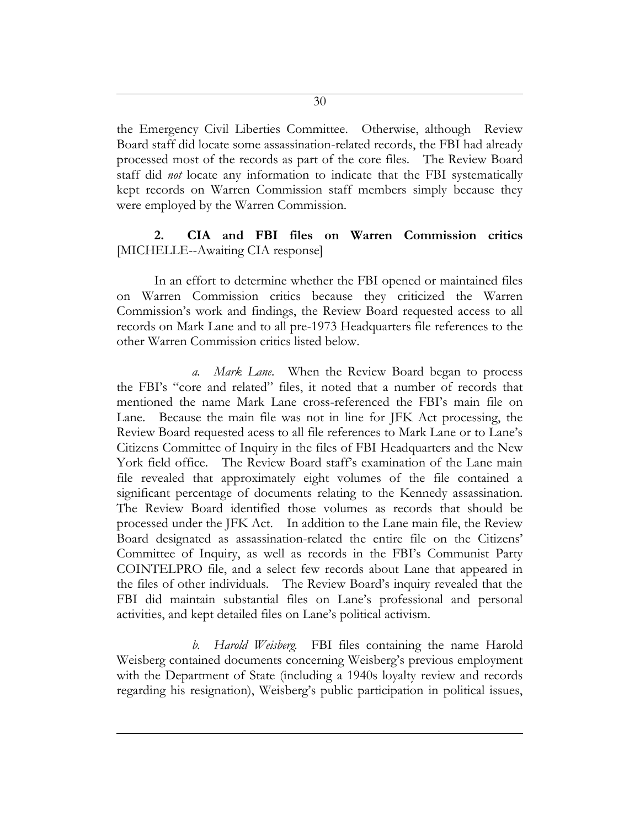the Emergency Civil Liberties Committee. Otherwise, although Review Board staff did locate some assassination-related records, the FBI had already processed most of the records as part of the core files. The Review Board staff did *not* locate any information to indicate that the FBI systematically kept records on Warren Commission staff members simply because they were employed by the Warren Commission.

# **2. CIA and FBI files on Warren Commission critics** [MICHELLE--Awaiting CIA response]

In an effort to determine whether the FBI opened or maintained files on Warren Commission critics because they criticized the Warren Commission's work and findings, the Review Board requested access to all records on Mark Lane and to all pre-1973 Headquarters file references to the other Warren Commission critics listed below.

*a. Mark Lane*. When the Review Board began to process the FBI's "core and related" files, it noted that a number of records that mentioned the name Mark Lane cross-referenced the FBI's main file on Lane. Because the main file was not in line for JFK Act processing, the Review Board requested acess to all file references to Mark Lane or to Lane's Citizens Committee of Inquiry in the files of FBI Headquarters and the New York field office. The Review Board staff's examination of the Lane main file revealed that approximately eight volumes of the file contained a significant percentage of documents relating to the Kennedy assassination. The Review Board identified those volumes as records that should be processed under the JFK Act. In addition to the Lane main file, the Review Board designated as assassination-related the entire file on the Citizens' Committee of Inquiry, as well as records in the FBI's Communist Party COINTELPRO file, and a select few records about Lane that appeared in the files of other individuals. The Review Board's inquiry revealed that the FBI did maintain substantial files on Lane's professional and personal activities, and kept detailed files on Lane's political activism.

*b. Harold Weisberg.* FBI files containing the name Harold Weisberg contained documents concerning Weisberg's previous employment with the Department of State (including a 1940s loyalty review and records regarding his resignation), Weisberg's public participation in political issues,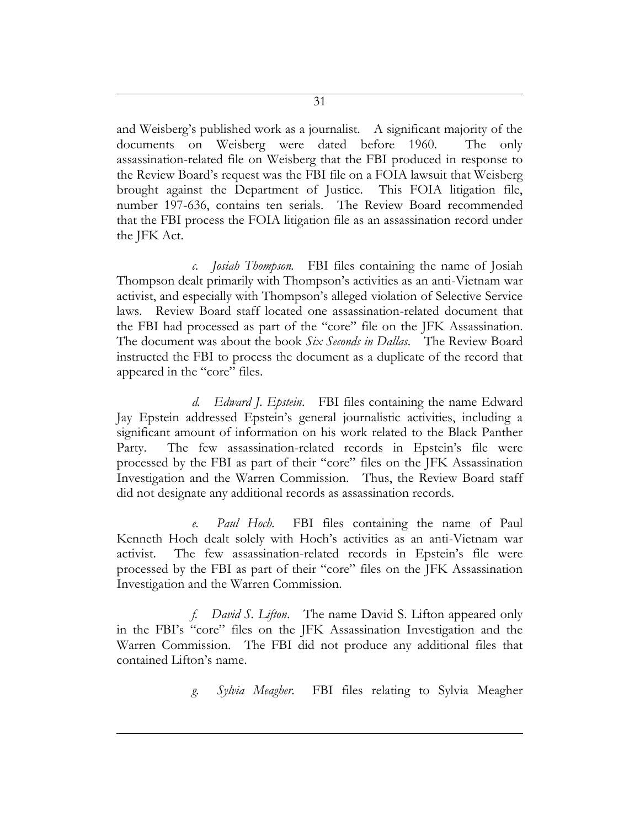and Weisberg's published work as a journalist. A significant majority of the documents on Weisberg were dated before 1960. The only assassination-related file on Weisberg that the FBI produced in response to the Review Board's request was the FBI file on a FOIA lawsuit that Weisberg brought against the Department of Justice. This FOIA litigation file, number 197-636, contains ten serials. The Review Board recommended that the FBI process the FOIA litigation file as an assassination record under the JFK Act.

*c. Josiah Thompson.* FBI files containing the name of Josiah Thompson dealt primarily with Thompson's activities as an anti-Vietnam war activist, and especially with Thompson's alleged violation of Selective Service laws. Review Board staff located one assassination-related document that the FBI had processed as part of the "core" file on the JFK Assassination. The document was about the book *Six Seconds in Dallas*. The Review Board instructed the FBI to process the document as a duplicate of the record that appeared in the "core" files.

*d. Edward J. Epstein*. FBI files containing the name Edward Jay Epstein addressed Epstein's general journalistic activities, including a significant amount of information on his work related to the Black Panther Party. The few assassination-related records in Epstein's file were processed by the FBI as part of their "core" files on the JFK Assassination Investigation and the Warren Commission. Thus, the Review Board staff did not designate any additional records as assassination records.

*e. Paul Hoch.* FBI files containing the name of Paul Kenneth Hoch dealt solely with Hoch's activities as an anti-Vietnam war activist. The few assassination-related records in Epstein's file were processed by the FBI as part of their "core" files on the JFK Assassination Investigation and the Warren Commission.

*f. David S. Lifton*. The name David S. Lifton appeared only in the FBI's "core" files on the JFK Assassination Investigation and the Warren Commission. The FBI did not produce any additional files that contained Lifton's name.

*g. Sylvia Meagher.* FBI files relating to Sylvia Meagher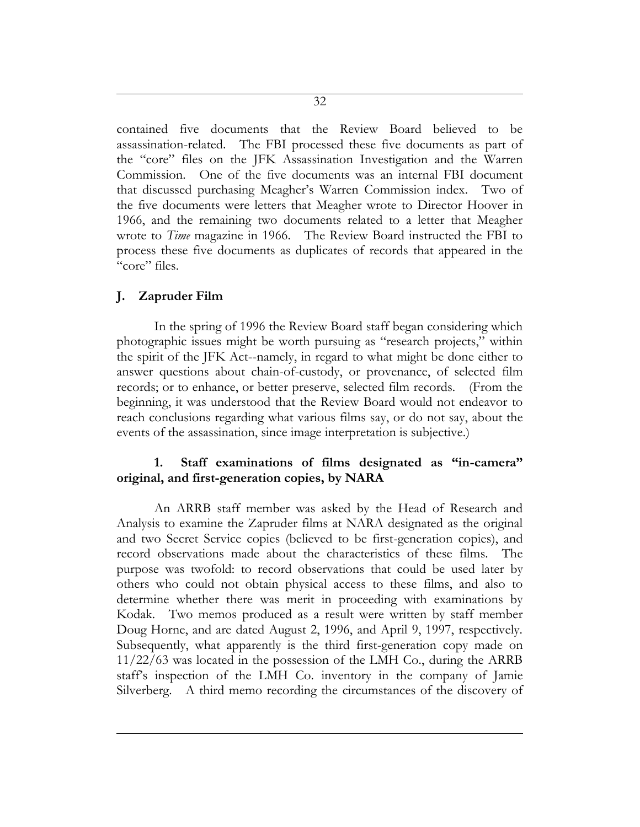contained five documents that the Review Board believed to be assassination-related. The FBI processed these five documents as part of the "core" files on the JFK Assassination Investigation and the Warren Commission. One of the five documents was an internal FBI document that discussed purchasing Meagher's Warren Commission index. Two of the five documents were letters that Meagher wrote to Director Hoover in 1966, and the remaining two documents related to a letter that Meagher wrote to *Time* magazine in 1966. The Review Board instructed the FBI to process these five documents as duplicates of records that appeared in the "core" files.

### **J. Zapruder Film**

In the spring of 1996 the Review Board staff began considering which photographic issues might be worth pursuing as "research projects," within the spirit of the JFK Act--namely, in regard to what might be done either to answer questions about chain-of-custody, or provenance, of selected film records; or to enhance, or better preserve, selected film records. (From the beginning, it was understood that the Review Board would not endeavor to reach conclusions regarding what various films say, or do not say, about the events of the assassination, since image interpretation is subjective.)

# **1. Staff examinations of films designated as "in-camera" original, and first-generation copies, by NARA**

An ARRB staff member was asked by the Head of Research and Analysis to examine the Zapruder films at NARA designated as the original and two Secret Service copies (believed to be first-generation copies), and record observations made about the characteristics of these films. The purpose was twofold: to record observations that could be used later by others who could not obtain physical access to these films, and also to determine whether there was merit in proceeding with examinations by Kodak. Two memos produced as a result were written by staff member Doug Horne, and are dated August 2, 1996, and April 9, 1997, respectively. Subsequently, what apparently is the third first-generation copy made on 11/22/63 was located in the possession of the LMH Co., during the ARRB staff's inspection of the LMH Co. inventory in the company of Jamie Silverberg. A third memo recording the circumstances of the discovery of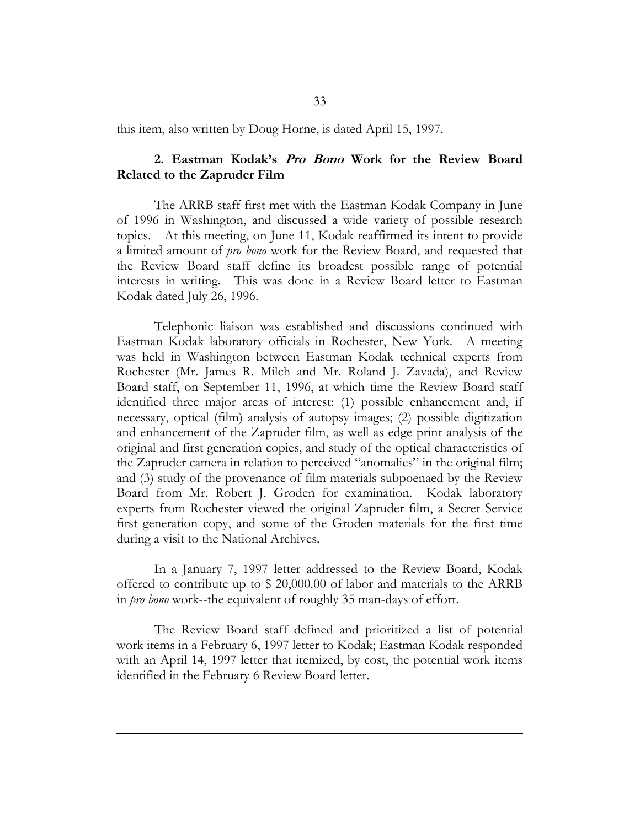this item, also written by Doug Horne, is dated April 15, 1997.

### **2. Eastman Kodak's Pro Bono Work for the Review Board Related to the Zapruder Film**

The ARRB staff first met with the Eastman Kodak Company in June of 1996 in Washington, and discussed a wide variety of possible research topics. At this meeting, on June 11, Kodak reaffirmed its intent to provide a limited amount of *pro bono* work for the Review Board, and requested that the Review Board staff define its broadest possible range of potential interests in writing. This was done in a Review Board letter to Eastman Kodak dated July 26, 1996.

Telephonic liaison was established and discussions continued with Eastman Kodak laboratory officials in Rochester, New York. A meeting was held in Washington between Eastman Kodak technical experts from Rochester (Mr. James R. Milch and Mr. Roland J. Zavada), and Review Board staff, on September 11, 1996, at which time the Review Board staff identified three major areas of interest: (1) possible enhancement and, if necessary, optical (film) analysis of autopsy images; (2) possible digitization and enhancement of the Zapruder film, as well as edge print analysis of the original and first generation copies, and study of the optical characteristics of the Zapruder camera in relation to perceived "anomalies" in the original film; and (3) study of the provenance of film materials subpoenaed by the Review Board from Mr. Robert J. Groden for examination. Kodak laboratory experts from Rochester viewed the original Zapruder film, a Secret Service first generation copy, and some of the Groden materials for the first time during a visit to the National Archives.

In a January 7, 1997 letter addressed to the Review Board, Kodak offered to contribute up to \$ 20,000.00 of labor and materials to the ARRB in *pro bono* work--the equivalent of roughly 35 man-days of effort.

The Review Board staff defined and prioritized a list of potential work items in a February 6, 1997 letter to Kodak; Eastman Kodak responded with an April 14, 1997 letter that itemized, by cost, the potential work items identified in the February 6 Review Board letter.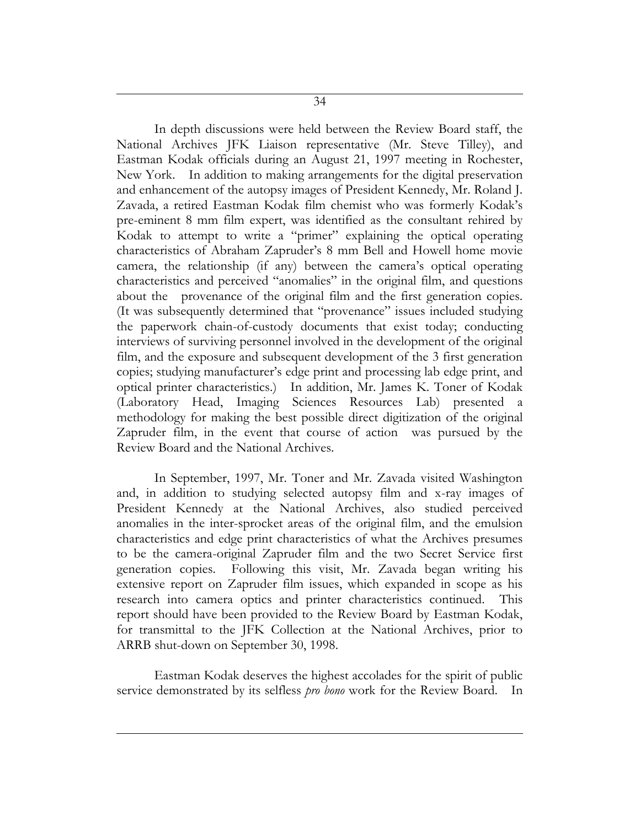34

In depth discussions were held between the Review Board staff, the National Archives JFK Liaison representative (Mr. Steve Tilley), and Eastman Kodak officials during an August 21, 1997 meeting in Rochester, New York. In addition to making arrangements for the digital preservation and enhancement of the autopsy images of President Kennedy, Mr. Roland J. Zavada, a retired Eastman Kodak film chemist who was formerly Kodak's pre-eminent 8 mm film expert, was identified as the consultant rehired by Kodak to attempt to write a "primer" explaining the optical operating characteristics of Abraham Zapruder's 8 mm Bell and Howell home movie camera, the relationship (if any) between the camera's optical operating characteristics and perceived "anomalies" in the original film, and questions about the provenance of the original film and the first generation copies. (It was subsequently determined that "provenance" issues included studying the paperwork chain-of-custody documents that exist today; conducting interviews of surviving personnel involved in the development of the original film, and the exposure and subsequent development of the 3 first generation copies; studying manufacturer's edge print and processing lab edge print, and optical printer characteristics.) In addition, Mr. James K. Toner of Kodak (Laboratory Head, Imaging Sciences Resources Lab) presented a methodology for making the best possible direct digitization of the original Zapruder film, in the event that course of action was pursued by the Review Board and the National Archives.

In September, 1997, Mr. Toner and Mr. Zavada visited Washington and, in addition to studying selected autopsy film and x-ray images of President Kennedy at the National Archives, also studied perceived anomalies in the inter-sprocket areas of the original film, and the emulsion characteristics and edge print characteristics of what the Archives presumes to be the camera-original Zapruder film and the two Secret Service first generation copies. Following this visit, Mr. Zavada began writing his extensive report on Zapruder film issues, which expanded in scope as his research into camera optics and printer characteristics continued. This report should have been provided to the Review Board by Eastman Kodak, for transmittal to the JFK Collection at the National Archives, prior to ARRB shut-down on September 30, 1998.

Eastman Kodak deserves the highest accolades for the spirit of public service demonstrated by its selfless *pro bono* work for the Review Board. In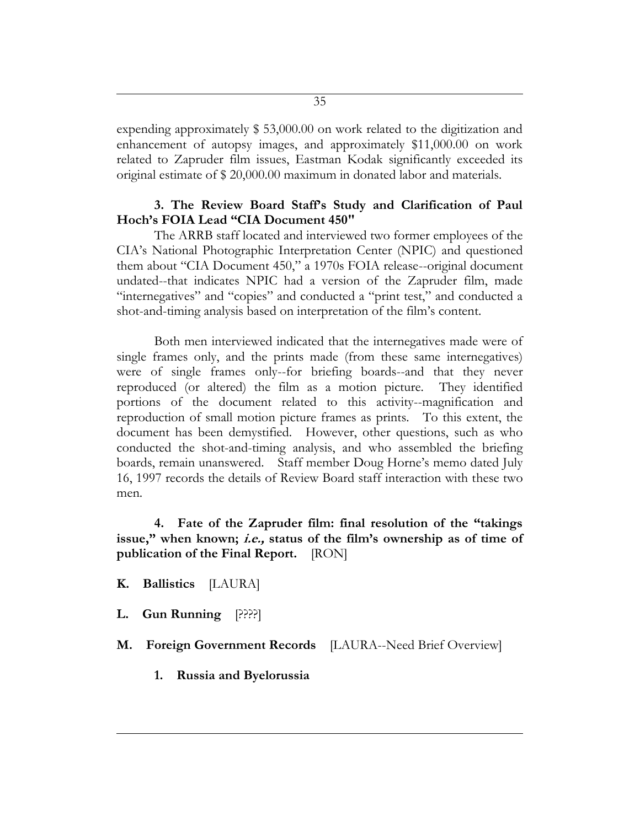expending approximately \$ 53,000.00 on work related to the digitization and enhancement of autopsy images, and approximately \$11,000.00 on work related to Zapruder film issues, Eastman Kodak significantly exceeded its original estimate of \$ 20,000.00 maximum in donated labor and materials.

### **3. The Review Board Staff's Study and Clarification of Paul Hoch's FOIA Lead "CIA Document 450"**

The ARRB staff located and interviewed two former employees of the CIA's National Photographic Interpretation Center (NPIC) and questioned them about "CIA Document 450," a 1970s FOIA release--original document undated--that indicates NPIC had a version of the Zapruder film, made "internegatives" and "copies" and conducted a "print test," and conducted a shot-and-timing analysis based on interpretation of the film's content.

Both men interviewed indicated that the internegatives made were of single frames only, and the prints made (from these same internegatives) were of single frames only--for briefing boards--and that they never reproduced (or altered) the film as a motion picture. They identified portions of the document related to this activity--magnification and reproduction of small motion picture frames as prints. To this extent, the document has been demystified. However, other questions, such as who conducted the shot-and-timing analysis, and who assembled the briefing boards, remain unanswered. Staff member Doug Horne's memo dated July 16, 1997 records the details of Review Board staff interaction with these two men.

**4. Fate of the Zapruder film: final resolution of the "takings issue," when known; i.e., status of the film's ownership as of time of publication of the Final Report.** [RON]

**K. Ballistics** [LAURA]

**L. Gun Running** [????]

**M. Foreign Government Records** [LAURA--Need Brief Overview]

**1. Russia and Byelorussia**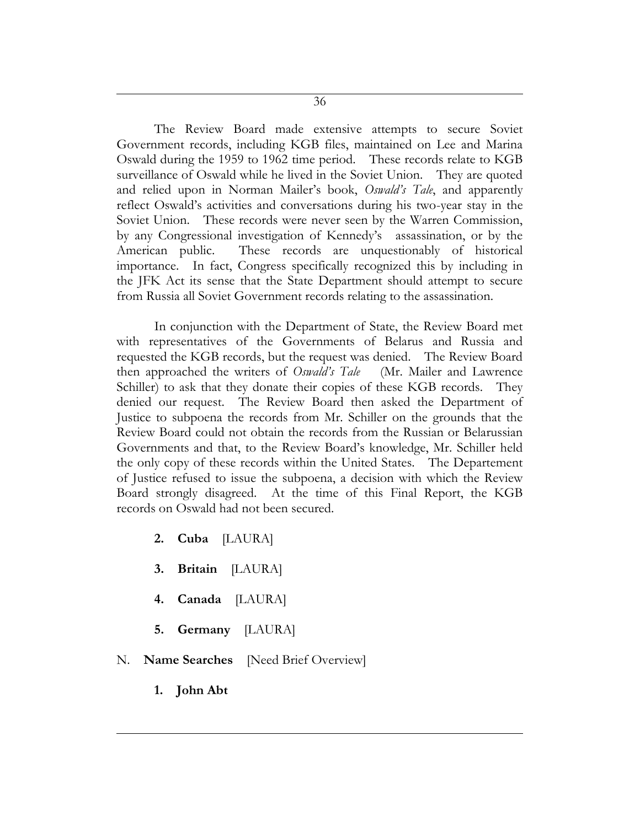The Review Board made extensive attempts to secure Soviet Government records, including KGB files, maintained on Lee and Marina Oswald during the 1959 to 1962 time period. These records relate to KGB surveillance of Oswald while he lived in the Soviet Union. They are quoted and relied upon in Norman Mailer's book, *Oswald's Tale*, and apparently reflect Oswald's activities and conversations during his two-year stay in the Soviet Union. These records were never seen by the Warren Commission, by any Congressional investigation of Kennedy's assassination, or by the American public. These records are unquestionably of historical importance. In fact, Congress specifically recognized this by including in the JFK Act its sense that the State Department should attempt to secure from Russia all Soviet Government records relating to the assassination.

In conjunction with the Department of State, the Review Board met with representatives of the Governments of Belarus and Russia and requested the KGB records, but the request was denied. The Review Board then approached the writers of *Oswald's Tale* (Mr. Mailer and Lawrence Schiller) to ask that they donate their copies of these KGB records. They denied our request. The Review Board then asked the Department of Justice to subpoena the records from Mr. Schiller on the grounds that the Review Board could not obtain the records from the Russian or Belarussian Governments and that, to the Review Board's knowledge, Mr. Schiller held the only copy of these records within the United States. The Departement of Justice refused to issue the subpoena, a decision with which the Review Board strongly disagreed. At the time of this Final Report, the KGB records on Oswald had not been secured.

- **2. Cuba** [LAURA]
- **3. Britain** [LAURA]
- **4. Canada** [LAURA]
- **5. Germany** [LAURA]
- N. **Name Searches** [Need Brief Overview]
	- **1. John Abt**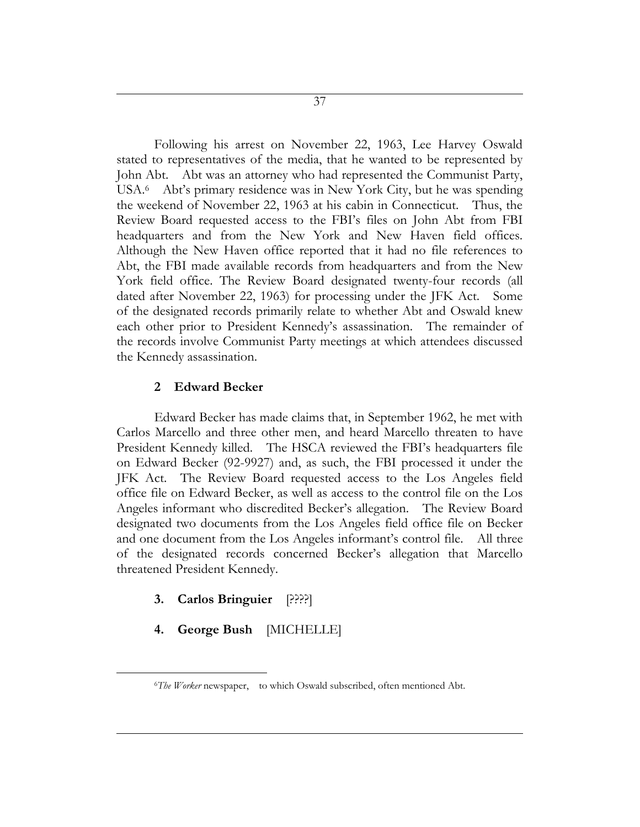Following his arrest on November 22, 1963, Lee Harvey Oswald stated to representatives of the media, that he wanted to be represented by John Abt. Abt was an attorney who had represented the Communist Party, USA.<sup>6</sup> Abt's primary residence was in New York City, but he was spending the weekend of November 22, 1963 at his cabin in Connecticut. Thus, the Review Board requested access to the FBI's files on John Abt from FBI headquarters and from the New York and New Haven field offices. Although the New Haven office reported that it had no file references to Abt, the FBI made available records from headquarters and from the New York field office. The Review Board designated twenty-four records (all dated after November 22, 1963) for processing under the JFK Act. Some of the designated records primarily relate to whether Abt and Oswald knew each other prior to President Kennedy's assassination. The remainder of the records involve Communist Party meetings at which attendees discussed the Kennedy assassination.

#### **2 Edward Becker**

Edward Becker has made claims that, in September 1962, he met with Carlos Marcello and three other men, and heard Marcello threaten to have President Kennedy killed. The HSCA reviewed the FBI's headquarters file on Edward Becker (92-9927) and, as such, the FBI processed it under the JFK Act. The Review Board requested access to the Los Angeles field office file on Edward Becker, as well as access to the control file on the Los Angeles informant who discredited Becker's allegation. The Review Board designated two documents from the Los Angeles field office file on Becker and one document from the Los Angeles informant's control file. All three of the designated records concerned Becker's allegation that Marcello threatened President Kennedy.

## **3. Carlos Bringuier** [????]

 $\overline{a}$ 

## **4. George Bush** [MICHELLE]

<sup>6</sup>*The Worker* newspaper, to which Oswald subscribed, often mentioned Abt.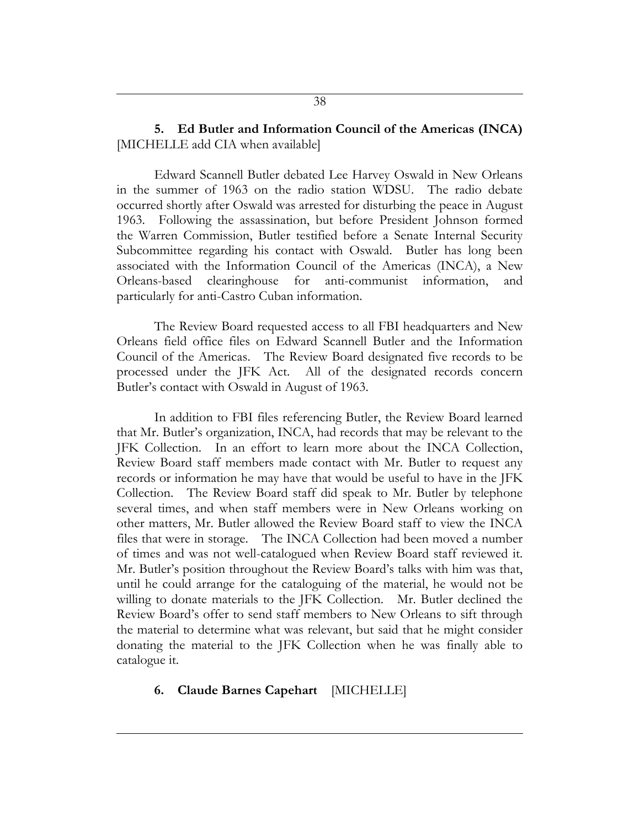# **5. Ed Butler and Information Council of the Americas (INCA)** [MICHELLE add CIA when available]

Edward Scannell Butler debated Lee Harvey Oswald in New Orleans in the summer of 1963 on the radio station WDSU. The radio debate occurred shortly after Oswald was arrested for disturbing the peace in August 1963. Following the assassination, but before President Johnson formed the Warren Commission, Butler testified before a Senate Internal Security Subcommittee regarding his contact with Oswald. Butler has long been associated with the Information Council of the Americas (INCA), a New Orleans-based clearinghouse for anti-communist information, and particularly for anti-Castro Cuban information.

The Review Board requested access to all FBI headquarters and New Orleans field office files on Edward Scannell Butler and the Information Council of the Americas. The Review Board designated five records to be processed under the JFK Act. All of the designated records concern Butler's contact with Oswald in August of 1963.

In addition to FBI files referencing Butler, the Review Board learned that Mr. Butler's organization, INCA, had records that may be relevant to the JFK Collection. In an effort to learn more about the INCA Collection, Review Board staff members made contact with Mr. Butler to request any records or information he may have that would be useful to have in the JFK Collection. The Review Board staff did speak to Mr. Butler by telephone several times, and when staff members were in New Orleans working on other matters, Mr. Butler allowed the Review Board staff to view the INCA files that were in storage. The INCA Collection had been moved a number of times and was not well-catalogued when Review Board staff reviewed it. Mr. Butler's position throughout the Review Board's talks with him was that, until he could arrange for the cataloguing of the material, he would not be willing to donate materials to the JFK Collection. Mr. Butler declined the Review Board's offer to send staff members to New Orleans to sift through the material to determine what was relevant, but said that he might consider donating the material to the JFK Collection when he was finally able to catalogue it.

## **6. Claude Barnes Capehart** [MICHELLE]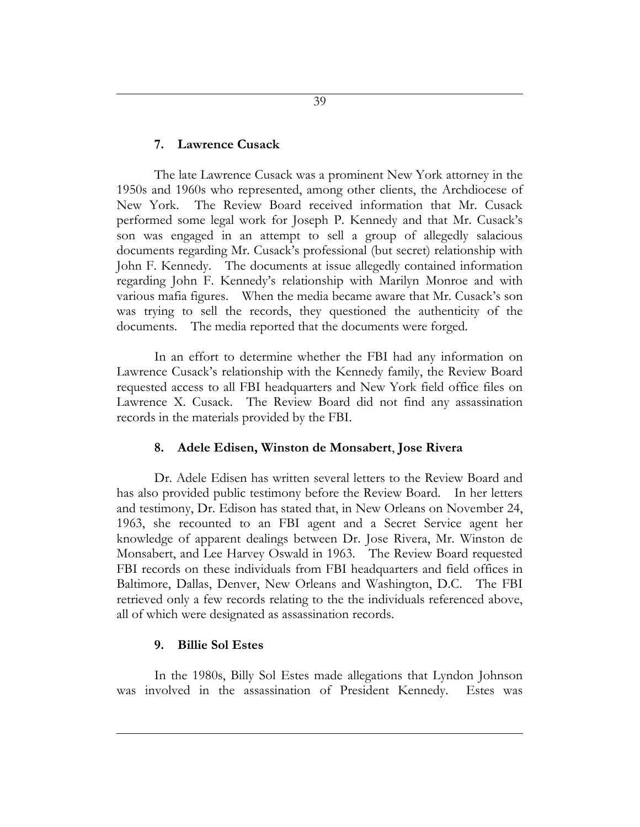#### **7. Lawrence Cusack**

The late Lawrence Cusack was a prominent New York attorney in the 1950s and 1960s who represented, among other clients, the Archdiocese of New York. The Review Board received information that Mr. Cusack performed some legal work for Joseph P. Kennedy and that Mr. Cusack's son was engaged in an attempt to sell a group of allegedly salacious documents regarding Mr. Cusack's professional (but secret) relationship with John F. Kennedy. The documents at issue allegedly contained information regarding John F. Kennedy's relationship with Marilyn Monroe and with various mafia figures. When the media became aware that Mr. Cusack's son was trying to sell the records, they questioned the authenticity of the documents. The media reported that the documents were forged.

In an effort to determine whether the FBI had any information on Lawrence Cusack's relationship with the Kennedy family, the Review Board requested access to all FBI headquarters and New York field office files on Lawrence X. Cusack. The Review Board did not find any assassination records in the materials provided by the FBI.

#### **8. Adele Edisen, Winston de Monsabert**, **Jose Rivera**

Dr. Adele Edisen has written several letters to the Review Board and has also provided public testimony before the Review Board. In her letters and testimony, Dr. Edison has stated that, in New Orleans on November 24, 1963, she recounted to an FBI agent and a Secret Service agent her knowledge of apparent dealings between Dr. Jose Rivera, Mr. Winston de Monsabert, and Lee Harvey Oswald in 1963. The Review Board requested FBI records on these individuals from FBI headquarters and field offices in Baltimore, Dallas, Denver, New Orleans and Washington, D.C. The FBI retrieved only a few records relating to the the individuals referenced above, all of which were designated as assassination records.

#### **9. Billie Sol Estes**

In the 1980s, Billy Sol Estes made allegations that Lyndon Johnson was involved in the assassination of President Kennedy. Estes was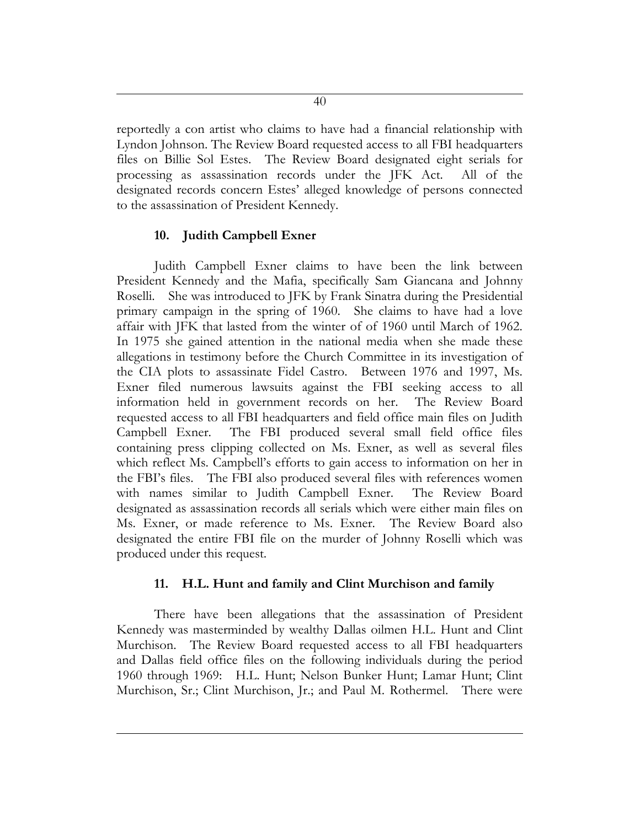reportedly a con artist who claims to have had a financial relationship with Lyndon Johnson. The Review Board requested access to all FBI headquarters files on Billie Sol Estes. The Review Board designated eight serials for processing as assassination records under the JFK Act. All of the designated records concern Estes' alleged knowledge of persons connected to the assassination of President Kennedy.

# **10. Judith Campbell Exner**

Judith Campbell Exner claims to have been the link between President Kennedy and the Mafia, specifically Sam Giancana and Johnny Roselli. She was introduced to JFK by Frank Sinatra during the Presidential primary campaign in the spring of 1960. She claims to have had a love affair with JFK that lasted from the winter of of 1960 until March of 1962. In 1975 she gained attention in the national media when she made these allegations in testimony before the Church Committee in its investigation of the CIA plots to assassinate Fidel Castro. Between 1976 and 1997, Ms. Exner filed numerous lawsuits against the FBI seeking access to all information held in government records on her. The Review Board requested access to all FBI headquarters and field office main files on Judith Campbell Exner. The FBI produced several small field office files containing press clipping collected on Ms. Exner, as well as several files which reflect Ms. Campbell's efforts to gain access to information on her in the FBI's files. The FBI also produced several files with references women with names similar to Judith Campbell Exner. The Review Board designated as assassination records all serials which were either main files on Ms. Exner, or made reference to Ms. Exner. The Review Board also designated the entire FBI file on the murder of Johnny Roselli which was produced under this request.

# **11. H.L. Hunt and family and Clint Murchison and family**

There have been allegations that the assassination of President Kennedy was masterminded by wealthy Dallas oilmen H.L. Hunt and Clint Murchison. The Review Board requested access to all FBI headquarters and Dallas field office files on the following individuals during the period 1960 through 1969: H.L. Hunt; Nelson Bunker Hunt; Lamar Hunt; Clint Murchison, Sr.; Clint Murchison, Jr.; and Paul M. Rothermel. There were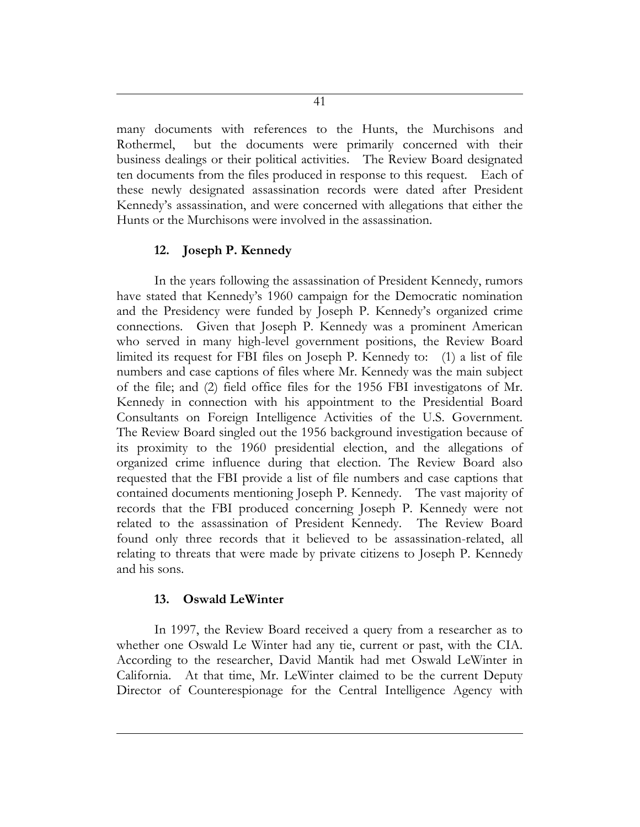many documents with references to the Hunts, the Murchisons and Rothermel, but the documents were primarily concerned with their business dealings or their political activities. The Review Board designated ten documents from the files produced in response to this request. Each of these newly designated assassination records were dated after President Kennedy's assassination, and were concerned with allegations that either the Hunts or the Murchisons were involved in the assassination.

# **12. Joseph P. Kennedy**

In the years following the assassination of President Kennedy, rumors have stated that Kennedy's 1960 campaign for the Democratic nomination and the Presidency were funded by Joseph P. Kennedy's organized crime connections. Given that Joseph P. Kennedy was a prominent American who served in many high-level government positions, the Review Board limited its request for FBI files on Joseph P. Kennedy to: (1) a list of file numbers and case captions of files where Mr. Kennedy was the main subject of the file; and (2) field office files for the 1956 FBI investigatons of Mr. Kennedy in connection with his appointment to the Presidential Board Consultants on Foreign Intelligence Activities of the U.S. Government. The Review Board singled out the 1956 background investigation because of its proximity to the 1960 presidential election, and the allegations of organized crime influence during that election. The Review Board also requested that the FBI provide a list of file numbers and case captions that contained documents mentioning Joseph P. Kennedy. The vast majority of records that the FBI produced concerning Joseph P. Kennedy were not related to the assassination of President Kennedy. The Review Board found only three records that it believed to be assassination-related, all relating to threats that were made by private citizens to Joseph P. Kennedy and his sons.

#### **13. Oswald LeWinter**

In 1997, the Review Board received a query from a researcher as to whether one Oswald Le Winter had any tie, current or past, with the CIA. According to the researcher, David Mantik had met Oswald LeWinter in California. At that time, Mr. LeWinter claimed to be the current Deputy Director of Counterespionage for the Central Intelligence Agency with

41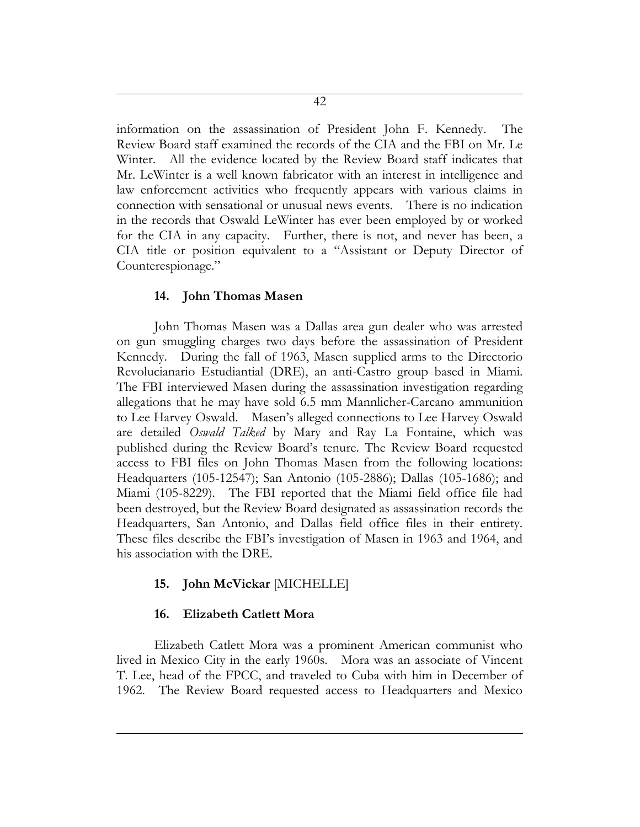information on the assassination of President John F. Kennedy. The Review Board staff examined the records of the CIA and the FBI on Mr. Le Winter. All the evidence located by the Review Board staff indicates that Mr. LeWinter is a well known fabricator with an interest in intelligence and law enforcement activities who frequently appears with various claims in connection with sensational or unusual news events. There is no indication in the records that Oswald LeWinter has ever been employed by or worked for the CIA in any capacity. Further, there is not, and never has been, a CIA title or position equivalent to a "Assistant or Deputy Director of Counterespionage."

#### **14. John Thomas Masen**

John Thomas Masen was a Dallas area gun dealer who was arrested on gun smuggling charges two days before the assassination of President Kennedy. During the fall of 1963, Masen supplied arms to the Directorio Revolucianario Estudiantial (DRE), an anti-Castro group based in Miami. The FBI interviewed Masen during the assassination investigation regarding allegations that he may have sold 6.5 mm Mannlicher-Carcano ammunition to Lee Harvey Oswald. Masen's alleged connections to Lee Harvey Oswald are detailed *Oswald Talked* by Mary and Ray La Fontaine, which was published during the Review Board's tenure. The Review Board requested access to FBI files on John Thomas Masen from the following locations: Headquarters (105-12547); San Antonio (105-2886); Dallas (105-1686); and Miami (105-8229). The FBI reported that the Miami field office file had been destroyed, but the Review Board designated as assassination records the Headquarters, San Antonio, and Dallas field office files in their entirety. These files describe the FBI's investigation of Masen in 1963 and 1964, and his association with the DRE.

#### **15. John McVickar** [MICHELLE]

#### **16. Elizabeth Catlett Mora**

Elizabeth Catlett Mora was a prominent American communist who lived in Mexico City in the early 1960s. Mora was an associate of Vincent T. Lee, head of the FPCC, and traveled to Cuba with him in December of 1962. The Review Board requested access to Headquarters and Mexico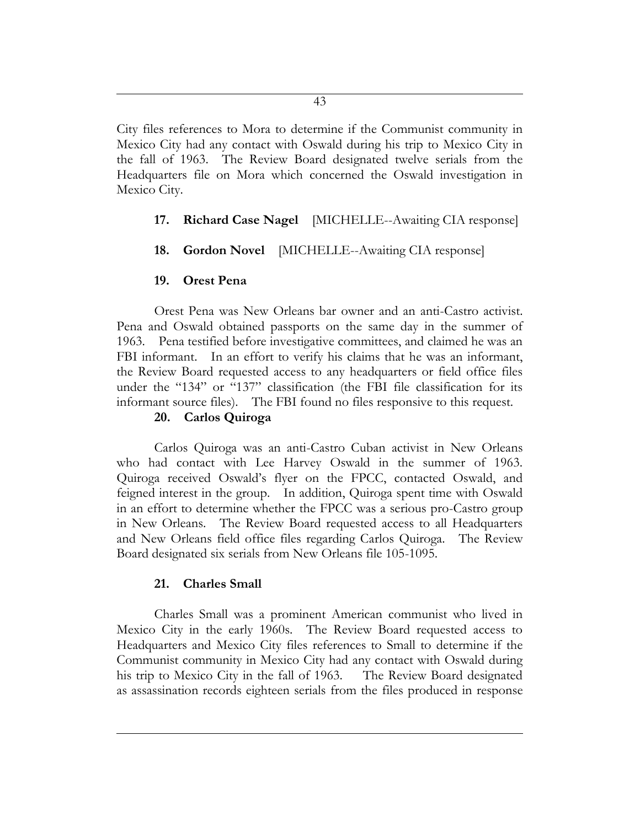City files references to Mora to determine if the Communist community in Mexico City had any contact with Oswald during his trip to Mexico City in the fall of 1963. The Review Board designated twelve serials from the Headquarters file on Mora which concerned the Oswald investigation in Mexico City.

# **17. Richard Case Nagel** [MICHELLE--Awaiting CIA response]

## **18. Gordon Novel** [MICHELLE--Awaiting CIA response]

## **19. Orest Pena**

Orest Pena was New Orleans bar owner and an anti-Castro activist. Pena and Oswald obtained passports on the same day in the summer of 1963. Pena testified before investigative committees, and claimed he was an FBI informant. In an effort to verify his claims that he was an informant, the Review Board requested access to any headquarters or field office files under the "134" or "137" classification (the FBI file classification for its informant source files). The FBI found no files responsive to this request.

## **20. Carlos Quiroga**

Carlos Quiroga was an anti-Castro Cuban activist in New Orleans who had contact with Lee Harvey Oswald in the summer of 1963. Quiroga received Oswald's flyer on the FPCC, contacted Oswald, and feigned interest in the group. In addition, Quiroga spent time with Oswald in an effort to determine whether the FPCC was a serious pro-Castro group in New Orleans. The Review Board requested access to all Headquarters and New Orleans field office files regarding Carlos Quiroga. The Review Board designated six serials from New Orleans file 105-1095.

## **21. Charles Small**

Charles Small was a prominent American communist who lived in Mexico City in the early 1960s. The Review Board requested access to Headquarters and Mexico City files references to Small to determine if the Communist community in Mexico City had any contact with Oswald during his trip to Mexico City in the fall of 1963. The Review Board designated as assassination records eighteen serials from the files produced in response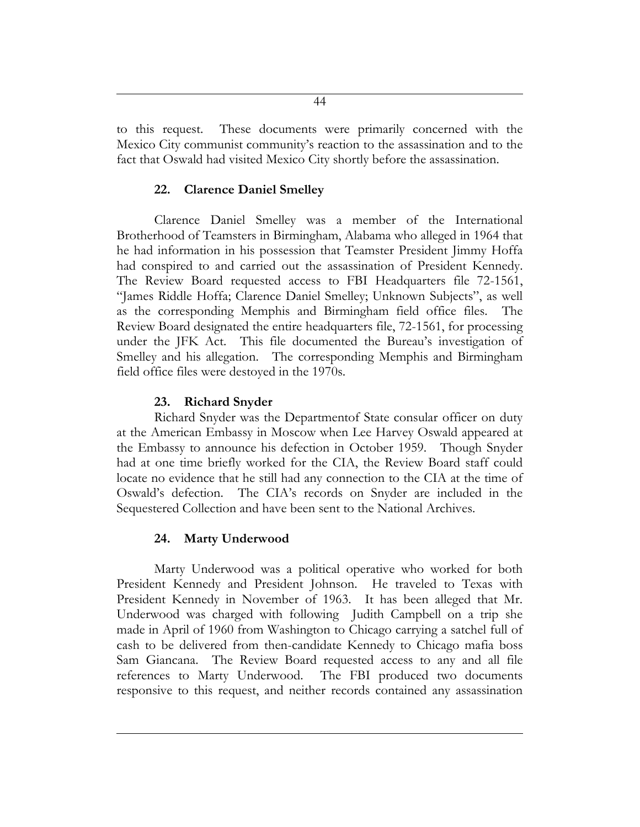to this request. These documents were primarily concerned with the Mexico City communist community's reaction to the assassination and to the fact that Oswald had visited Mexico City shortly before the assassination.

## **22. Clarence Daniel Smelley**

Clarence Daniel Smelley was a member of the International Brotherhood of Teamsters in Birmingham, Alabama who alleged in 1964 that he had information in his possession that Teamster President Jimmy Hoffa had conspired to and carried out the assassination of President Kennedy. The Review Board requested access to FBI Headquarters file 72-1561, "James Riddle Hoffa; Clarence Daniel Smelley; Unknown Subjects", as well as the corresponding Memphis and Birmingham field office files. The Review Board designated the entire headquarters file, 72-1561, for processing under the JFK Act. This file documented the Bureau's investigation of Smelley and his allegation. The corresponding Memphis and Birmingham field office files were destoyed in the 1970s.

## **23. Richard Snyder**

Richard Snyder was the Departmentof State consular officer on duty at the American Embassy in Moscow when Lee Harvey Oswald appeared at the Embassy to announce his defection in October 1959. Though Snyder had at one time briefly worked for the CIA, the Review Board staff could locate no evidence that he still had any connection to the CIA at the time of Oswald's defection. The CIA's records on Snyder are included in the Sequestered Collection and have been sent to the National Archives.

## **24. Marty Underwood**

Marty Underwood was a political operative who worked for both President Kennedy and President Johnson. He traveled to Texas with President Kennedy in November of 1963. It has been alleged that Mr. Underwood was charged with following Judith Campbell on a trip she made in April of 1960 from Washington to Chicago carrying a satchel full of cash to be delivered from then-candidate Kennedy to Chicago mafia boss Sam Giancana. The Review Board requested access to any and all file references to Marty Underwood. The FBI produced two documents responsive to this request, and neither records contained any assassination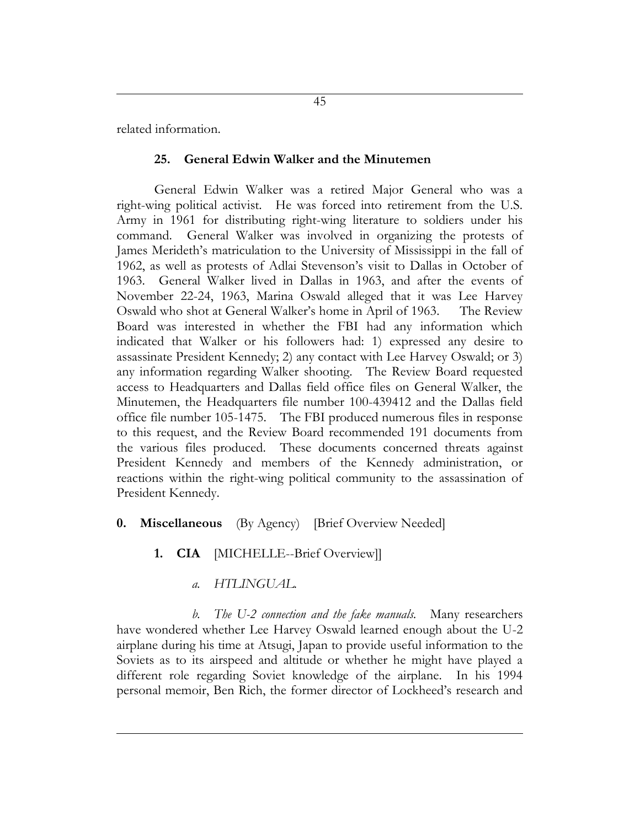related information.

#### **25. General Edwin Walker and the Minutemen**

General Edwin Walker was a retired Major General who was a right-wing political activist. He was forced into retirement from the U.S. Army in 1961 for distributing right-wing literature to soldiers under his command. General Walker was involved in organizing the protests of James Merideth's matriculation to the University of Mississippi in the fall of 1962, as well as protests of Adlai Stevenson's visit to Dallas in October of 1963. General Walker lived in Dallas in 1963, and after the events of November 22-24, 1963, Marina Oswald alleged that it was Lee Harvey Oswald who shot at General Walker's home in April of 1963. The Review Board was interested in whether the FBI had any information which indicated that Walker or his followers had: 1) expressed any desire to assassinate President Kennedy; 2) any contact with Lee Harvey Oswald; or 3) any information regarding Walker shooting. The Review Board requested access to Headquarters and Dallas field office files on General Walker, the Minutemen, the Headquarters file number 100-439412 and the Dallas field office file number 105-1475. The FBI produced numerous files in response to this request, and the Review Board recommended 191 documents from the various files produced. These documents concerned threats against President Kennedy and members of the Kennedy administration, or reactions within the right-wing political community to the assassination of President Kennedy.

- **0. Miscellaneous** (By Agency) [Brief Overview Needed]
	- **1. CIA** [MICHELLE--Brief Overview]]
		- *a. HTLINGUAL.*

*b. The U-2 connection and the fake manuals.* Many researchers have wondered whether Lee Harvey Oswald learned enough about the U-2 airplane during his time at Atsugi, Japan to provide useful information to the Soviets as to its airspeed and altitude or whether he might have played a different role regarding Soviet knowledge of the airplane. In his 1994 personal memoir, Ben Rich, the former director of Lockheed's research and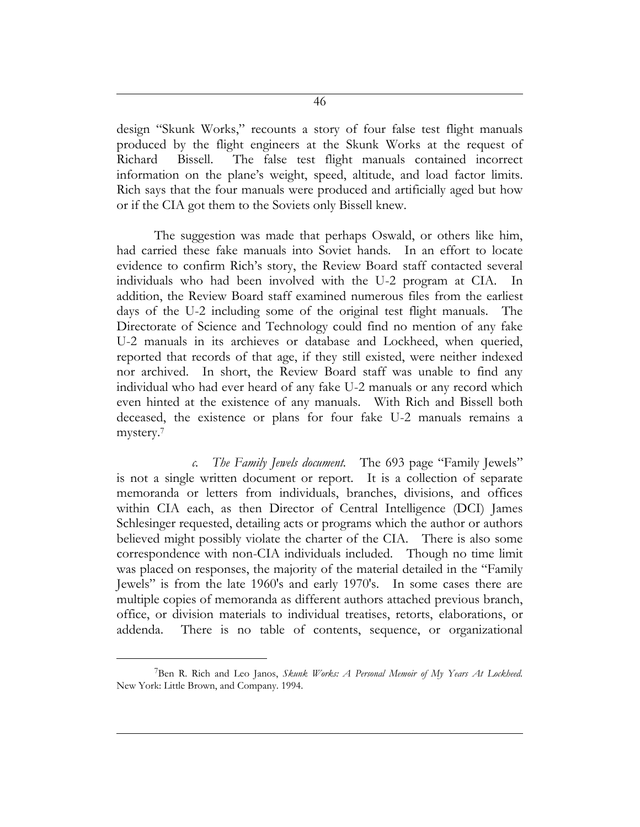design "Skunk Works," recounts a story of four false test flight manuals produced by the flight engineers at the Skunk Works at the request of Richard Bissell. The false test flight manuals contained incorrect information on the plane's weight, speed, altitude, and load factor limits. Rich says that the four manuals were produced and artificially aged but how or if the CIA got them to the Soviets only Bissell knew.

The suggestion was made that perhaps Oswald, or others like him, had carried these fake manuals into Soviet hands. In an effort to locate evidence to confirm Rich's story, the Review Board staff contacted several individuals who had been involved with the U-2 program at CIA. In addition, the Review Board staff examined numerous files from the earliest days of the U-2 including some of the original test flight manuals. The Directorate of Science and Technology could find no mention of any fake U-2 manuals in its archieves or database and Lockheed, when queried, reported that records of that age, if they still existed, were neither indexed nor archived. In short, the Review Board staff was unable to find any individual who had ever heard of any fake U-2 manuals or any record which even hinted at the existence of any manuals. With Rich and Bissell both deceased, the existence or plans for four fake U-2 manuals remains a mystery.<sup>7</sup>

*c. The Family Jewels document.* The 693 page "Family Jewels" is not a single written document or report. It is a collection of separate memoranda or letters from individuals, branches, divisions, and offices within CIA each, as then Director of Central Intelligence (DCI) James Schlesinger requested, detailing acts or programs which the author or authors believed might possibly violate the charter of the CIA. There is also some correspondence with non-CIA individuals included. Though no time limit was placed on responses, the majority of the material detailed in the "Family Jewels" is from the late 1960's and early 1970's. In some cases there are multiple copies of memoranda as different authors attached previous branch, office, or division materials to individual treatises, retorts, elaborations, or addenda. There is no table of contents, sequence, or organizational

 $\overline{a}$ 

<sup>7</sup>Ben R. Rich and Leo Janos, *Skunk Works: A Personal Memoir of My Years At Lockheed.*  New York: Little Brown, and Company. 1994.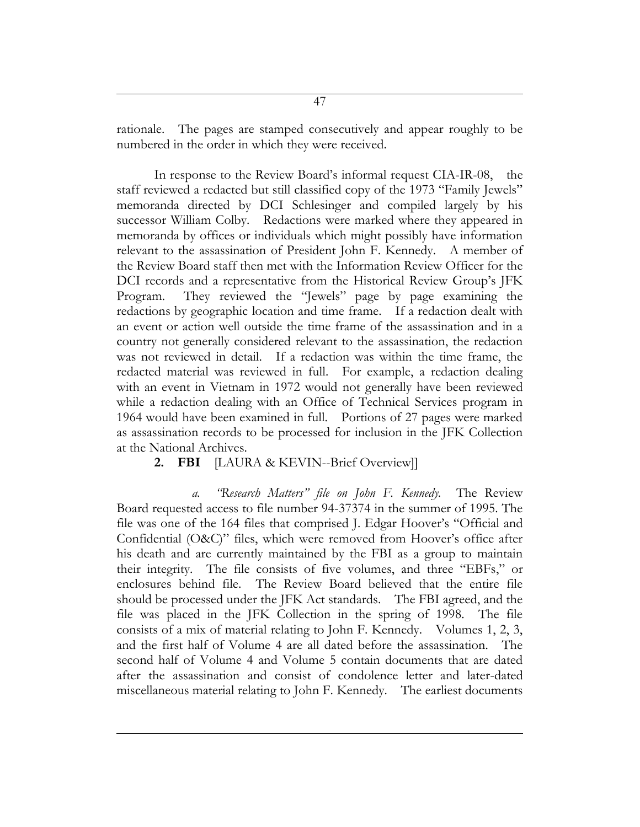rationale. The pages are stamped consecutively and appear roughly to be numbered in the order in which they were received.

In response to the Review Board's informal request CIA-IR-08, the staff reviewed a redacted but still classified copy of the 1973 "Family Jewels" memoranda directed by DCI Schlesinger and compiled largely by his successor William Colby. Redactions were marked where they appeared in memoranda by offices or individuals which might possibly have information relevant to the assassination of President John F. Kennedy. A member of the Review Board staff then met with the Information Review Officer for the DCI records and a representative from the Historical Review Group's JFK Program. They reviewed the "Jewels" page by page examining the redactions by geographic location and time frame. If a redaction dealt with an event or action well outside the time frame of the assassination and in a country not generally considered relevant to the assassination, the redaction was not reviewed in detail. If a redaction was within the time frame, the redacted material was reviewed in full. For example, a redaction dealing with an event in Vietnam in 1972 would not generally have been reviewed while a redaction dealing with an Office of Technical Services program in 1964 would have been examined in full. Portions of 27 pages were marked as assassination records to be processed for inclusion in the JFK Collection at the National Archives.

## **2. FBI** [LAURA & KEVIN--Brief Overview]]

*a. "Research Matters" file on John F. Kennedy.* The Review Board requested access to file number 94-37374 in the summer of 1995. The file was one of the 164 files that comprised J. Edgar Hoover's "Official and Confidential (O&C)" files, which were removed from Hoover's office after his death and are currently maintained by the FBI as a group to maintain their integrity. The file consists of five volumes, and three "EBFs," or enclosures behind file. The Review Board believed that the entire file should be processed under the JFK Act standards. The FBI agreed, and the file was placed in the JFK Collection in the spring of 1998. The file consists of a mix of material relating to John F. Kennedy. Volumes 1, 2, 3, and the first half of Volume 4 are all dated before the assassination. The second half of Volume 4 and Volume 5 contain documents that are dated after the assassination and consist of condolence letter and later-dated miscellaneous material relating to John F. Kennedy. The earliest documents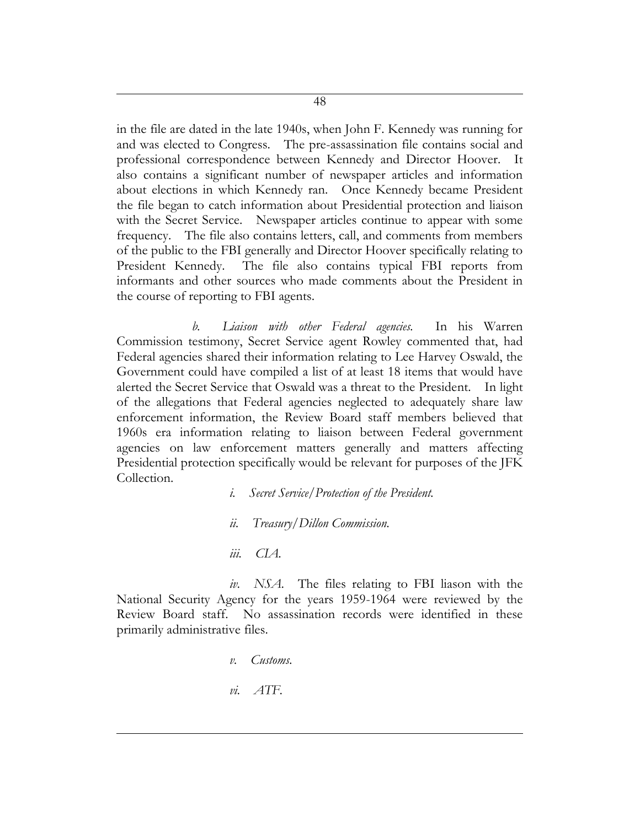in the file are dated in the late 1940s, when John F. Kennedy was running for and was elected to Congress. The pre-assassination file contains social and professional correspondence between Kennedy and Director Hoover. It also contains a significant number of newspaper articles and information about elections in which Kennedy ran. Once Kennedy became President the file began to catch information about Presidential protection and liaison with the Secret Service. Newspaper articles continue to appear with some frequency. The file also contains letters, call, and comments from members of the public to the FBI generally and Director Hoover specifically relating to President Kennedy. The file also contains typical FBI reports from informants and other sources who made comments about the President in the course of reporting to FBI agents.

*b. Liaison with other Federal agencies.* In his Warren Commission testimony, Secret Service agent Rowley commented that, had Federal agencies shared their information relating to Lee Harvey Oswald, the Government could have compiled a list of at least 18 items that would have alerted the Secret Service that Oswald was a threat to the President. In light of the allegations that Federal agencies neglected to adequately share law enforcement information, the Review Board staff members believed that 1960s era information relating to liaison between Federal government agencies on law enforcement matters generally and matters affecting Presidential protection specifically would be relevant for purposes of the JFK Collection.

> *i. Secret Service/Protection of the President. ii. Treasury/Dillon Commission.*

*iii. CIA.*

*iv. NSA*. The files relating to FBI liason with the National Security Agency for the years 1959-1964 were reviewed by the Review Board staff. No assassination records were identified in these primarily administrative files.

*v. Customs.*

*vi. ATF.*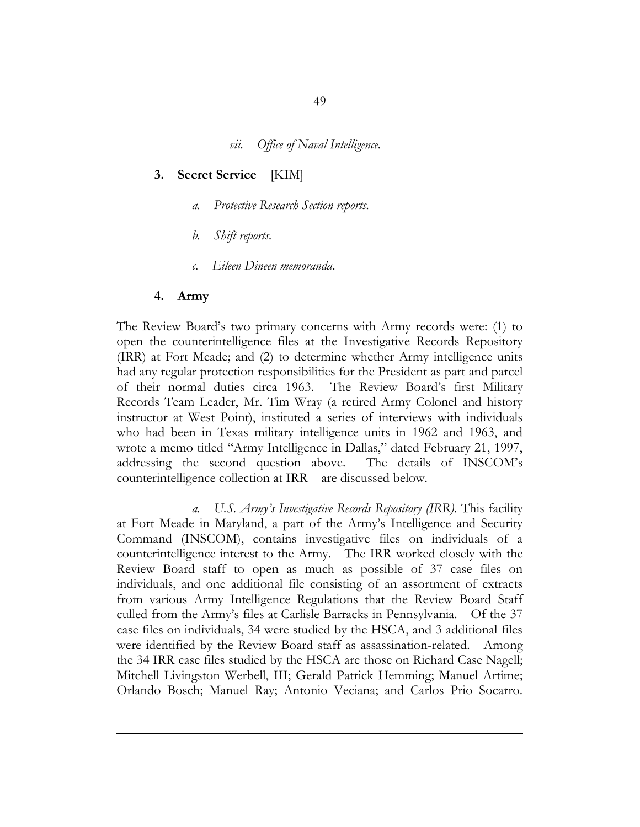*vii. Office of Naval Intelligence.*

#### **3. Secret Service** [KIM]

- *a. Protective Research Section reports.*
- *b. Shift reports.*
- *c. Eileen Dineen memoranda*.

#### **4. Army**

The Review Board's two primary concerns with Army records were: (1) to open the counterintelligence files at the Investigative Records Repository (IRR) at Fort Meade; and (2) to determine whether Army intelligence units had any regular protection responsibilities for the President as part and parcel of their normal duties circa 1963. The Review Board's first Military Records Team Leader, Mr. Tim Wray (a retired Army Colonel and history instructor at West Point), instituted a series of interviews with individuals who had been in Texas military intelligence units in 1962 and 1963, and wrote a memo titled "Army Intelligence in Dallas," dated February 21, 1997, addressing the second question above. The details of INSCOM's counterintelligence collection at IRR are discussed below.

*a. U.S. Army's Investigative Records Repository (IRR).* This facility at Fort Meade in Maryland, a part of the Army's Intelligence and Security Command (INSCOM), contains investigative files on individuals of a counterintelligence interest to the Army. The IRR worked closely with the Review Board staff to open as much as possible of 37 case files on individuals, and one additional file consisting of an assortment of extracts from various Army Intelligence Regulations that the Review Board Staff culled from the Army's files at Carlisle Barracks in Pennsylvania. Of the 37 case files on individuals, 34 were studied by the HSCA, and 3 additional files were identified by the Review Board staff as assassination-related. Among the 34 IRR case files studied by the HSCA are those on Richard Case Nagell; Mitchell Livingston Werbell, III; Gerald Patrick Hemming; Manuel Artime; Orlando Bosch; Manuel Ray; Antonio Veciana; and Carlos Prio Socarro.

49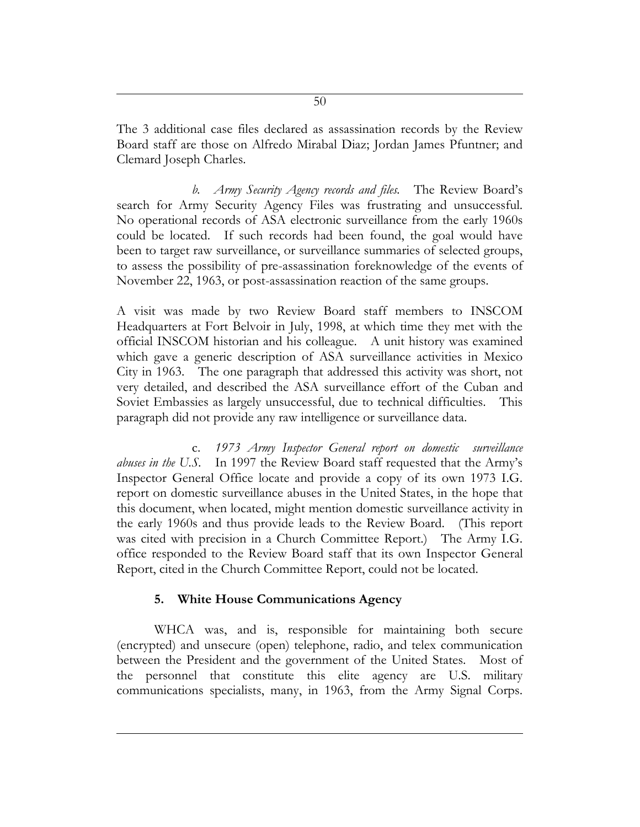The 3 additional case files declared as assassination records by the Review Board staff are those on Alfredo Mirabal Diaz; Jordan James Pfuntner; and Clemard Joseph Charles.

*b. Army Security Agency records and files.* The Review Board's search for Army Security Agency Files was frustrating and unsuccessful. No operational records of ASA electronic surveillance from the early 1960s could be located. If such records had been found, the goal would have been to target raw surveillance, or surveillance summaries of selected groups, to assess the possibility of pre-assassination foreknowledge of the events of November 22, 1963, or post-assassination reaction of the same groups.

A visit was made by two Review Board staff members to INSCOM Headquarters at Fort Belvoir in July, 1998, at which time they met with the official INSCOM historian and his colleague. A unit history was examined which gave a generic description of ASA surveillance activities in Mexico City in 1963. The one paragraph that addressed this activity was short, not very detailed, and described the ASA surveillance effort of the Cuban and Soviet Embassies as largely unsuccessful, due to technical difficulties. This paragraph did not provide any raw intelligence or surveillance data.

c. *1973 Army Inspector General report on domestic surveillance abuses in the U.S.* In 1997 the Review Board staff requested that the Army's Inspector General Office locate and provide a copy of its own 1973 I.G. report on domestic surveillance abuses in the United States, in the hope that this document, when located, might mention domestic surveillance activity in the early 1960s and thus provide leads to the Review Board. (This report was cited with precision in a Church Committee Report.) The Army I.G. office responded to the Review Board staff that its own Inspector General Report, cited in the Church Committee Report, could not be located.

# **5. White House Communications Agency**

WHCA was, and is, responsible for maintaining both secure (encrypted) and unsecure (open) telephone, radio, and telex communication between the President and the government of the United States. Most of the personnel that constitute this elite agency are U.S. military communications specialists, many, in 1963, from the Army Signal Corps.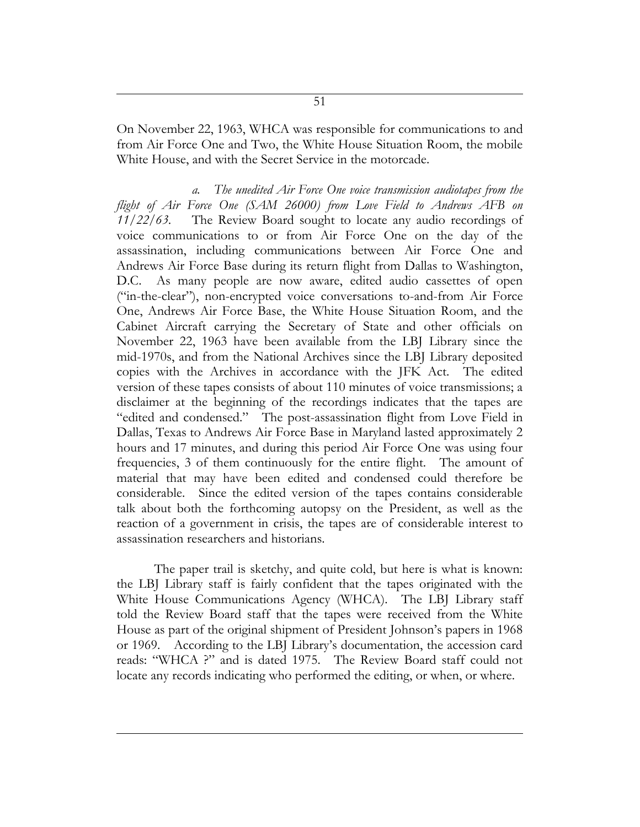On November 22, 1963, WHCA was responsible for communications to and from Air Force One and Two, the White House Situation Room, the mobile White House, and with the Secret Service in the motorcade.

*a. The unedited Air Force One voice transmission audiotapes from the flight of Air Force One (SAM 26000) from Love Field to Andrews AFB on 11/22/63.* The Review Board sought to locate any audio recordings of voice communications to or from Air Force One on the day of the assassination, including communications between Air Force One and Andrews Air Force Base during its return flight from Dallas to Washington, D.C. As many people are now aware, edited audio cassettes of open ("in-the-clear"), non-encrypted voice conversations to-and-from Air Force One, Andrews Air Force Base, the White House Situation Room, and the Cabinet Aircraft carrying the Secretary of State and other officials on November 22, 1963 have been available from the LBJ Library since the mid-1970s, and from the National Archives since the LBJ Library deposited copies with the Archives in accordance with the JFK Act. The edited version of these tapes consists of about 110 minutes of voice transmissions; a disclaimer at the beginning of the recordings indicates that the tapes are "edited and condensed." The post-assassination flight from Love Field in Dallas, Texas to Andrews Air Force Base in Maryland lasted approximately 2 hours and 17 minutes, and during this period Air Force One was using four frequencies, 3 of them continuously for the entire flight. The amount of material that may have been edited and condensed could therefore be considerable. Since the edited version of the tapes contains considerable talk about both the forthcoming autopsy on the President, as well as the reaction of a government in crisis, the tapes are of considerable interest to assassination researchers and historians.

The paper trail is sketchy, and quite cold, but here is what is known: the LBJ Library staff is fairly confident that the tapes originated with the White House Communications Agency (WHCA). The LBJ Library staff told the Review Board staff that the tapes were received from the White House as part of the original shipment of President Johnson's papers in 1968 or 1969. According to the LBJ Library's documentation, the accession card reads: "WHCA ?" and is dated 1975. The Review Board staff could not locate any records indicating who performed the editing, or when, or where.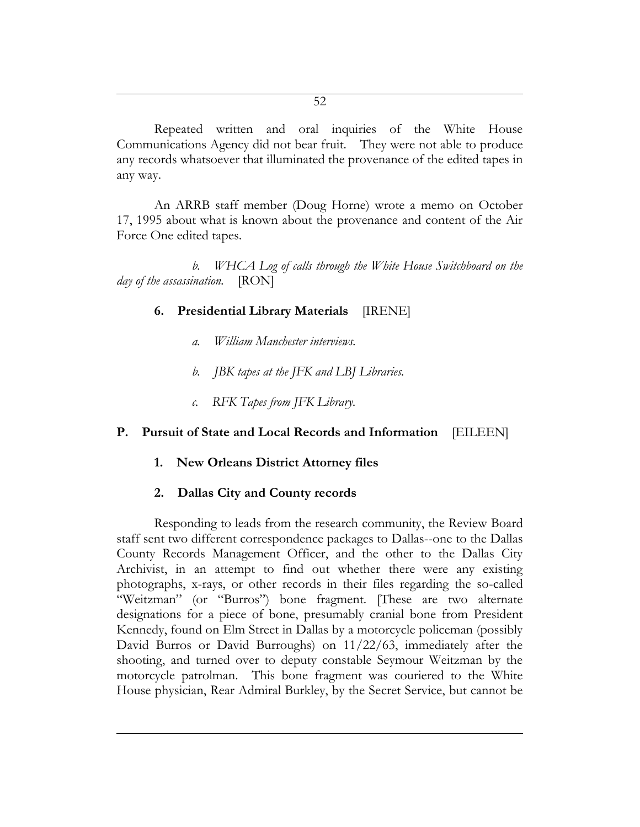Repeated written and oral inquiries of the White House Communications Agency did not bear fruit. They were not able to produce any records whatsoever that illuminated the provenance of the edited tapes in any way.

An ARRB staff member (Doug Horne) wrote a memo on October 17, 1995 about what is known about the provenance and content of the Air Force One edited tapes.

*b. WHCA Log of calls through the White House Switchboard on the day of the assassination.* [RON]

#### **6. Presidential Library Materials** [IRENE]

- *a. William Manchester interviews.*
- *b. JBK tapes at the JFK and LBJ Libraries.*
- *c. RFK Tapes from JFK Library.*

#### **P. Pursuit of State and Local Records and Information** [EILEEN]

#### **1. New Orleans District Attorney files**

#### **2. Dallas City and County records**

Responding to leads from the research community, the Review Board staff sent two different correspondence packages to Dallas--one to the Dallas County Records Management Officer, and the other to the Dallas City Archivist, in an attempt to find out whether there were any existing photographs, x-rays, or other records in their files regarding the so-called "Weitzman" (or "Burros") bone fragment. [These are two alternate designations for a piece of bone, presumably cranial bone from President Kennedy, found on Elm Street in Dallas by a motorcycle policeman (possibly David Burros or David Burroughs) on 11/22/63, immediately after the shooting, and turned over to deputy constable Seymour Weitzman by the motorcycle patrolman. This bone fragment was couriered to the White House physician, Rear Admiral Burkley, by the Secret Service, but cannot be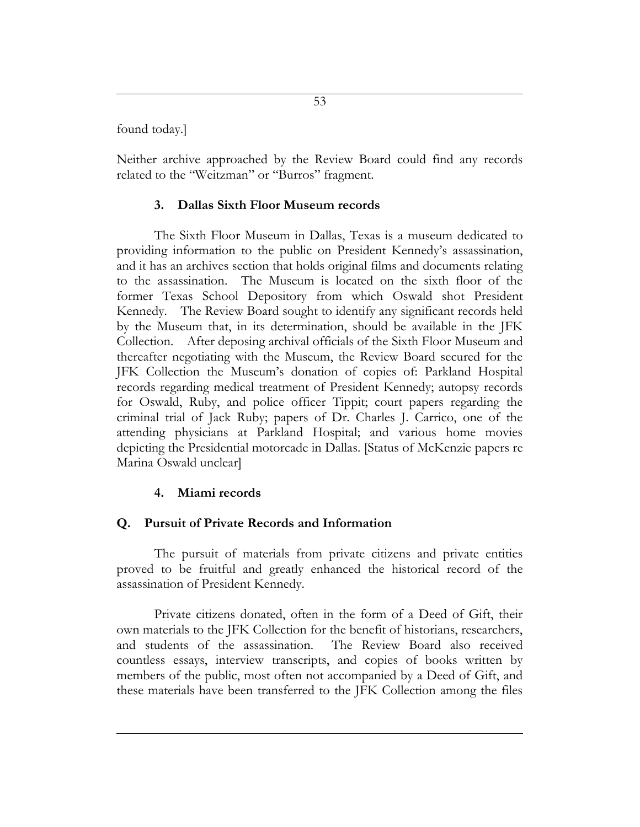found today.]

Neither archive approached by the Review Board could find any records related to the "Weitzman" or "Burros" fragment.

### **3. Dallas Sixth Floor Museum records**

The Sixth Floor Museum in Dallas, Texas is a museum dedicated to providing information to the public on President Kennedy's assassination, and it has an archives section that holds original films and documents relating to the assassination. The Museum is located on the sixth floor of the former Texas School Depository from which Oswald shot President Kennedy. The Review Board sought to identify any significant records held by the Museum that, in its determination, should be available in the JFK Collection. After deposing archival officials of the Sixth Floor Museum and thereafter negotiating with the Museum, the Review Board secured for the JFK Collection the Museum's donation of copies of: Parkland Hospital records regarding medical treatment of President Kennedy; autopsy records for Oswald, Ruby, and police officer Tippit; court papers regarding the criminal trial of Jack Ruby; papers of Dr. Charles J. Carrico, one of the attending physicians at Parkland Hospital; and various home movies depicting the Presidential motorcade in Dallas. [Status of McKenzie papers re Marina Oswald unclear]

## **4. Miami records**

## **Q. Pursuit of Private Records and Information**

The pursuit of materials from private citizens and private entities proved to be fruitful and greatly enhanced the historical record of the assassination of President Kennedy.

Private citizens donated, often in the form of a Deed of Gift, their own materials to the JFK Collection for the benefit of historians, researchers, and students of the assassination. The Review Board also received countless essays, interview transcripts, and copies of books written by members of the public, most often not accompanied by a Deed of Gift, and these materials have been transferred to the JFK Collection among the files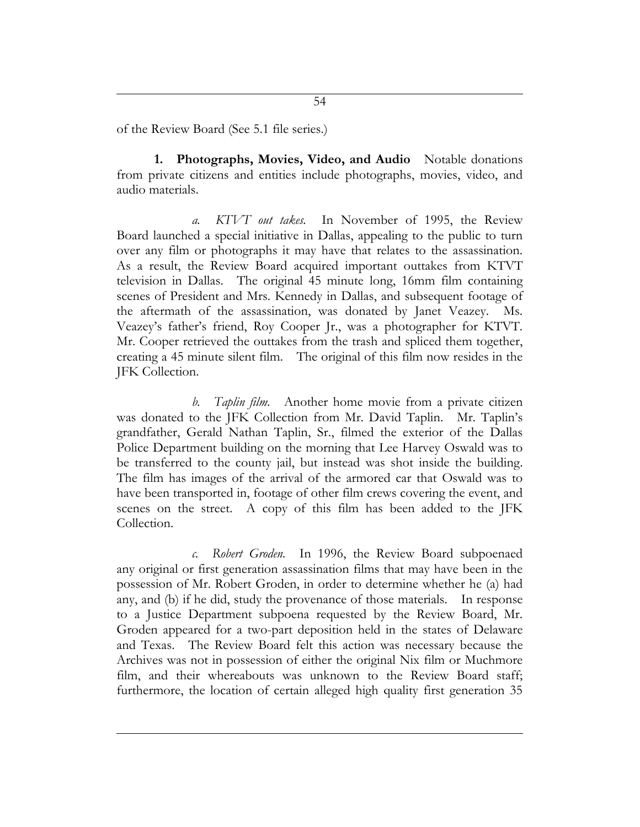of the Review Board (See 5.1 file series.)

**1. Photographs, Movies, Video, and Audio** Notable donations from private citizens and entities include photographs, movies, video, and audio materials.

*a. KTVT out takes.* In November of 1995, the Review Board launched a special initiative in Dallas, appealing to the public to turn over any film or photographs it may have that relates to the assassination. As a result, the Review Board acquired important outtakes from KTVT television in Dallas. The original 45 minute long, 16mm film containing scenes of President and Mrs. Kennedy in Dallas, and subsequent footage of the aftermath of the assassination, was donated by Janet Veazey. Ms. Veazey's father's friend, Roy Cooper Jr., was a photographer for KTVT. Mr. Cooper retrieved the outtakes from the trash and spliced them together, creating a 45 minute silent film. The original of this film now resides in the JFK Collection.

*b. Taplin film.* Another home movie from a private citizen was donated to the JFK Collection from Mr. David Taplin. Mr. Taplin's grandfather, Gerald Nathan Taplin, Sr., filmed the exterior of the Dallas Police Department building on the morning that Lee Harvey Oswald was to be transferred to the county jail, but instead was shot inside the building. The film has images of the arrival of the armored car that Oswald was to have been transported in, footage of other film crews covering the event, and scenes on the street. A copy of this film has been added to the JFK Collection.

*c. Robert Groden.* In 1996, the Review Board subpoenaed any original or first generation assassination films that may have been in the possession of Mr. Robert Groden, in order to determine whether he (a) had any, and (b) if he did, study the provenance of those materials. In response to a Justice Department subpoena requested by the Review Board, Mr. Groden appeared for a two-part deposition held in the states of Delaware and Texas. The Review Board felt this action was necessary because the Archives was not in possession of either the original Nix film or Muchmore film, and their whereabouts was unknown to the Review Board staff; furthermore, the location of certain alleged high quality first generation 35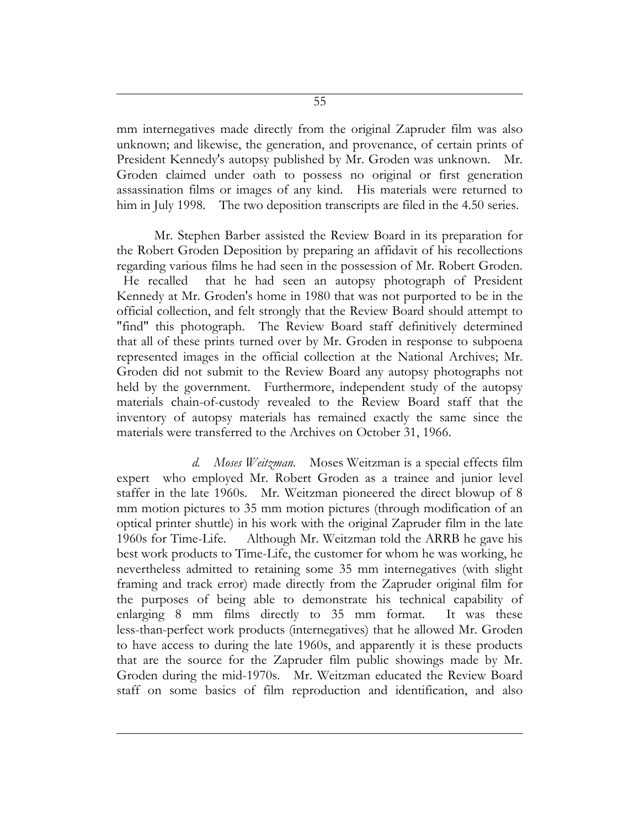mm internegatives made directly from the original Zapruder film was also unknown; and likewise, the generation, and provenance, of certain prints of President Kennedy's autopsy published by Mr. Groden was unknown. Mr. Groden claimed under oath to possess no original or first generation assassination films or images of any kind. His materials were returned to him in July 1998. The two deposition transcripts are filed in the 4.50 series.

Mr. Stephen Barber assisted the Review Board in its preparation for the Robert Groden Deposition by preparing an affidavit of his recollections regarding various films he had seen in the possession of Mr. Robert Groden. He recalled that he had seen an autopsy photograph of President Kennedy at Mr. Groden's home in 1980 that was not purported to be in the official collection, and felt strongly that the Review Board should attempt to "find" this photograph. The Review Board staff definitively determined that all of these prints turned over by Mr. Groden in response to subpoena represented images in the official collection at the National Archives; Mr. Groden did not submit to the Review Board any autopsy photographs not held by the government. Furthermore, independent study of the autopsy materials chain-of-custody revealed to the Review Board staff that the inventory of autopsy materials has remained exactly the same since the materials were transferred to the Archives on October 31, 1966.

*d. Moses Weitzman.* Moses Weitzman is a special effects film expert who employed Mr. Robert Groden as a trainee and junior level staffer in the late 1960s. Mr. Weitzman pioneered the direct blowup of 8 mm motion pictures to 35 mm motion pictures (through modification of an optical printer shuttle) in his work with the original Zapruder film in the late 1960s for Time-Life. Although Mr. Weitzman told the ARRB he gave his best work products to Time-Life, the customer for whom he was working, he nevertheless admitted to retaining some 35 mm internegatives (with slight framing and track error) made directly from the Zapruder original film for the purposes of being able to demonstrate his technical capability of enlarging 8 mm films directly to 35 mm format. It was these less-than-perfect work products (internegatives) that he allowed Mr. Groden to have access to during the late 1960s, and apparently it is these products that are the source for the Zapruder film public showings made by Mr. Groden during the mid-1970s. Mr. Weitzman educated the Review Board staff on some basics of film reproduction and identification, and also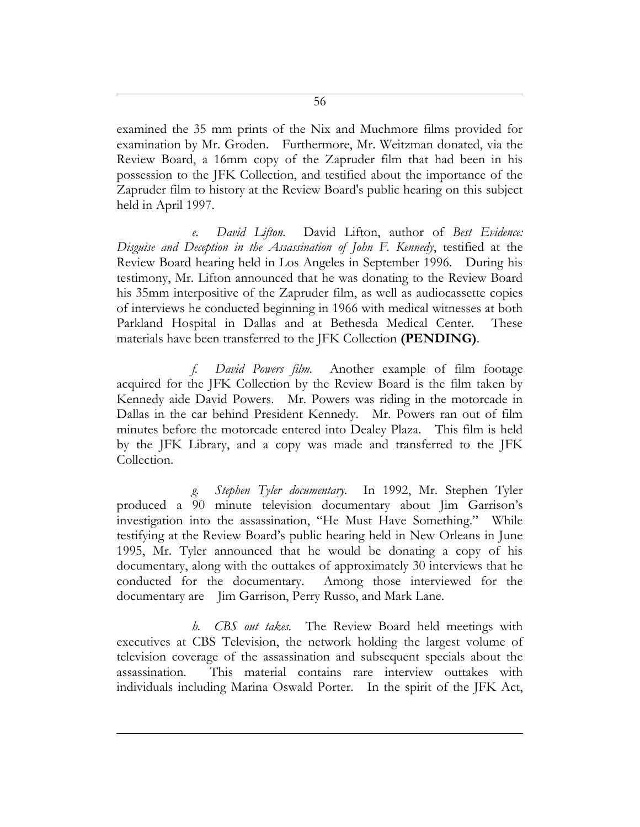examined the 35 mm prints of the Nix and Muchmore films provided for examination by Mr. Groden. Furthermore, Mr. Weitzman donated, via the Review Board, a 16mm copy of the Zapruder film that had been in his possession to the JFK Collection, and testified about the importance of the Zapruder film to history at the Review Board's public hearing on this subject held in April 1997.

*e. David Lifton.* David Lifton, author of *Best Evidence: Disguise and Deception in the Assassination of John F. Kennedy*, testified at the Review Board hearing held in Los Angeles in September 1996. During his testimony, Mr. Lifton announced that he was donating to the Review Board his 35mm interpositive of the Zapruder film, as well as audiocassette copies of interviews he conducted beginning in 1966 with medical witnesses at both Parkland Hospital in Dallas and at Bethesda Medical Center. These materials have been transferred to the JFK Collection **(PENDING)**.

*f. David Powers film.* Another example of film footage acquired for the JFK Collection by the Review Board is the film taken by Kennedy aide David Powers. Mr. Powers was riding in the motorcade in Dallas in the car behind President Kennedy. Mr. Powers ran out of film minutes before the motorcade entered into Dealey Plaza. This film is held by the JFK Library, and a copy was made and transferred to the JFK Collection.

*g. Stephen Tyler documentary.* In 1992, Mr. Stephen Tyler produced a 90 minute television documentary about Jim Garrison's investigation into the assassination, "He Must Have Something." While testifying at the Review Board's public hearing held in New Orleans in June 1995, Mr. Tyler announced that he would be donating a copy of his documentary, along with the outtakes of approximately 30 interviews that he conducted for the documentary. Among those interviewed for the documentary are Jim Garrison, Perry Russo, and Mark Lane.

*h. CBS out takes.* The Review Board held meetings with executives at CBS Television, the network holding the largest volume of television coverage of the assassination and subsequent specials about the assassination. This material contains rare interview outtakes with individuals including Marina Oswald Porter. In the spirit of the JFK Act,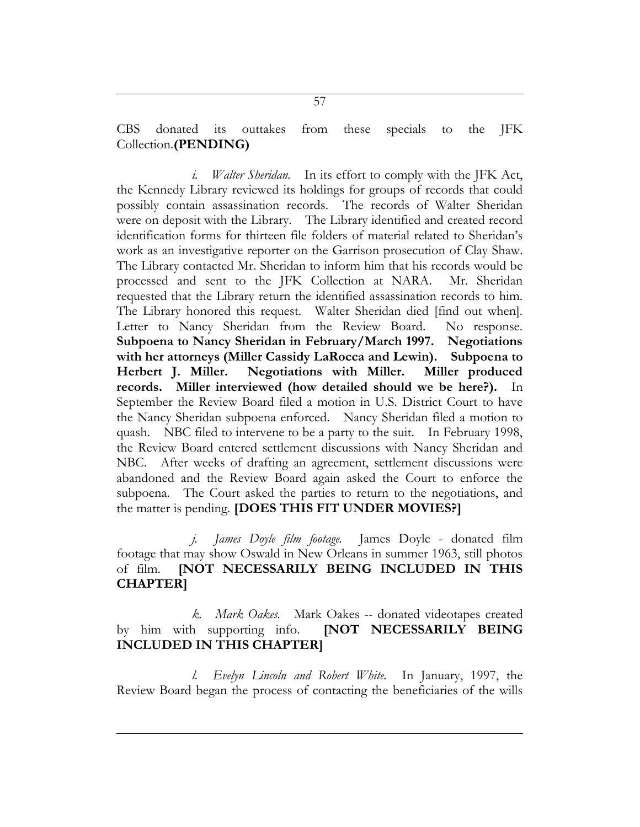CBS donated its outtakes from these specials to the JFK Collection.**(PENDING)**

*i. Walter Sheridan.* In its effort to comply with the JFK Act, the Kennedy Library reviewed its holdings for groups of records that could possibly contain assassination records. The records of Walter Sheridan were on deposit with the Library. The Library identified and created record identification forms for thirteen file folders of material related to Sheridan's work as an investigative reporter on the Garrison prosecution of Clay Shaw. The Library contacted Mr. Sheridan to inform him that his records would be processed and sent to the JFK Collection at NARA. Mr. Sheridan requested that the Library return the identified assassination records to him. The Library honored this request. Walter Sheridan died [find out when]. Letter to Nancy Sheridan from the Review Board. No response. **Subpoena to Nancy Sheridan in February/March 1997. Negotiations with her attorneys (Miller Cassidy LaRocca and Lewin). Subpoena to Herbert J. Miller. Negotiations with Miller. Miller produced records. Miller interviewed (how detailed should we be here?).** In September the Review Board filed a motion in U.S. District Court to have the Nancy Sheridan subpoena enforced. Nancy Sheridan filed a motion to quash. NBC filed to intervene to be a party to the suit. In February 1998, the Review Board entered settlement discussions with Nancy Sheridan and NBC. After weeks of drafting an agreement, settlement discussions were abandoned and the Review Board again asked the Court to enforce the subpoena. The Court asked the parties to return to the negotiations, and the matter is pending. **[DOES THIS FIT UNDER MOVIES?]**

*j. James Doyle film footage.* James Doyle - donated film footage that may show Oswald in New Orleans in summer 1963, still photos of film. **[NOT NECESSARILY BEING INCLUDED IN THIS CHAPTER]**

*k. Mark Oakes.* Mark Oakes -- donated videotapes created by him with supporting info. **[NOT NECESSARILY BEING INCLUDED IN THIS CHAPTER]**

*l. Evelyn Lincoln and Robert White.* In January, 1997, the Review Board began the process of contacting the beneficiaries of the wills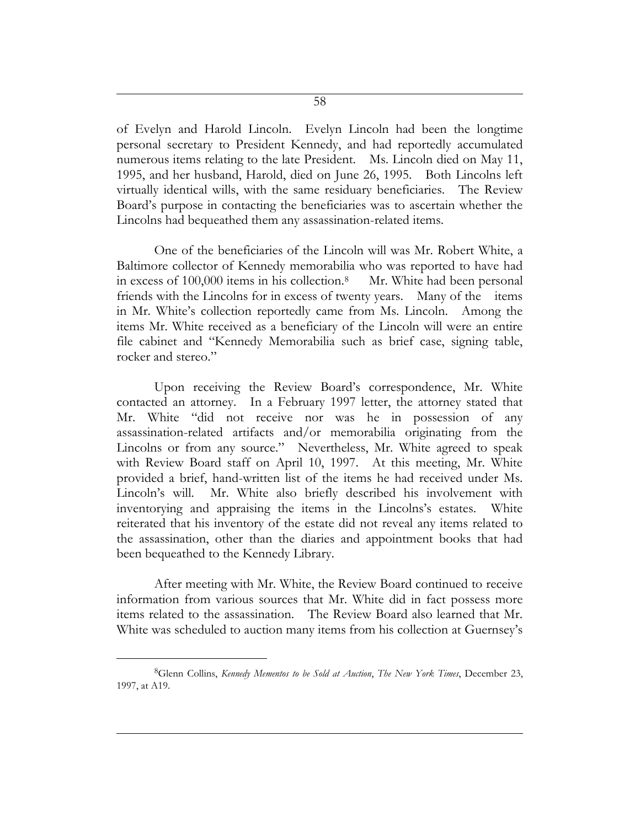of Evelyn and Harold Lincoln. Evelyn Lincoln had been the longtime personal secretary to President Kennedy, and had reportedly accumulated numerous items relating to the late President. Ms. Lincoln died on May 11, 1995, and her husband, Harold, died on June 26, 1995. Both Lincolns left virtually identical wills, with the same residuary beneficiaries. The Review Board's purpose in contacting the beneficiaries was to ascertain whether the Lincolns had bequeathed them any assassination-related items.

One of the beneficiaries of the Lincoln will was Mr. Robert White, a Baltimore collector of Kennedy memorabilia who was reported to have had in excess of 100,000 items in his collection.<sup>8</sup> Mr. White had been personal friends with the Lincolns for in excess of twenty years. Many of the items in Mr. White's collection reportedly came from Ms. Lincoln. Among the items Mr. White received as a beneficiary of the Lincoln will were an entire file cabinet and "Kennedy Memorabilia such as brief case, signing table, rocker and stereo."

Upon receiving the Review Board's correspondence, Mr. White contacted an attorney. In a February 1997 letter, the attorney stated that Mr. White "did not receive nor was he in possession of any assassination-related artifacts and/or memorabilia originating from the Lincolns or from any source." Nevertheless, Mr. White agreed to speak with Review Board staff on April 10, 1997. At this meeting, Mr. White provided a brief, hand-written list of the items he had received under Ms. Lincoln's will. Mr. White also briefly described his involvement with inventorying and appraising the items in the Lincolns's estates. White reiterated that his inventory of the estate did not reveal any items related to the assassination, other than the diaries and appointment books that had been bequeathed to the Kennedy Library.

After meeting with Mr. White, the Review Board continued to receive information from various sources that Mr. White did in fact possess more items related to the assassination. The Review Board also learned that Mr. White was scheduled to auction many items from his collection at Guernsey's

 $\overline{a}$ 

<sup>8</sup>Glenn Collins, *Kennedy Mementos to be Sold at Auction*, *The New York Times*, December 23, 1997, at A19.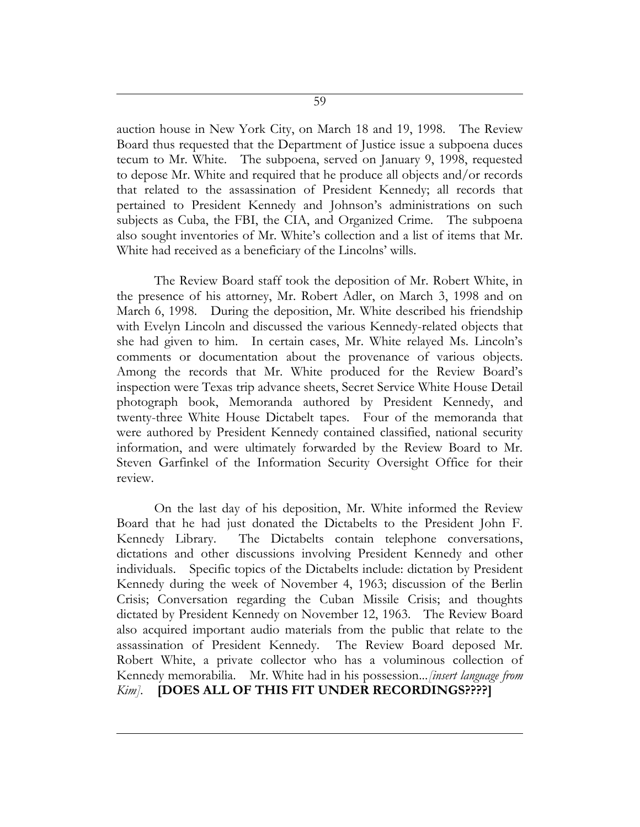auction house in New York City, on March 18 and 19, 1998. The Review Board thus requested that the Department of Justice issue a subpoena duces tecum to Mr. White. The subpoena, served on January 9, 1998, requested to depose Mr. White and required that he produce all objects and/or records that related to the assassination of President Kennedy; all records that pertained to President Kennedy and Johnson's administrations on such subjects as Cuba, the FBI, the CIA, and Organized Crime. The subpoena also sought inventories of Mr. White's collection and a list of items that Mr. White had received as a beneficiary of the Lincolns' wills.

The Review Board staff took the deposition of Mr. Robert White, in the presence of his attorney, Mr. Robert Adler, on March 3, 1998 and on March 6, 1998. During the deposition, Mr. White described his friendship with Evelyn Lincoln and discussed the various Kennedy-related objects that she had given to him. In certain cases, Mr. White relayed Ms. Lincoln's comments or documentation about the provenance of various objects. Among the records that Mr. White produced for the Review Board's inspection were Texas trip advance sheets, Secret Service White House Detail photograph book, Memoranda authored by President Kennedy, and twenty-three White House Dictabelt tapes. Four of the memoranda that were authored by President Kennedy contained classified, national security information, and were ultimately forwarded by the Review Board to Mr. Steven Garfinkel of the Information Security Oversight Office for their review.

On the last day of his deposition, Mr. White informed the Review Board that he had just donated the Dictabelts to the President John F. Kennedy Library. The Dictabelts contain telephone conversations, dictations and other discussions involving President Kennedy and other individuals. Specific topics of the Dictabelts include: dictation by President Kennedy during the week of November 4, 1963; discussion of the Berlin Crisis; Conversation regarding the Cuban Missile Crisis; and thoughts dictated by President Kennedy on November 12, 1963. The Review Board also acquired important audio materials from the public that relate to the assassination of President Kennedy. The Review Board deposed Mr. Robert White, a private collector who has a voluminous collection of Kennedy memorabilia. Mr. White had in his possession...*[insert language from Kim].* **[DOES ALL OF THIS FIT UNDER RECORDINGS????]**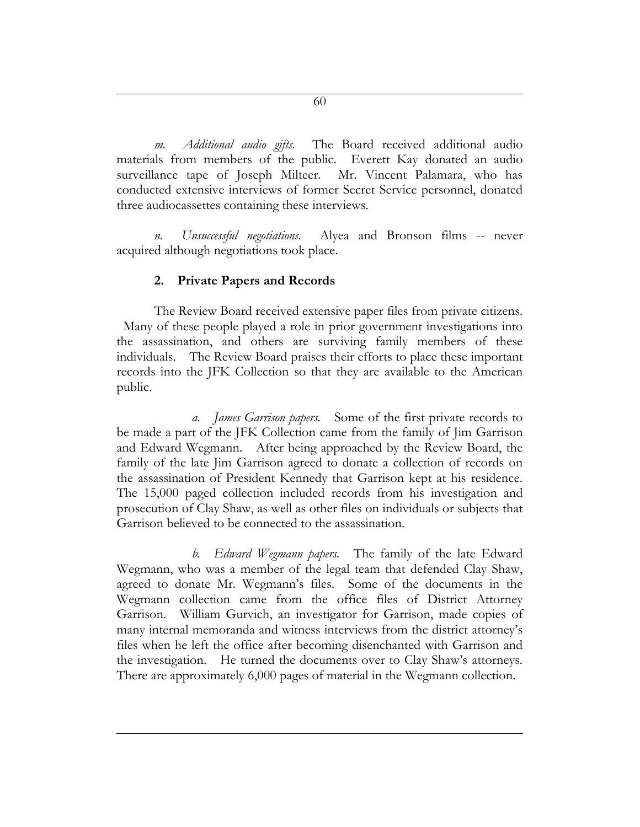*m. Additional audio gifts.* The Board received additional audio materials from members of the public. Everett Kay donated an audio surveillance tape of Joseph Milteer. Mr. Vincent Palamara, who has conducted extensive interviews of former Secret Service personnel, donated three audiocassettes containing these interviews.

*n. Unsuccessful negotiations.* Alyea and Bronson films -- never acquired although negotiations took place.

# **2. Private Papers and Records**

The Review Board received extensive paper files from private citizens. Many of these people played a role in prior government investigations into the assassination, and others are surviving family members of these individuals. The Review Board praises their efforts to place these important records into the JFK Collection so that they are available to the American public.

*a. James Garrison papers.* Some of the first private records to be made a part of the JFK Collection came from the family of Jim Garrison and Edward Wegmann. After being approached by the Review Board, the family of the late Jim Garrison agreed to donate a collection of records on the assassination of President Kennedy that Garrison kept at his residence. The 15,000 paged collection included records from his investigation and prosecution of Clay Shaw, as well as other files on individuals or subjects that Garrison believed to be connected to the assassination.

*b. Edward Wegmann papers.* The family of the late Edward Wegmann, who was a member of the legal team that defended Clay Shaw, agreed to donate Mr. Wegmann's files. Some of the documents in the Wegmann collection came from the office files of District Attorney Garrison. William Gurvich, an investigator for Garrison, made copies of many internal memoranda and witness interviews from the district attorney's files when he left the office after becoming disenchanted with Garrison and the investigation. He turned the documents over to Clay Shaw's attorneys. There are approximately 6,000 pages of material in the Wegmann collection.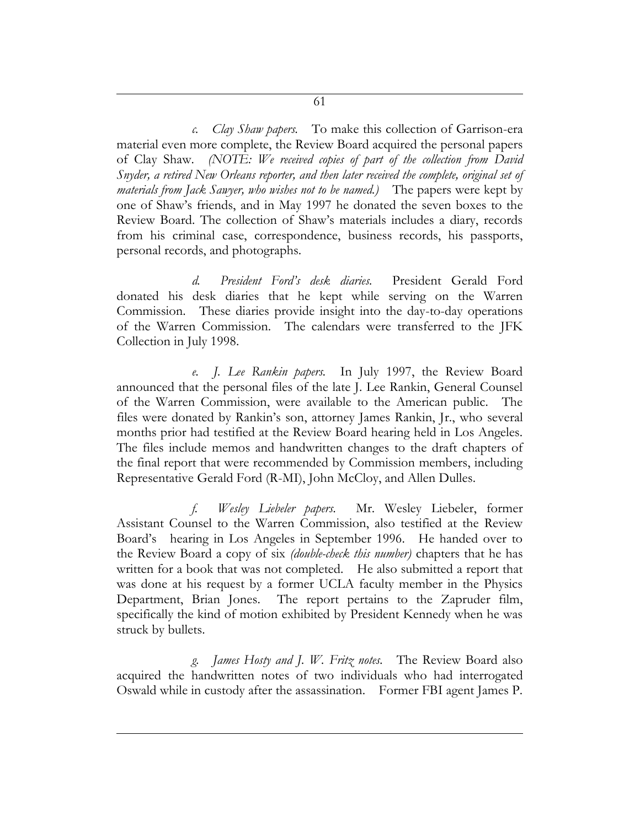*c. Clay Shaw papers.* To make this collection of Garrison-era material even more complete, the Review Board acquired the personal papers of Clay Shaw. *(NOTE: We received copies of part of the collection from David Snyder, a retired New Orleans reporter, and then later received the complete, original set of materials from Jack Sawyer, who wishes not to be named.)* The papers were kept by one of Shaw's friends, and in May 1997 he donated the seven boxes to the Review Board. The collection of Shaw's materials includes a diary, records from his criminal case, correspondence, business records, his passports, personal records, and photographs.

*d. President Ford's desk diaries.* President Gerald Ford donated his desk diaries that he kept while serving on the Warren Commission. These diaries provide insight into the day-to-day operations of the Warren Commission. The calendars were transferred to the JFK Collection in July 1998.

*e. J. Lee Rankin papers.* In July 1997, the Review Board announced that the personal files of the late J. Lee Rankin, General Counsel of the Warren Commission, were available to the American public. The files were donated by Rankin's son, attorney James Rankin, Jr., who several months prior had testified at the Review Board hearing held in Los Angeles. The files include memos and handwritten changes to the draft chapters of the final report that were recommended by Commission members, including Representative Gerald Ford (R-MI), John McCloy, and Allen Dulles.

*f. Wesley Liebeler papers.* Mr. Wesley Liebeler, former Assistant Counsel to the Warren Commission, also testified at the Review Board's hearing in Los Angeles in September 1996. He handed over to the Review Board a copy of six *(double-check this number)* chapters that he has written for a book that was not completed. He also submitted a report that was done at his request by a former UCLA faculty member in the Physics Department, Brian Jones. The report pertains to the Zapruder film, specifically the kind of motion exhibited by President Kennedy when he was struck by bullets.

*g. James Hosty and J. W. Fritz notes.* The Review Board also acquired the handwritten notes of two individuals who had interrogated Oswald while in custody after the assassination. Former FBI agent James P.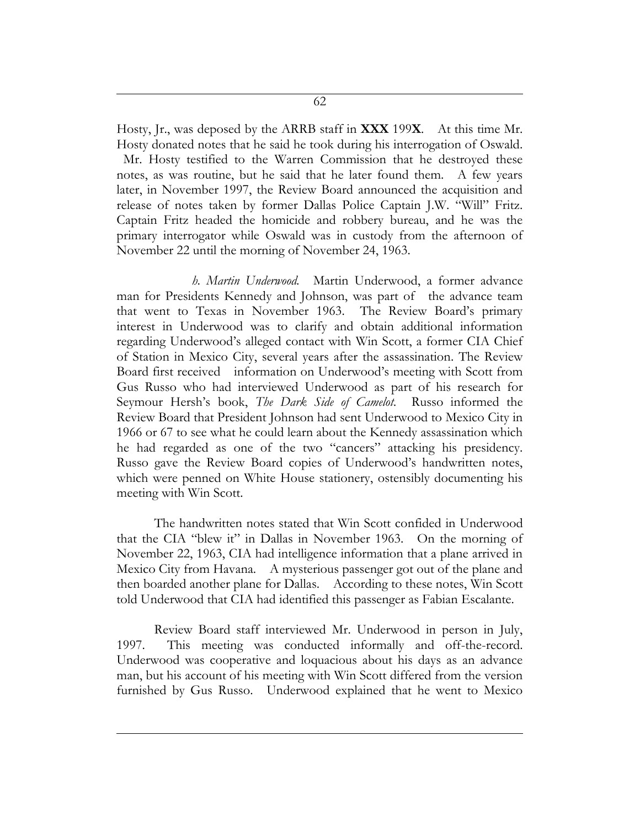Hosty, Jr., was deposed by the ARRB staff in **XXX** 199**X**. At this time Mr. Hosty donated notes that he said he took during his interrogation of Oswald. Mr. Hosty testified to the Warren Commission that he destroyed these notes, as was routine, but he said that he later found them. A few years later, in November 1997, the Review Board announced the acquisition and release of notes taken by former Dallas Police Captain J.W. "Will" Fritz. Captain Fritz headed the homicide and robbery bureau, and he was the primary interrogator while Oswald was in custody from the afternoon of November 22 until the morning of November 24, 1963.

*h. Martin Underwood.*Martin Underwood, a former advance man for Presidents Kennedy and Johnson, was part of the advance team that went to Texas in November 1963. The Review Board's primary interest in Underwood was to clarify and obtain additional information regarding Underwood's alleged contact with Win Scott, a former CIA Chief of Station in Mexico City, several years after the assassination. The Review Board first received information on Underwood's meeting with Scott from Gus Russo who had interviewed Underwood as part of his research for Seymour Hersh's book, *The Dark Side of Camelot.* Russo informed the Review Board that President Johnson had sent Underwood to Mexico City in 1966 or 67 to see what he could learn about the Kennedy assassination which he had regarded as one of the two "cancers" attacking his presidency. Russo gave the Review Board copies of Underwood's handwritten notes, which were penned on White House stationery, ostensibly documenting his meeting with Win Scott.

The handwritten notes stated that Win Scott confided in Underwood that the CIA "blew it" in Dallas in November 1963. On the morning of November 22, 1963, CIA had intelligence information that a plane arrived in Mexico City from Havana. A mysterious passenger got out of the plane and then boarded another plane for Dallas. According to these notes, Win Scott told Underwood that CIA had identified this passenger as Fabian Escalante.

Review Board staff interviewed Mr. Underwood in person in July, 1997. This meeting was conducted informally and off-the-record. Underwood was cooperative and loquacious about his days as an advance man, but his account of his meeting with Win Scott differed from the version furnished by Gus Russo. Underwood explained that he went to Mexico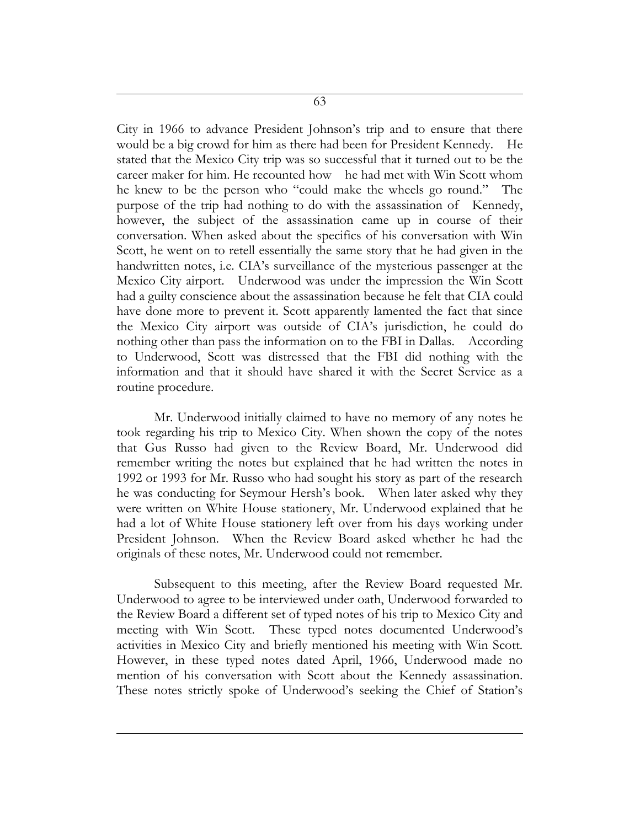63

City in 1966 to advance President Johnson's trip and to ensure that there would be a big crowd for him as there had been for President Kennedy. He stated that the Mexico City trip was so successful that it turned out to be the career maker for him. He recounted how he had met with Win Scott whom he knew to be the person who "could make the wheels go round." The purpose of the trip had nothing to do with the assassination of Kennedy, however, the subject of the assassination came up in course of their conversation. When asked about the specifics of his conversation with Win Scott, he went on to retell essentially the same story that he had given in the handwritten notes, i.e. CIA's surveillance of the mysterious passenger at the Mexico City airport. Underwood was under the impression the Win Scott had a guilty conscience about the assassination because he felt that CIA could have done more to prevent it. Scott apparently lamented the fact that since the Mexico City airport was outside of CIA's jurisdiction, he could do nothing other than pass the information on to the FBI in Dallas. According to Underwood, Scott was distressed that the FBI did nothing with the information and that it should have shared it with the Secret Service as a routine procedure.

Mr. Underwood initially claimed to have no memory of any notes he took regarding his trip to Mexico City. When shown the copy of the notes that Gus Russo had given to the Review Board, Mr. Underwood did remember writing the notes but explained that he had written the notes in 1992 or 1993 for Mr. Russo who had sought his story as part of the research he was conducting for Seymour Hersh's book. When later asked why they were written on White House stationery, Mr. Underwood explained that he had a lot of White House stationery left over from his days working under President Johnson. When the Review Board asked whether he had the originals of these notes, Mr. Underwood could not remember.

Subsequent to this meeting, after the Review Board requested Mr. Underwood to agree to be interviewed under oath, Underwood forwarded to the Review Board a different set of typed notes of his trip to Mexico City and meeting with Win Scott. These typed notes documented Underwood's activities in Mexico City and briefly mentioned his meeting with Win Scott. However, in these typed notes dated April, 1966, Underwood made no mention of his conversation with Scott about the Kennedy assassination. These notes strictly spoke of Underwood's seeking the Chief of Station's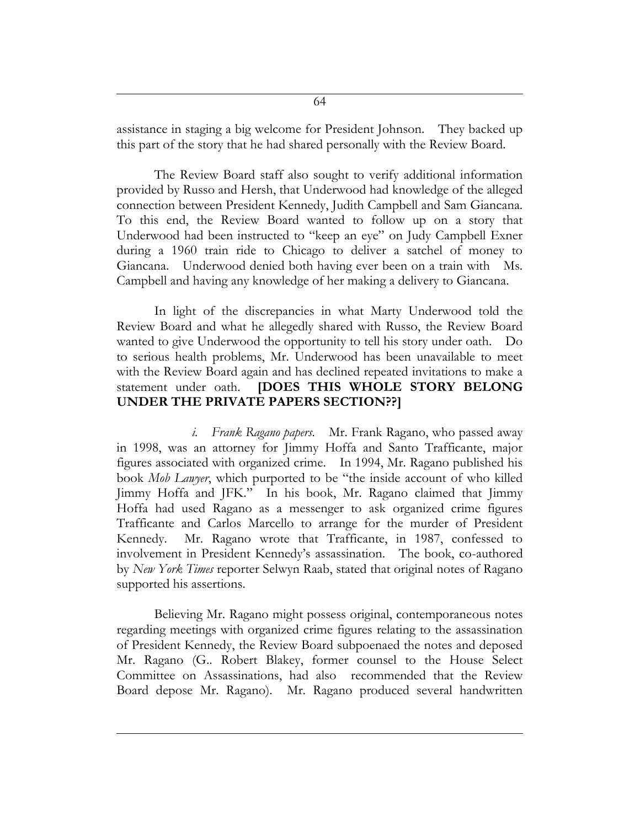assistance in staging a big welcome for President Johnson. They backed up this part of the story that he had shared personally with the Review Board.

The Review Board staff also sought to verify additional information provided by Russo and Hersh, that Underwood had knowledge of the alleged connection between President Kennedy, Judith Campbell and Sam Giancana. To this end, the Review Board wanted to follow up on a story that Underwood had been instructed to "keep an eye" on Judy Campbell Exner during a 1960 train ride to Chicago to deliver a satchel of money to Giancana. Underwood denied both having ever been on a train with Ms. Campbell and having any knowledge of her making a delivery to Giancana.

In light of the discrepancies in what Marty Underwood told the Review Board and what he allegedly shared with Russo, the Review Board wanted to give Underwood the opportunity to tell his story under oath. Do to serious health problems, Mr. Underwood has been unavailable to meet with the Review Board again and has declined repeated invitations to make a statement under oath. **[DOES THIS WHOLE STORY BELONG UNDER THE PRIVATE PAPERS SECTION??]**

*i. Frank Ragano papers.* Mr. Frank Ragano, who passed away in 1998, was an attorney for Jimmy Hoffa and Santo Trafficante, major figures associated with organized crime. In 1994, Mr. Ragano published his book *Mob Lawyer*, which purported to be "the inside account of who killed Jimmy Hoffa and JFK." In his book, Mr. Ragano claimed that Jimmy Hoffa had used Ragano as a messenger to ask organized crime figures Trafficante and Carlos Marcello to arrange for the murder of President Kennedy. Mr. Ragano wrote that Trafficante, in 1987, confessed to involvement in President Kennedy's assassination. The book, co-authored by *New York Times* reporter Selwyn Raab, stated that original notes of Ragano supported his assertions.

Believing Mr. Ragano might possess original, contemporaneous notes regarding meetings with organized crime figures relating to the assassination of President Kennedy, the Review Board subpoenaed the notes and deposed Mr. Ragano (G.. Robert Blakey, former counsel to the House Select Committee on Assassinations, had also recommended that the Review Board depose Mr. Ragano). Mr. Ragano produced several handwritten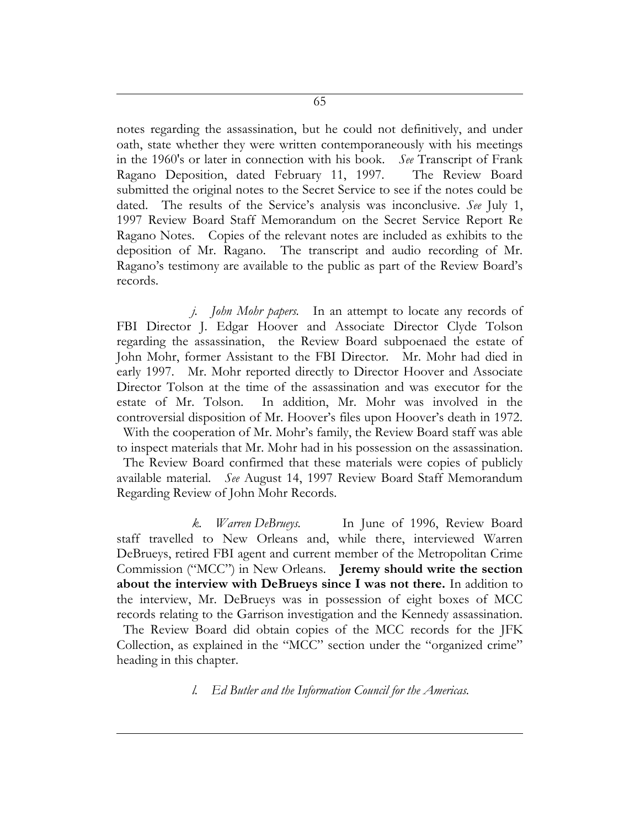notes regarding the assassination, but he could not definitively, and under oath, state whether they were written contemporaneously with his meetings in the 1960's or later in connection with his book. *See* Transcript of Frank Ragano Deposition, dated February 11, 1997. The Review Board submitted the original notes to the Secret Service to see if the notes could be dated. The results of the Service's analysis was inconclusive. *See* July 1, 1997 Review Board Staff Memorandum on the Secret Service Report Re Ragano Notes. Copies of the relevant notes are included as exhibits to the deposition of Mr. Ragano. The transcript and audio recording of Mr. Ragano's testimony are available to the public as part of the Review Board's records.

*j. John Mohr papers.* In an attempt to locate any records of FBI Director J. Edgar Hoover and Associate Director Clyde Tolson regarding the assassination, the Review Board subpoenaed the estate of John Mohr, former Assistant to the FBI Director. Mr. Mohr had died in early 1997. Mr. Mohr reported directly to Director Hoover and Associate Director Tolson at the time of the assassination and was executor for the estate of Mr. Tolson. In addition, Mr. Mohr was involved in the controversial disposition of Mr. Hoover's files upon Hoover's death in 1972. With the cooperation of Mr. Mohr's family, the Review Board staff was able to inspect materials that Mr. Mohr had in his possession on the assassination. The Review Board confirmed that these materials were copies of publicly available material. *See* August 14, 1997 Review Board Staff Memorandum Regarding Review of John Mohr Records.

*k. Warren DeBrueys.* In June of 1996, Review Board staff travelled to New Orleans and, while there, interviewed Warren DeBrueys, retired FBI agent and current member of the Metropolitan Crime Commission ("MCC") in New Orleans. **Jeremy should write the section about the interview with DeBrueys since I was not there.** In addition to the interview, Mr. DeBrueys was in possession of eight boxes of MCC records relating to the Garrison investigation and the Kennedy assassination.

The Review Board did obtain copies of the MCC records for the JFK Collection, as explained in the "MCC" section under the "organized crime" heading in this chapter.

*l. Ed Butler and the Information Council for the Americas.*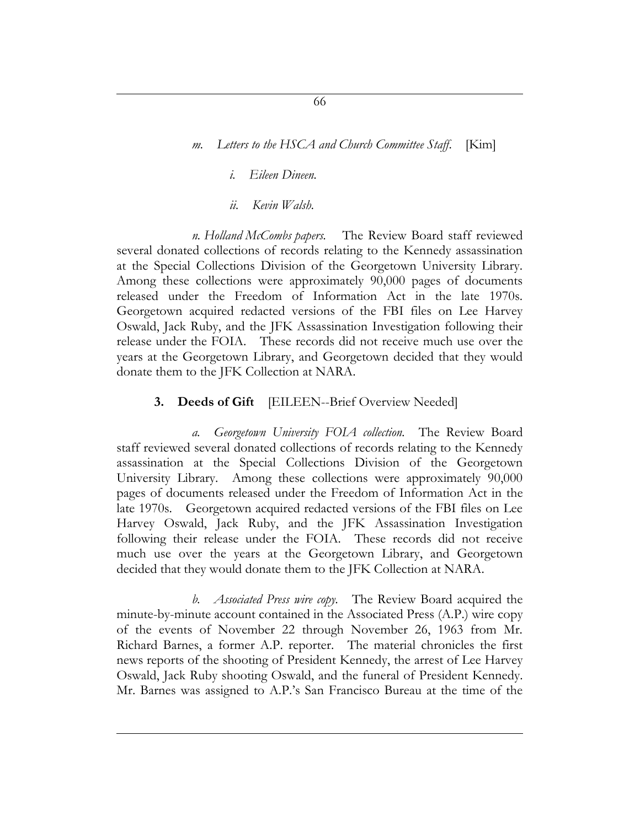### *i. Eileen Dineen.*

*ii. Kevin Walsh.*

*n. Holland McCombs papers.* The Review Board staff reviewed several donated collections of records relating to the Kennedy assassination at the Special Collections Division of the Georgetown University Library. Among these collections were approximately 90,000 pages of documents released under the Freedom of Information Act in the late 1970s. Georgetown acquired redacted versions of the FBI files on Lee Harvey Oswald, Jack Ruby, and the JFK Assassination Investigation following their release under the FOIA. These records did not receive much use over the years at the Georgetown Library, and Georgetown decided that they would donate them to the JFK Collection at NARA.

#### **3. Deeds of Gift** [EILEEN--Brief Overview Needed]

*a. Georgetown University FOIA collection.* The Review Board staff reviewed several donated collections of records relating to the Kennedy assassination at the Special Collections Division of the Georgetown University Library. Among these collections were approximately 90,000 pages of documents released under the Freedom of Information Act in the late 1970s. Georgetown acquired redacted versions of the FBI files on Lee Harvey Oswald, Jack Ruby, and the JFK Assassination Investigation following their release under the FOIA. These records did not receive much use over the years at the Georgetown Library, and Georgetown decided that they would donate them to the JFK Collection at NARA.

*b. Associated Press wire copy.* The Review Board acquired the minute-by-minute account contained in the Associated Press (A.P.) wire copy of the events of November 22 through November 26, 1963 from Mr. Richard Barnes, a former A.P. reporter. The material chronicles the first news reports of the shooting of President Kennedy, the arrest of Lee Harvey Oswald, Jack Ruby shooting Oswald, and the funeral of President Kennedy. Mr. Barnes was assigned to A.P.'s San Francisco Bureau at the time of the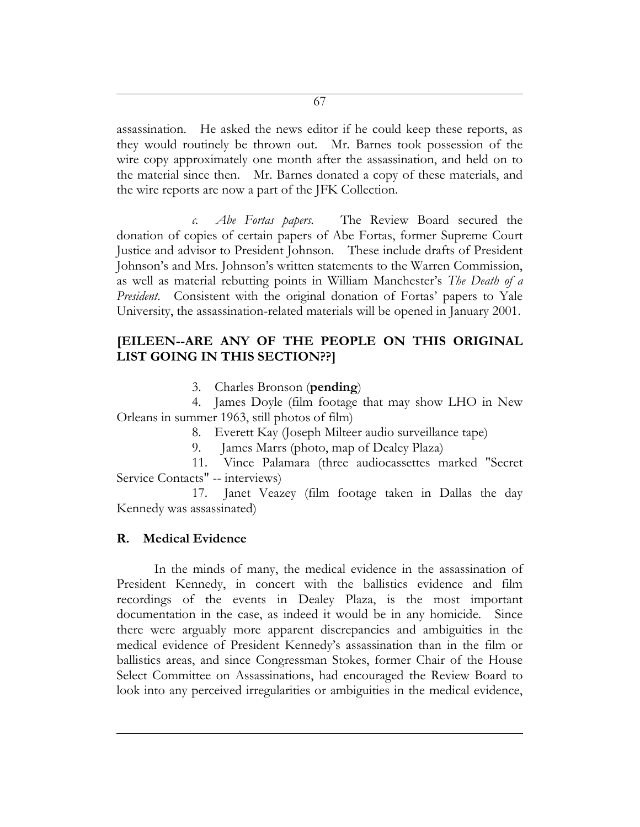assassination. He asked the news editor if he could keep these reports, as they would routinely be thrown out. Mr. Barnes took possession of the wire copy approximately one month after the assassination, and held on to the material since then. Mr. Barnes donated a copy of these materials, and the wire reports are now a part of the JFK Collection.

*c. Abe Fortas papers.* The Review Board secured the donation of copies of certain papers of Abe Fortas, former Supreme Court Justice and advisor to President Johnson. These include drafts of President Johnson's and Mrs. Johnson's written statements to the Warren Commission, as well as material rebutting points in William Manchester's *The Death of a President*. Consistent with the original donation of Fortas' papers to Yale University, the assassination-related materials will be opened in January 2001.

# **[EILEEN--ARE ANY OF THE PEOPLE ON THIS ORIGINAL LIST GOING IN THIS SECTION??]**

3. Charles Bronson (**pending**)

4. James Doyle (film footage that may show LHO in New Orleans in summer 1963, still photos of film)

8. Everett Kay (Joseph Milteer audio surveillance tape)

9. James Marrs (photo, map of Dealey Plaza)

11. Vince Palamara (three audiocassettes marked "Secret Service Contacts" -- interviews)

17. Janet Veazey (film footage taken in Dallas the day Kennedy was assassinated)

# **R. Medical Evidence**

In the minds of many, the medical evidence in the assassination of President Kennedy, in concert with the ballistics evidence and film recordings of the events in Dealey Plaza, is the most important documentation in the case, as indeed it would be in any homicide. Since there were arguably more apparent discrepancies and ambiguities in the medical evidence of President Kennedy's assassination than in the film or ballistics areas, and since Congressman Stokes, former Chair of the House Select Committee on Assassinations, had encouraged the Review Board to look into any perceived irregularities or ambiguities in the medical evidence,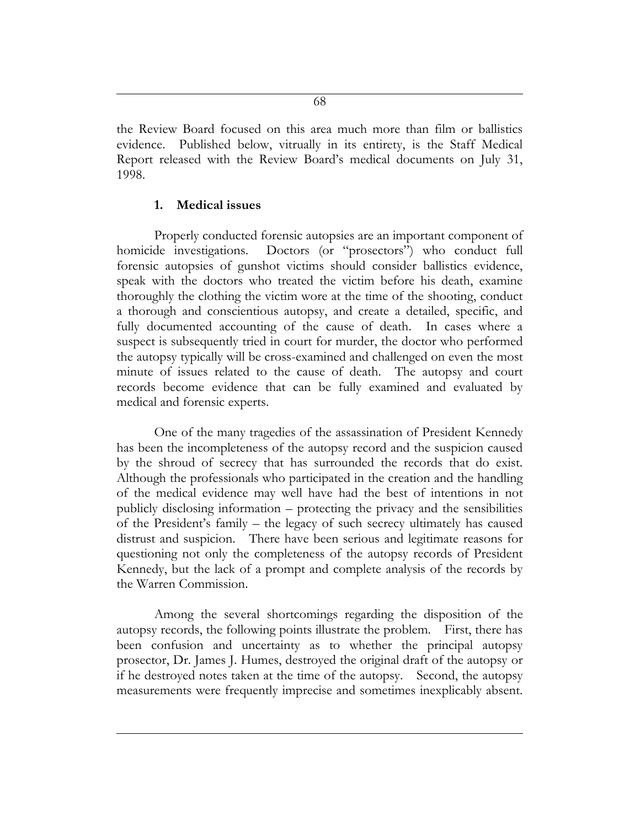the Review Board focused on this area much more than film or ballistics evidence. Published below, vitrually in its entirety, is the Staff Medical Report released with the Review Board's medical documents on July 31, 1998.

#### **1. Medical issues**

Properly conducted forensic autopsies are an important component of homicide investigations. Doctors (or "prosectors") who conduct full forensic autopsies of gunshot victims should consider ballistics evidence, speak with the doctors who treated the victim before his death, examine thoroughly the clothing the victim wore at the time of the shooting, conduct a thorough and conscientious autopsy, and create a detailed, specific, and fully documented accounting of the cause of death. In cases where a suspect is subsequently tried in court for murder, the doctor who performed the autopsy typically will be cross-examined and challenged on even the most minute of issues related to the cause of death. The autopsy and court records become evidence that can be fully examined and evaluated by medical and forensic experts.

One of the many tragedies of the assassination of President Kennedy has been the incompleteness of the autopsy record and the suspicion caused by the shroud of secrecy that has surrounded the records that do exist. Although the professionals who participated in the creation and the handling of the medical evidence may well have had the best of intentions in not publicly disclosing information – protecting the privacy and the sensibilities of the President's family – the legacy of such secrecy ultimately has caused distrust and suspicion. There have been serious and legitimate reasons for questioning not only the completeness of the autopsy records of President Kennedy, but the lack of a prompt and complete analysis of the records by the Warren Commission.

Among the several shortcomings regarding the disposition of the autopsy records, the following points illustrate the problem. First, there has been confusion and uncertainty as to whether the principal autopsy prosector, Dr. James J. Humes, destroyed the original draft of the autopsy or if he destroyed notes taken at the time of the autopsy. Second, the autopsy measurements were frequently imprecise and sometimes inexplicably absent.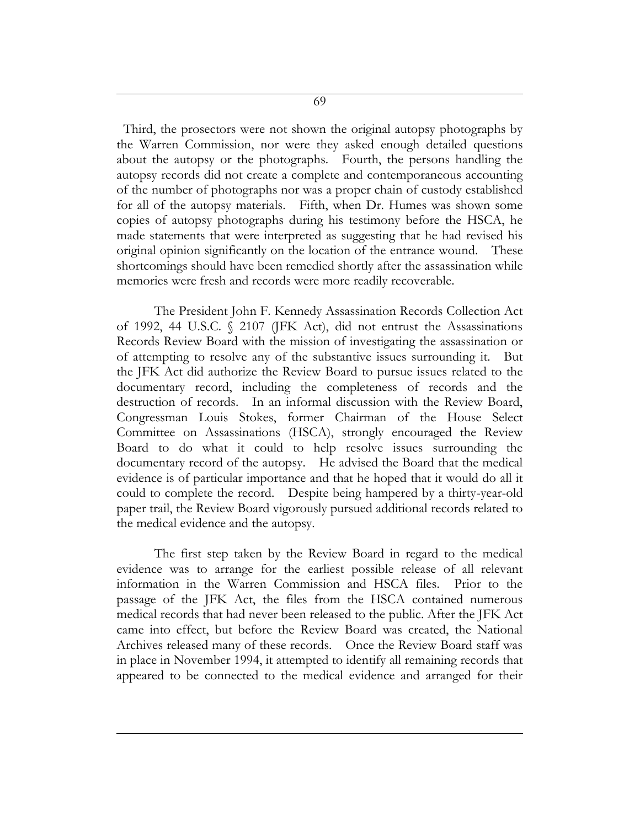Third, the prosectors were not shown the original autopsy photographs by the Warren Commission, nor were they asked enough detailed questions about the autopsy or the photographs. Fourth, the persons handling the autopsy records did not create a complete and contemporaneous accounting of the number of photographs nor was a proper chain of custody established for all of the autopsy materials. Fifth, when Dr. Humes was shown some copies of autopsy photographs during his testimony before the HSCA, he made statements that were interpreted as suggesting that he had revised his original opinion significantly on the location of the entrance wound. These shortcomings should have been remedied shortly after the assassination while memories were fresh and records were more readily recoverable.

The President John F. Kennedy Assassination Records Collection Act of 1992, 44 U.S.C. § 2107 (JFK Act), did not entrust the Assassinations Records Review Board with the mission of investigating the assassination or of attempting to resolve any of the substantive issues surrounding it. But the JFK Act did authorize the Review Board to pursue issues related to the documentary record, including the completeness of records and the destruction of records. In an informal discussion with the Review Board, Congressman Louis Stokes, former Chairman of the House Select Committee on Assassinations (HSCA), strongly encouraged the Review Board to do what it could to help resolve issues surrounding the documentary record of the autopsy. He advised the Board that the medical evidence is of particular importance and that he hoped that it would do all it could to complete the record. Despite being hampered by a thirty-year-old paper trail, the Review Board vigorously pursued additional records related to the medical evidence and the autopsy.

The first step taken by the Review Board in regard to the medical evidence was to arrange for the earliest possible release of all relevant information in the Warren Commission and HSCA files. Prior to the passage of the JFK Act, the files from the HSCA contained numerous medical records that had never been released to the public. After the JFK Act came into effect, but before the Review Board was created, the National Archives released many of these records. Once the Review Board staff was in place in November 1994, it attempted to identify all remaining records that appeared to be connected to the medical evidence and arranged for their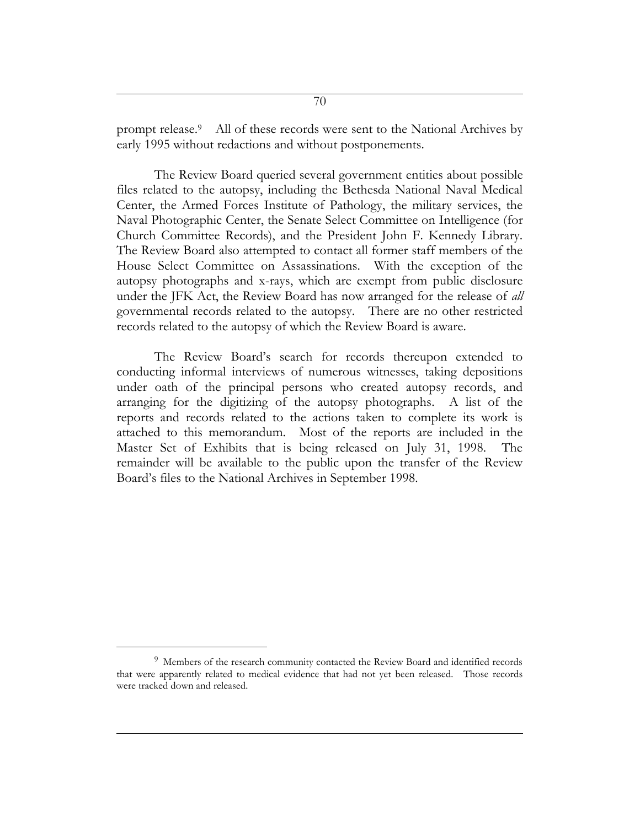prompt release.<sup>9</sup> All of these records were sent to the National Archives by early 1995 without redactions and without postponements.

The Review Board queried several government entities about possible files related to the autopsy, including the Bethesda National Naval Medical Center, the Armed Forces Institute of Pathology, the military services, the Naval Photographic Center, the Senate Select Committee on Intelligence (for Church Committee Records), and the President John F. Kennedy Library. The Review Board also attempted to contact all former staff members of the House Select Committee on Assassinations. With the exception of the autopsy photographs and x-rays, which are exempt from public disclosure under the JFK Act, the Review Board has now arranged for the release of *all* governmental records related to the autopsy. There are no other restricted records related to the autopsy of which the Review Board is aware.

The Review Board's search for records thereupon extended to conducting informal interviews of numerous witnesses, taking depositions under oath of the principal persons who created autopsy records, and arranging for the digitizing of the autopsy photographs. A list of the reports and records related to the actions taken to complete its work is attached to this memorandum. Most of the reports are included in the Master Set of Exhibits that is being released on July 31, 1998. The remainder will be available to the public upon the transfer of the Review Board's files to the National Archives in September 1998.

 $\overline{a}$ 

<sup>9</sup> Members of the research community contacted the Review Board and identified records that were apparently related to medical evidence that had not yet been released. Those records were tracked down and released.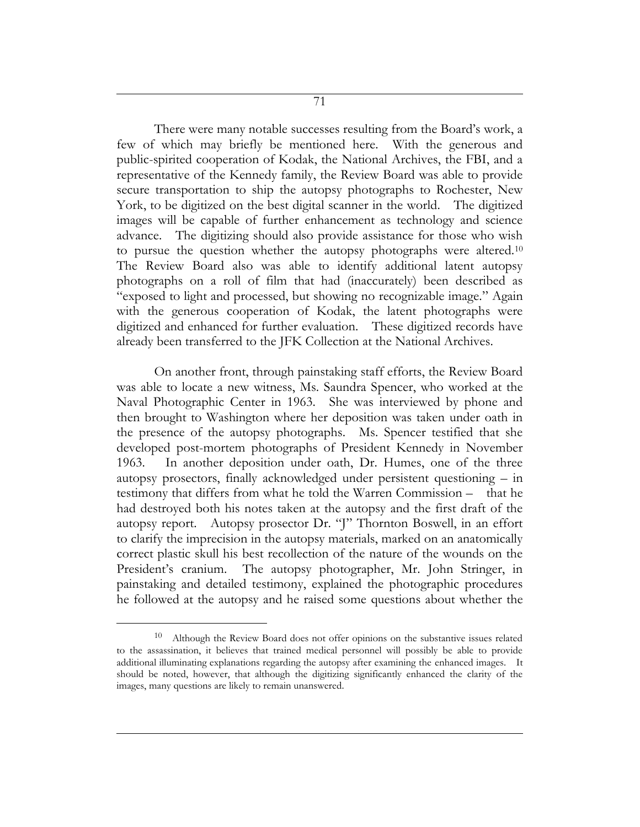There were many notable successes resulting from the Board's work, a few of which may briefly be mentioned here. With the generous and public-spirited cooperation of Kodak, the National Archives, the FBI, and a representative of the Kennedy family, the Review Board was able to provide secure transportation to ship the autopsy photographs to Rochester, New York, to be digitized on the best digital scanner in the world. The digitized images will be capable of further enhancement as technology and science advance. The digitizing should also provide assistance for those who wish to pursue the question whether the autopsy photographs were altered.<sup>10</sup> The Review Board also was able to identify additional latent autopsy photographs on a roll of film that had (inaccurately) been described as "exposed to light and processed, but showing no recognizable image." Again with the generous cooperation of Kodak, the latent photographs were digitized and enhanced for further evaluation. These digitized records have already been transferred to the JFK Collection at the National Archives.

On another front, through painstaking staff efforts, the Review Board was able to locate a new witness, Ms. Saundra Spencer, who worked at the Naval Photographic Center in 1963. She was interviewed by phone and then brought to Washington where her deposition was taken under oath in the presence of the autopsy photographs. Ms. Spencer testified that she developed post-mortem photographs of President Kennedy in November 1963. In another deposition under oath, Dr. Humes, one of the three autopsy prosectors, finally acknowledged under persistent questioning – in testimony that differs from what he told the Warren Commission – that he had destroyed both his notes taken at the autopsy and the first draft of the autopsy report. Autopsy prosector Dr. "J" Thornton Boswell, in an effort to clarify the imprecision in the autopsy materials, marked on an anatomically correct plastic skull his best recollection of the nature of the wounds on the President's cranium. The autopsy photographer, Mr. John Stringer, in painstaking and detailed testimony, explained the photographic procedures he followed at the autopsy and he raised some questions about whether the

 $\overline{a}$ 

<sup>&</sup>lt;sup>10</sup> Although the Review Board does not offer opinions on the substantive issues related to the assassination, it believes that trained medical personnel will possibly be able to provide additional illuminating explanations regarding the autopsy after examining the enhanced images. It should be noted, however, that although the digitizing significantly enhanced the clarity of the images, many questions are likely to remain unanswered.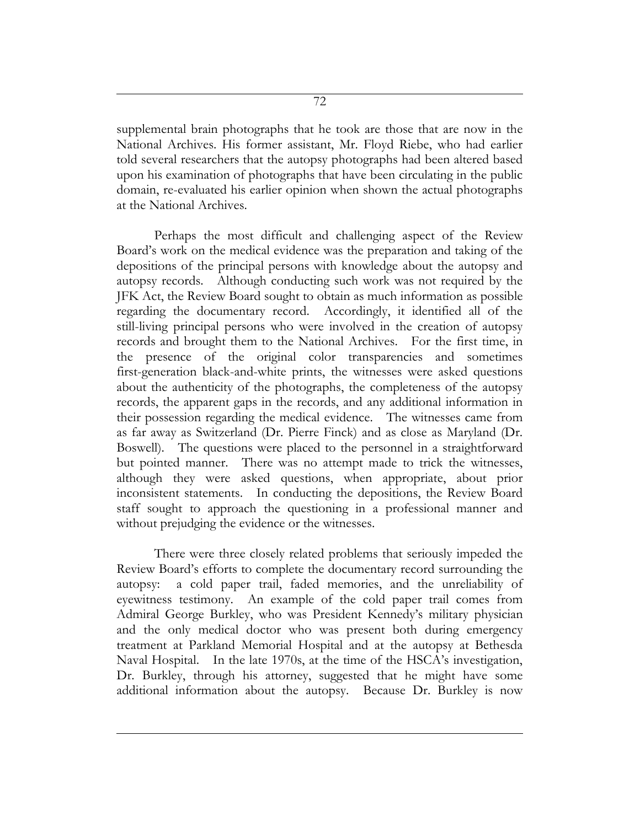supplemental brain photographs that he took are those that are now in the National Archives. His former assistant, Mr. Floyd Riebe, who had earlier told several researchers that the autopsy photographs had been altered based upon his examination of photographs that have been circulating in the public domain, re-evaluated his earlier opinion when shown the actual photographs at the National Archives.

Perhaps the most difficult and challenging aspect of the Review Board's work on the medical evidence was the preparation and taking of the depositions of the principal persons with knowledge about the autopsy and autopsy records. Although conducting such work was not required by the JFK Act, the Review Board sought to obtain as much information as possible regarding the documentary record. Accordingly, it identified all of the still-living principal persons who were involved in the creation of autopsy records and brought them to the National Archives. For the first time, in the presence of the original color transparencies and sometimes first-generation black-and-white prints, the witnesses were asked questions about the authenticity of the photographs, the completeness of the autopsy records, the apparent gaps in the records, and any additional information in their possession regarding the medical evidence. The witnesses came from as far away as Switzerland (Dr. Pierre Finck) and as close as Maryland (Dr. Boswell). The questions were placed to the personnel in a straightforward but pointed manner. There was no attempt made to trick the witnesses, although they were asked questions, when appropriate, about prior inconsistent statements. In conducting the depositions, the Review Board staff sought to approach the questioning in a professional manner and without prejudging the evidence or the witnesses.

There were three closely related problems that seriously impeded the Review Board's efforts to complete the documentary record surrounding the autopsy: a cold paper trail, faded memories, and the unreliability of eyewitness testimony. An example of the cold paper trail comes from Admiral George Burkley, who was President Kennedy's military physician and the only medical doctor who was present both during emergency treatment at Parkland Memorial Hospital and at the autopsy at Bethesda Naval Hospital. In the late 1970s, at the time of the HSCA's investigation, Dr. Burkley, through his attorney, suggested that he might have some additional information about the autopsy. Because Dr. Burkley is now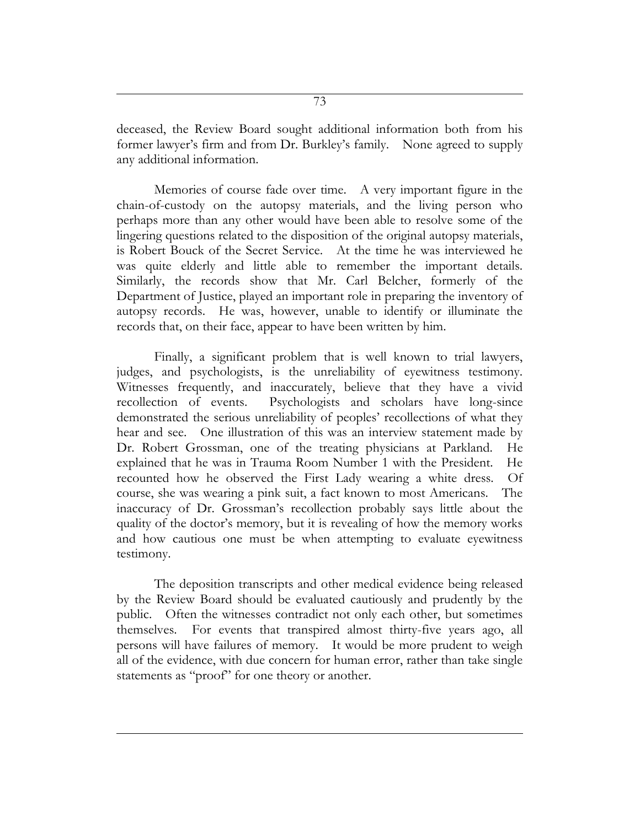deceased, the Review Board sought additional information both from his former lawyer's firm and from Dr. Burkley's family. None agreed to supply any additional information.

Memories of course fade over time. A very important figure in the chain-of-custody on the autopsy materials, and the living person who perhaps more than any other would have been able to resolve some of the lingering questions related to the disposition of the original autopsy materials, is Robert Bouck of the Secret Service. At the time he was interviewed he was quite elderly and little able to remember the important details. Similarly, the records show that Mr. Carl Belcher, formerly of the Department of Justice, played an important role in preparing the inventory of autopsy records. He was, however, unable to identify or illuminate the records that, on their face, appear to have been written by him.

Finally, a significant problem that is well known to trial lawyers, judges, and psychologists, is the unreliability of eyewitness testimony. Witnesses frequently, and inaccurately, believe that they have a vivid recollection of events. Psychologists and scholars have long-since demonstrated the serious unreliability of peoples' recollections of what they hear and see. One illustration of this was an interview statement made by Dr. Robert Grossman, one of the treating physicians at Parkland. He explained that he was in Trauma Room Number 1 with the President. He recounted how he observed the First Lady wearing a white dress. Of course, she was wearing a pink suit, a fact known to most Americans. The inaccuracy of Dr. Grossman's recollection probably says little about the quality of the doctor's memory, but it is revealing of how the memory works and how cautious one must be when attempting to evaluate eyewitness testimony.

The deposition transcripts and other medical evidence being released by the Review Board should be evaluated cautiously and prudently by the public. Often the witnesses contradict not only each other, but sometimes themselves. For events that transpired almost thirty-five years ago, all persons will have failures of memory. It would be more prudent to weigh all of the evidence, with due concern for human error, rather than take single statements as "proof" for one theory or another.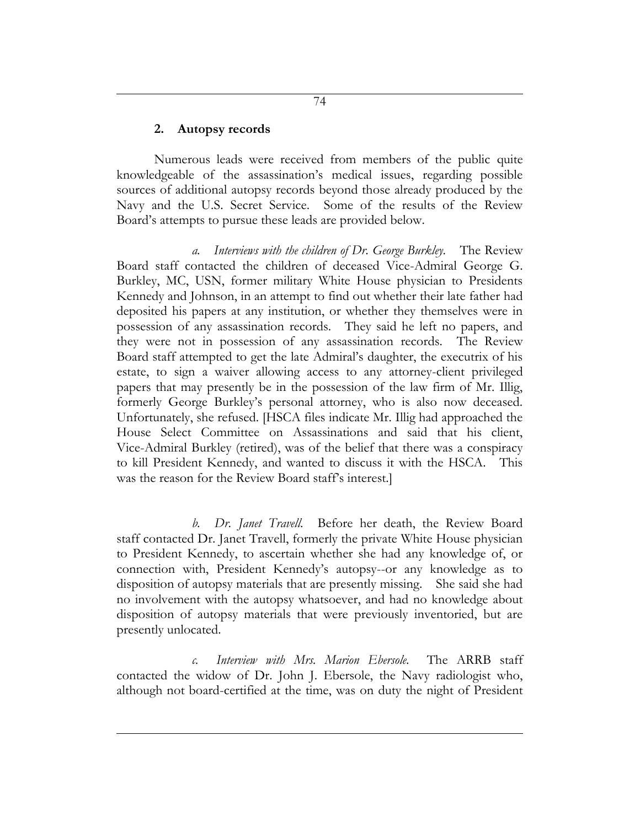## **2. Autopsy records**

Numerous leads were received from members of the public quite knowledgeable of the assassination's medical issues, regarding possible sources of additional autopsy records beyond those already produced by the Navy and the U.S. Secret Service. Some of the results of the Review Board's attempts to pursue these leads are provided below.

*a. Interviews with the children of Dr. George Burkley.* The Review Board staff contacted the children of deceased Vice-Admiral George G. Burkley, MC, USN, former military White House physician to Presidents Kennedy and Johnson, in an attempt to find out whether their late father had deposited his papers at any institution, or whether they themselves were in possession of any assassination records. They said he left no papers, and they were not in possession of any assassination records. The Review Board staff attempted to get the late Admiral's daughter, the executrix of his estate, to sign a waiver allowing access to any attorney-client privileged papers that may presently be in the possession of the law firm of Mr. Illig, formerly George Burkley's personal attorney, who is also now deceased. Unfortunately, she refused. [HSCA files indicate Mr. Illig had approached the House Select Committee on Assassinations and said that his client, Vice-Admiral Burkley (retired), was of the belief that there was a conspiracy to kill President Kennedy, and wanted to discuss it with the HSCA. This was the reason for the Review Board staff's interest.]

*b. Dr. Janet Travell.* Before her death, the Review Board staff contacted Dr. Janet Travell, formerly the private White House physician to President Kennedy, to ascertain whether she had any knowledge of, or connection with, President Kennedy's autopsy--or any knowledge as to disposition of autopsy materials that are presently missing. She said she had no involvement with the autopsy whatsoever, and had no knowledge about disposition of autopsy materials that were previously inventoried, but are presently unlocated.

*c. Interview with Mrs. Marion Ebersole.* The ARRB staff contacted the widow of Dr. John J. Ebersole, the Navy radiologist who, although not board-certified at the time, was on duty the night of President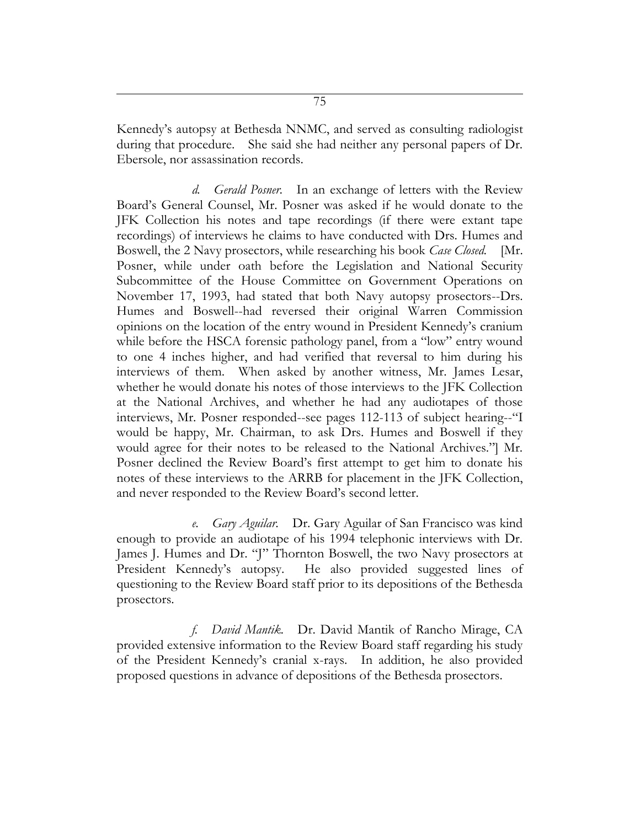Kennedy's autopsy at Bethesda NNMC, and served as consulting radiologist during that procedure. She said she had neither any personal papers of Dr. Ebersole, nor assassination records.

*d. Gerald Posner.* In an exchange of letters with the Review Board's General Counsel, Mr. Posner was asked if he would donate to the JFK Collection his notes and tape recordings (if there were extant tape recordings) of interviews he claims to have conducted with Drs. Humes and Boswell, the 2 Navy prosectors, while researching his book *Case Closed.* [Mr. Posner, while under oath before the Legislation and National Security Subcommittee of the House Committee on Government Operations on November 17, 1993, had stated that both Navy autopsy prosectors--Drs. Humes and Boswell--had reversed their original Warren Commission opinions on the location of the entry wound in President Kennedy's cranium while before the HSCA forensic pathology panel, from a "low" entry wound to one 4 inches higher, and had verified that reversal to him during his interviews of them. When asked by another witness, Mr. James Lesar, whether he would donate his notes of those interviews to the JFK Collection at the National Archives, and whether he had any audiotapes of those interviews, Mr. Posner responded--see pages 112-113 of subject hearing--"I would be happy, Mr. Chairman, to ask Drs. Humes and Boswell if they would agree for their notes to be released to the National Archives."] Mr. Posner declined the Review Board's first attempt to get him to donate his notes of these interviews to the ARRB for placement in the JFK Collection, and never responded to the Review Board's second letter.

*e. Gary Aguilar.* Dr. Gary Aguilar of San Francisco was kind enough to provide an audiotape of his 1994 telephonic interviews with Dr. James J. Humes and Dr. "J" Thornton Boswell, the two Navy prosectors at President Kennedy's autopsy. He also provided suggested lines of questioning to the Review Board staff prior to its depositions of the Bethesda prosectors.

*f. David Mantik.*Dr. David Mantik of Rancho Mirage, CA provided extensive information to the Review Board staff regarding his study of the President Kennedy's cranial x-rays. In addition, he also provided proposed questions in advance of depositions of the Bethesda prosectors.